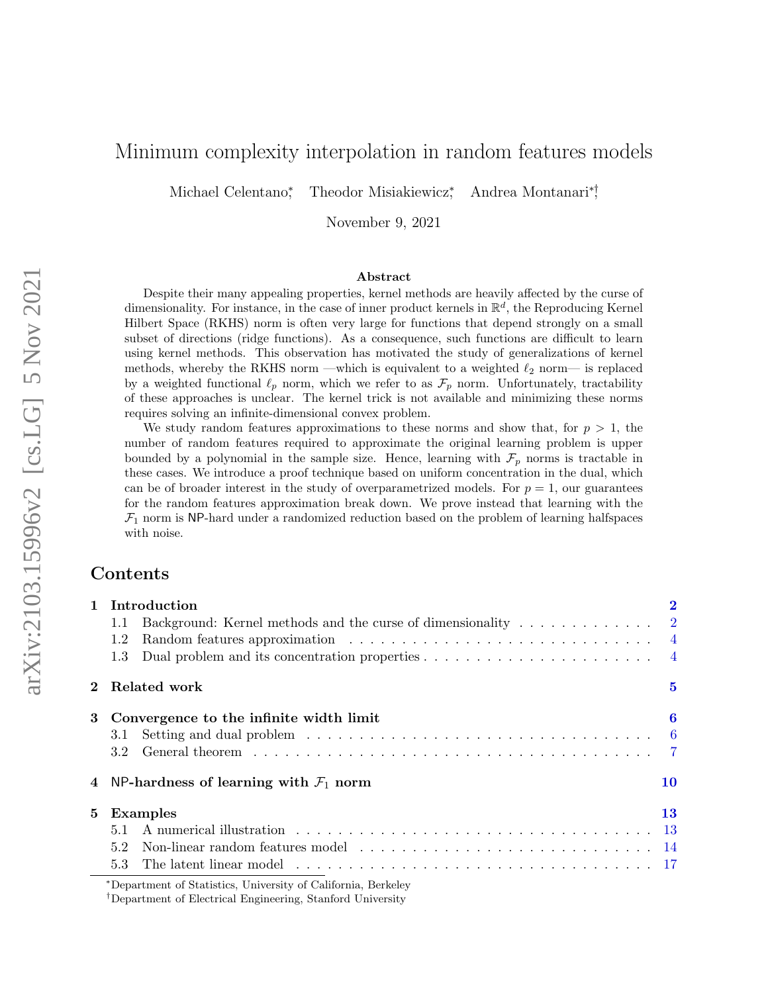# Minimum complexity interpolation in random features models

Michael Celentano<sup>\*</sup> Theodor Misiakiewicz<sup>\*</sup> , Andrea Montanari∗† ,

November 9, 2021

#### Abstract

Despite their many appealing properties, kernel methods are heavily affected by the curse of dimensionality. For instance, in the case of inner product kernels in  $\mathbb{R}^d$ , the Reproducing Kernel Hilbert Space (RKHS) norm is often very large for functions that depend strongly on a small subset of directions (ridge functions). As a consequence, such functions are difficult to learn using kernel methods. This observation has motivated the study of generalizations of kernel methods, whereby the RKHS norm —which is equivalent to a weighted  $\ell_2$  norm— is replaced by a weighted functional  $\ell_p$  norm, which we refer to as  $\mathcal{F}_p$  norm. Unfortunately, tractability of these approaches is unclear. The kernel trick is not available and minimizing these norms requires solving an infinite-dimensional convex problem.

We study random features approximations to these norms and show that, for  $p > 1$ , the number of random features required to approximate the original learning problem is upper bounded by a polynomial in the sample size. Hence, learning with  $\mathcal{F}_p$  norms is tractable in these cases. We introduce a proof technique based on uniform concentration in the dual, which can be of broader interest in the study of overparametrized models. For  $p = 1$ , our guarantees for the random features approximation break down. We prove instead that learning with the  $\mathcal{F}_1$  norm is NP-hard under a randomized reduction based on the problem of learning halfspaces with noise.

### Contents

| $\mathbf{1}$ | Introduction                                                                                                                                                                                                                         |          |  |
|--------------|--------------------------------------------------------------------------------------------------------------------------------------------------------------------------------------------------------------------------------------|----------|--|
|              | Background: Kernel methods and the curse of dimensionality $\dots \dots \dots \dots \dots$<br>1.1                                                                                                                                    |          |  |
|              | 1.2                                                                                                                                                                                                                                  |          |  |
|              | Dual problem and its concentration properties $\dots \dots \dots \dots \dots \dots \dots \dots$<br>1.3                                                                                                                               |          |  |
| $\bf{2}$     | Related work                                                                                                                                                                                                                         | $\bf{5}$ |  |
| 3            | Convergence to the infinite width limit                                                                                                                                                                                              | 6        |  |
|              | 3.1                                                                                                                                                                                                                                  |          |  |
|              | 3.2                                                                                                                                                                                                                                  |          |  |
|              | NP-hardness of learning with $\mathcal{F}_1$ norm                                                                                                                                                                                    | 10       |  |
| $5^{\circ}$  | <b>Examples</b>                                                                                                                                                                                                                      | 13       |  |
|              | 5.1                                                                                                                                                                                                                                  |          |  |
|              | 5.2                                                                                                                                                                                                                                  |          |  |
|              | The latent linear model enterprise in the set of the set of the set of the set of the set of the set of the set of the set of the set of the set of the set of the set of the set of the set of the set of the set of the set<br>5.3 |          |  |
|              | *Department of Statistics, University of California, Berkeley                                                                                                                                                                        |          |  |

<sup>†</sup>Department of Electrical Engineering, Stanford University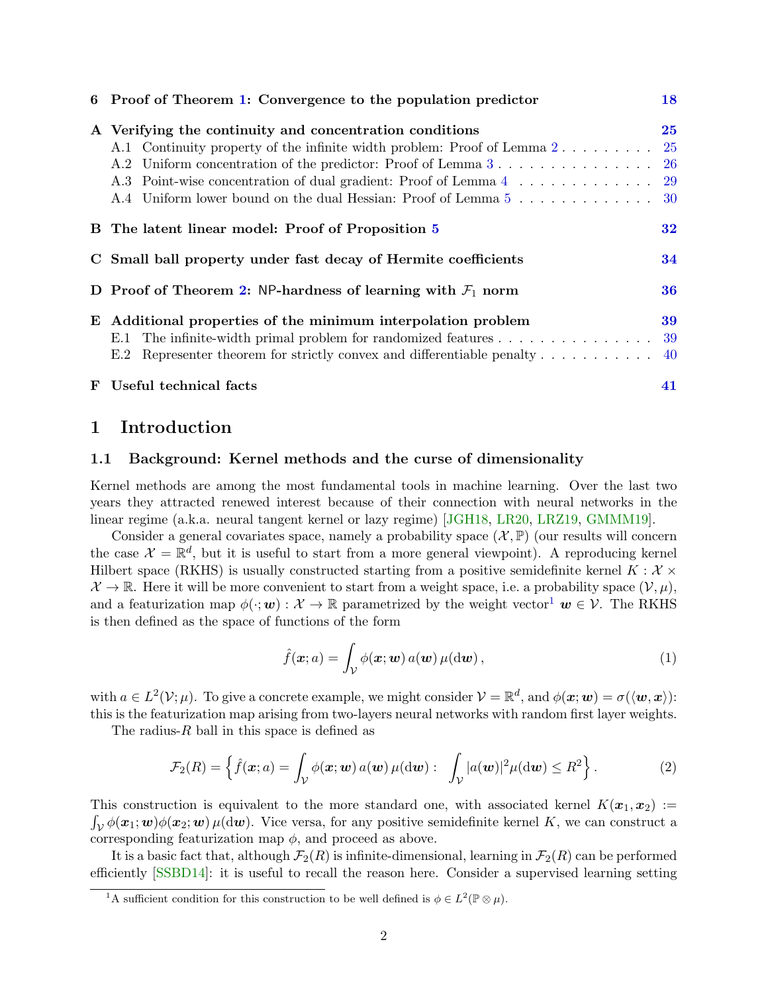| 6 Proof of Theorem 1: Convergence to the population predictor                                       | 18 |
|-----------------------------------------------------------------------------------------------------|----|
| A Verifying the continuity and concentration conditions                                             | 25 |
|                                                                                                     |    |
|                                                                                                     |    |
| A.3 Point-wise concentration of dual gradient: Proof of Lemma 4 29                                  |    |
|                                                                                                     |    |
| B The latent linear model: Proof of Proposition 5                                                   | 32 |
| C Small ball property under fast decay of Hermite coefficients                                      | 34 |
| D Proof of Theorem 2: NP-hardness of learning with $\mathcal{F}_1$ norm                             | 36 |
| E Additional properties of the minimum interpolation problem                                        | 39 |
| The infinite-width primal problem for randomized features 39<br>E.1                                 |    |
| Representer theorem for strictly convex and differentiable penalty $\dots \dots \dots \dots$<br>E.2 |    |
| F Useful technical facts                                                                            | 41 |

### <span id="page-1-0"></span>1 Introduction

### <span id="page-1-1"></span>1.1 Background: Kernel methods and the curse of dimensionality

Kernel methods are among the most fundamental tools in machine learning. Over the last two years they attracted renewed interest because of their connection with neural networks in the linear regime (a.k.a. neural tangent kernel or lazy regime) [\[JGH18,](#page-22-0) [LR20,](#page-22-1) [LRZ19,](#page-22-2) [GMMM19\]](#page-21-0).

Consider a general covariates space, namely a probability space  $(\mathcal{X}, \mathbb{P})$  (our results will concern the case  $\mathcal{X} = \mathbb{R}^d$ , but it is useful to start from a more general viewpoint). A reproducing kernel Hilbert space (RKHS) is usually constructed starting from a positive semidefinite kernel  $K : \mathcal{X} \times$  $\mathcal{X} \to \mathbb{R}$ . Here it will be more convenient to start from a weight space, i.e. a probability space  $(\mathcal{V}, \mu)$ , and a featurization map  $\phi(\cdot; \mathbf{w}) : \mathcal{X} \to \mathbb{R}$  parametrized by the weight vector<sup>[1](#page-1-2)</sup>  $\mathbf{w} \in \mathcal{V}$ . The RKHS is then defined as the space of functions of the form

<span id="page-1-3"></span>
$$
\hat{f}(\boldsymbol{x};a) = \int_{\mathcal{V}} \phi(\boldsymbol{x};\boldsymbol{w}) a(\boldsymbol{w}) \mu(\mathrm{d}\boldsymbol{w}), \qquad (1)
$$

with  $a \in L^2(\mathcal{V};\mu)$ . To give a concrete example, we might consider  $\mathcal{V} = \mathbb{R}^d$ , and  $\phi(\mathbf{x};\mathbf{w}) = \sigma(\langle \mathbf{w}, \mathbf{x} \rangle)$ : this is the featurization map arising from two-layers neural networks with random first layer weights.

The radius- $R$  ball in this space is defined as

<span id="page-1-4"></span>
$$
\mathcal{F}_2(R) = \left\{ \hat{f}(\boldsymbol{x}; a) = \int_{\mathcal{V}} \phi(\boldsymbol{x}; \boldsymbol{w}) \, a(\boldsymbol{w}) \, \mu(\mathrm{d}\boldsymbol{w}) : \int_{\mathcal{V}} |a(\boldsymbol{w})|^2 \mu(\mathrm{d}\boldsymbol{w}) \leq R^2 \right\}.
$$
 (2)

This construction is equivalent to the more standard one, with associated kernel  $K(\mathbf{x}_1, \mathbf{x}_2) :=$  $\int_{\mathcal{V}} \phi(\bm{x}_1;\bm{w}) \phi(\bm{x}_2;\bm{w}) \,\mu(\mathrm{d}\bm{w})$ . Vice versa, for any positive semidefinite kernel K, we can construct a corresponding featurization map  $\phi$ , and proceed as above.

It is a basic fact that, although  $\mathcal{F}_2(R)$  is infinite-dimensional, learning in  $\mathcal{F}_2(R)$  can be performed efficiently [\[SSBD14\]](#page-23-0): it is useful to recall the reason here. Consider a supervised learning setting

<span id="page-1-2"></span><sup>&</sup>lt;sup>1</sup>A sufficient condition for this construction to be well defined is  $\phi \in L^2(\mathbb{P} \otimes \mu)$ .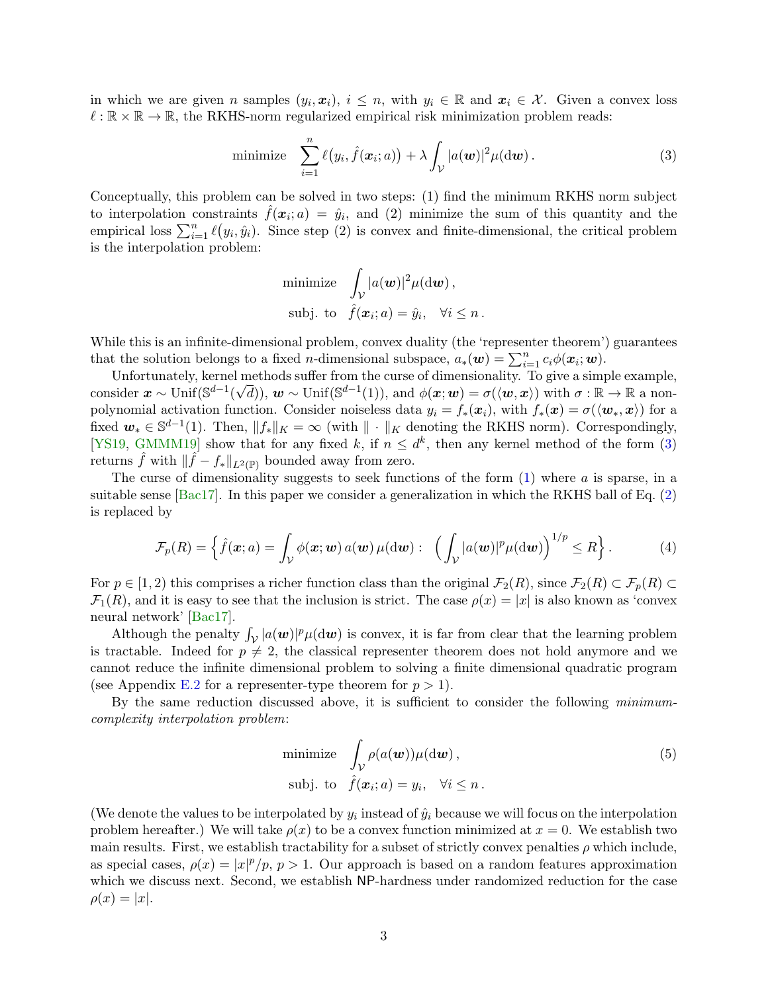in which we are given n samples  $(y_i, x_i)$ ,  $i \leq n$ , with  $y_i \in \mathbb{R}$  and  $x_i \in \mathcal{X}$ . Given a convex loss  $\ell : \mathbb{R} \times \mathbb{R} \to \mathbb{R}$ , the RKHS-norm regularized empirical risk minimization problem reads:

minimize 
$$
\sum_{i=1}^{n} \ell(y_i, \hat{f}(\boldsymbol{x}_i; a)) + \lambda \int_{\mathcal{V}} |a(\boldsymbol{w})|^2 \mu(\mathrm{d}\boldsymbol{w}). \tag{3}
$$

Conceptually, this problem can be solved in two steps: (1) find the minimum RKHS norm subject to interpolation constraints  $\hat{f}(\bm{x}_i; a) = \hat{y}_i$ , and (2) minimize the sum of this quantity and the empirical loss  $\sum_{i=1}^{n} \ell(y_i, \hat{y}_i)$ . Since step (2) is convex and finite-dimensional, the critical problem is the interpolation problem:

<span id="page-2-0"></span>minimize 
$$
\int_{\mathcal{V}} |a(\boldsymbol{w})|^2 \mu(\mathrm{d}\boldsymbol{w})
$$
,  
subj. to  $\hat{f}(\boldsymbol{x}_i; a) = \hat{y}_i$ ,  $\forall i \leq n$ .

While this is an infinite-dimensional problem, convex duality (the 'representer theorem') guarantees that the solution belongs to a fixed *n*-dimensional subspace,  $a_*(w) = \sum_{i=1}^n c_i \phi(x_i; w)$ .

Unfortunately, kernel methods suffer from the curse of dimensionality. To give a simple example, consider  $\mathbf{x} \sim \text{Unif}(\mathbb{S}^{d-1}(\sqrt{d})), \mathbf{w} \sim \text{Unif}(\mathbb{S}^{d-1}(1)), \text{ and } \phi(\mathbf{x}; \mathbf{w}) = \sigma(\langle \mathbf{w}, \mathbf{x} \rangle) \text{ with } \sigma : \mathbb{R} \to \mathbb{R} \text{ a non$ polynomial activation function. Consider noiseless data  $y_i = f_*(x_i)$ , with  $f_*(x) = \sigma(\langle \mathbf{w}_*, x \rangle)$  for a fixed  $w_* \in \mathbb{S}^{d-1}(1)$ . Then,  $||f_*||_K = \infty$  (with  $|| \cdot ||_K$  denoting the RKHS norm). Correspondingly, [\[YS19,](#page-23-1) [GMMM19\]](#page-21-0) show that for any fixed k, if  $n \leq d^k$ , then any kernel method of the form [\(3\)](#page-2-0) returns  $\hat{f}$  with  $\|\hat{f} - f_*\|_{L^2(\mathbb{P})}$  bounded away from zero.

The curse of dimensionality suggests to seek functions of the form  $(1)$  where a is sparse, in a suitable sense  $[Bac17]$ . In this paper we consider a generalization in which the RKHS ball of Eq. [\(2\)](#page-1-4) is replaced by

<span id="page-2-2"></span>
$$
\mathcal{F}_p(R) = \left\{ \hat{f}(\boldsymbol{x}; a) = \int_{\mathcal{V}} \phi(\boldsymbol{x}; \boldsymbol{w}) \, a(\boldsymbol{w}) \, \mu(\mathrm{d}\boldsymbol{w}) : \; \left( \int_{\mathcal{V}} |a(\boldsymbol{w})|^p \mu(\mathrm{d}\boldsymbol{w}) \right)^{1/p} \leq R \right\}.
$$
 (4)

For  $p \in [1, 2)$  this comprises a richer function class than the original  $\mathcal{F}_2(R)$ , since  $\mathcal{F}_2(R) \subset \mathcal{F}_p(R)$  $\mathcal{F}_1(R)$ , and it is easy to see that the inclusion is strict. The case  $\rho(x) = |x|$  is also known as 'convex neural network' [\[Bac17\]](#page-20-0).

Although the penalty  $\int_{\mathcal{V}} |a(\boldsymbol{w})|^p \mu(\mathrm{d}\boldsymbol{w})$  is convex, it is far from clear that the learning problem is tractable. Indeed for  $p \neq 2$ , the classical representer theorem does not hold anymore and we cannot reduce the infinite dimensional problem to solving a finite dimensional quadratic program (see Appendix [E.2](#page-39-0) for a representer-type theorem for  $p > 1$ ).

By the same reduction discussed above, it is sufficient to consider the following minimumcomplexity interpolation problem:

<span id="page-2-1"></span>minimize 
$$
\int_{\mathcal{V}} \rho(a(\boldsymbol{w})) \mu(\mathrm{d}\boldsymbol{w})
$$
,  
subj. to  $\hat{f}(\boldsymbol{x}_i; a) = y_i$ ,  $\forall i \leq n$ . (5)

(We denote the values to be interpolated by  $y_i$  instead of  $\hat{y}_i$  because we will focus on the interpolation problem hereafter.) We will take  $\rho(x)$  to be a convex function minimized at  $x = 0$ . We establish two main results. First, we establish tractability for a subset of strictly convex penalties  $\rho$  which include, as special cases,  $\rho(x) = |x|^p / p$ ,  $p > 1$ . Our approach is based on a random features approximation which we discuss next. Second, we establish NP-hardness under randomized reduction for the case  $\rho(x) = |x|.$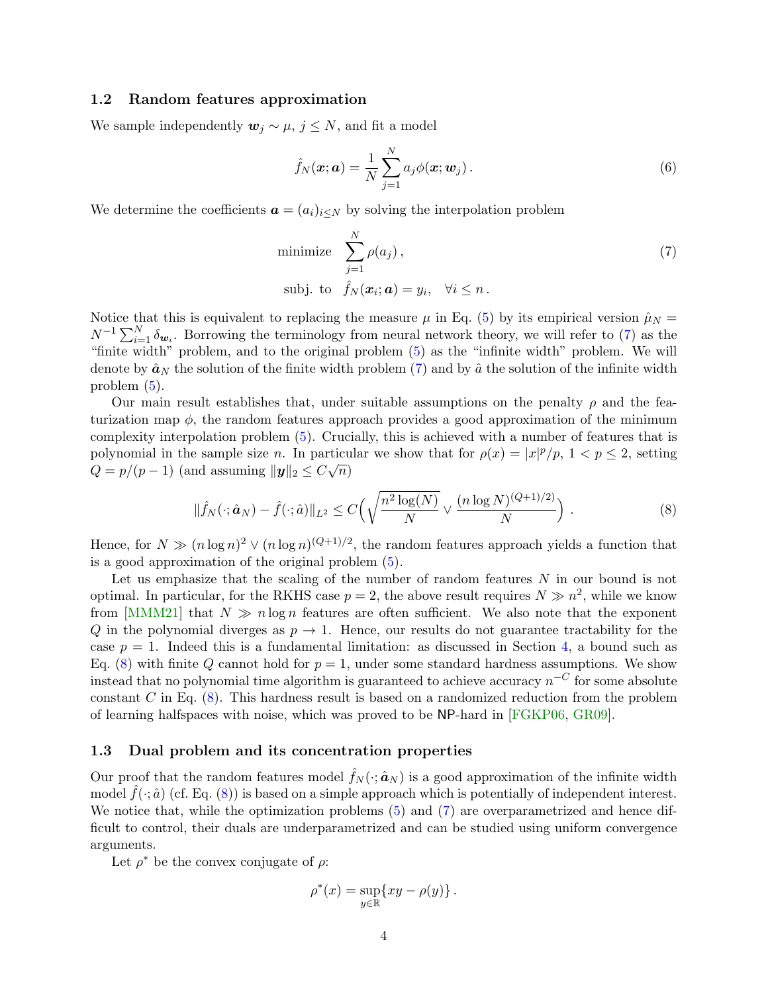### <span id="page-3-0"></span>1.2 Random features approximation

We sample independently  $w_j \sim \mu$ ,  $j \leq N$ , and fit a model

<span id="page-3-4"></span><span id="page-3-2"></span>
$$
\hat{f}_N(\boldsymbol{x};\boldsymbol{a}) = \frac{1}{N} \sum_{j=1}^N a_j \phi(\boldsymbol{x};\boldsymbol{w}_j).
$$
\n(6)

We determine the coefficients  $\mathbf{a} = (a_i)_{i \leq N}$  by solving the interpolation problem

minimize 
$$
\sum_{j=1}^{N} \rho(a_j)
$$
,  
subj. to  $\hat{f}_N(\boldsymbol{x}_i; \boldsymbol{a}) = y_i$ ,  $\forall i \leq n$ . (7)

Notice that this is equivalent to replacing the measure  $\mu$  in Eq. [\(5\)](#page-2-1) by its empirical version  $\hat{\mu}_N =$  $N^{-1}\sum_{i=1}^{N}\delta_{\mathbf{w}_i}$ . Borrowing the terminology from neural network theory, we will refer to [\(7\)](#page-3-2) as the "finite width" problem, and to the original problem [\(5\)](#page-2-1) as the "infinite width" problem. We will denote by  $\hat{a}_N$  the solution of the finite width problem [\(7\)](#page-3-2) and by  $\hat{a}$  the solution of the infinite width problem [\(5\)](#page-2-1).

Our main result establishes that, under suitable assumptions on the penalty  $\rho$  and the featurization map  $\phi$ , the random features approach provides a good approximation of the minimum complexity interpolation problem [\(5\)](#page-2-1). Crucially, this is achieved with a number of features that is polynomial in the sample size n. In particular we show that for  $\rho(x) = |x|^p/p$ ,  $1 < p \le 2$ , setting  $Q = p/(p-1)$  (and assuming  $||\mathbf{y}||_2 \leq C\sqrt{n}$ )

<span id="page-3-3"></span>
$$
\|\hat{f}_N(\cdot; \hat{a}_N) - \hat{f}(\cdot; \hat{a})\|_{L^2} \le C \Big(\sqrt{\frac{n^2 \log(N)}{N}} \vee \frac{(n \log N)^{(Q+1)/2)}}{N}\Big) . \tag{8}
$$

Hence, for  $N \gg (n \log n)^2 \vee (n \log n)^{(Q+1)/2}$ , the random features approach yields a function that is a good approximation of the original problem [\(5\)](#page-2-1).

Let us emphasize that the scaling of the number of random features  $N$  in our bound is not optimal. In particular, for the RKHS case  $p = 2$ , the above result requires  $N \gg n^2$ , while we know from [\[MMM21\]](#page-22-3) that  $N \gg n \log n$  features are often sufficient. We also note that the exponent Q in the polynomial diverges as  $p \to 1$ . Hence, our results do not guarantee tractability for the case  $p = 1$ . Indeed this is a fundamental limitation: as discussed in Section [4,](#page-9-0) a bound such as Eq. [\(8\)](#page-3-3) with finite Q cannot hold for  $p = 1$ , under some standard hardness assumptions. We show instead that no polynomial time algorithm is guaranteed to achieve accuracy  $n^{-C}$  for some absolute constant  $C$  in Eq.  $(8)$ . This hardness result is based on a randomized reduction from the problem of learning halfspaces with noise, which was proved to be NP-hard in [\[FGKP06,](#page-21-1) [GR09\]](#page-21-2).

#### <span id="page-3-1"></span>1.3 Dual problem and its concentration properties

Our proof that the random features model  $\hat{f}_N(\cdot; \hat{a}_N)$  is a good approximation of the infinite width model  $f(\cdot; \hat{a})$  (cf. Eq. [\(8\)](#page-3-3)) is based on a simple approach which is potentially of independent interest. We notice that, while the optimization problems  $(5)$  and  $(7)$  are overparametrized and hence difficult to control, their duals are underparametrized and can be studied using uniform convergence arguments.

Let  $\rho^*$  be the convex conjugate of  $\rho$ :

$$
\rho^*(x) = \sup_{y \in \mathbb{R}} \{ xy - \rho(y) \}.
$$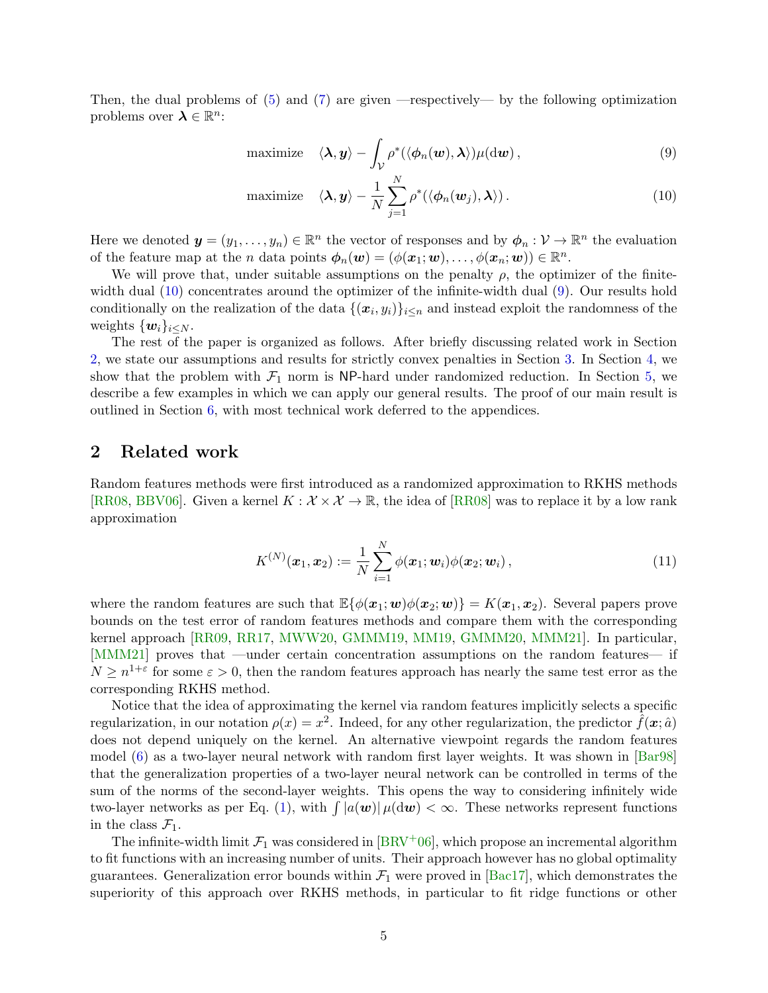Then, the dual problems of [\(5\)](#page-2-1) and [\(7\)](#page-3-2) are given —respectively— by the following optimization problems over  $\lambda \in \mathbb{R}^n$ :

<span id="page-4-2"></span><span id="page-4-1"></span>maximize 
$$
\langle \lambda, y \rangle - \int_{\mathcal{V}} \rho^* (\langle \phi_n(\boldsymbol{w}), \boldsymbol{\lambda} \rangle) \mu(\mathrm{d}\boldsymbol{w}),
$$
 (9)

maximize 
$$
\langle \lambda, y \rangle - \frac{1}{N} \sum_{j=1}^{N} \rho^* (\langle \phi_n(w_j), \lambda \rangle)
$$
. (10)

Here we denoted  $\mathbf{y} = (y_1, \dots, y_n) \in \mathbb{R}^n$  the vector of responses and by  $\phi_n : \mathcal{V} \to \mathbb{R}^n$  the evaluation of the feature map at the *n* data points  $\boldsymbol{\phi}_n(\boldsymbol{w}) = (\phi(\boldsymbol{x}_1; \boldsymbol{w}), \dots, \phi(\boldsymbol{x}_n; \boldsymbol{w})) \in \mathbb{R}^n$ .

We will prove that, under suitable assumptions on the penalty  $\rho$ , the optimizer of the finite-width dual [\(10\)](#page-4-1) concentrates around the optimizer of the infinite-width dual [\(9\)](#page-4-2). Our results hold conditionally on the realization of the data  $\{(x_i, y_i)\}_{i \leq n}$  and instead exploit the randomness of the weights  $\{w_i\}_{i\leq N}$ .

The rest of the paper is organized as follows. After briefly discussing related work in Section [2,](#page-4-0) we state our assumptions and results for strictly convex penalties in Section [3.](#page-5-0) In Section [4,](#page-9-0) we show that the problem with  $\mathcal{F}_1$  norm is NP-hard under randomized reduction. In Section [5,](#page-12-0) we describe a few examples in which we can apply our general results. The proof of our main result is outlined in Section [6,](#page-17-0) with most technical work deferred to the appendices.

### <span id="page-4-0"></span>2 Related work

Random features methods were first introduced as a randomized approximation to RKHS methods [\[RR08,](#page-22-4) [BBV06\]](#page-20-1). Given a kernel  $K : \mathcal{X} \times \mathcal{X} \to \mathbb{R}$ , the idea of [\[RR08\]](#page-22-4) was to replace it by a low rank approximation

$$
K^{(N)}(\boldsymbol{x}_1, \boldsymbol{x}_2) := \frac{1}{N} \sum_{i=1}^N \phi(\boldsymbol{x}_1; \boldsymbol{w}_i) \phi(\boldsymbol{x}_2; \boldsymbol{w}_i) ,
$$
 (11)

where the random features are such that  $\mathbb{E}\{\phi(\mathbf{x}_1;\mathbf{w})\phi(\mathbf{x}_2;\mathbf{w})\} = K(\mathbf{x}_1,\mathbf{x}_2)$ . Several papers prove bounds on the test error of random features methods and compare them with the corresponding kernel approach [\[RR09,](#page-23-2) [RR17,](#page-23-3) [MWW20,](#page-22-5) [GMMM19,](#page-21-0) [MM19,](#page-22-6) [GMMM20,](#page-21-3) [MMM21\]](#page-22-3). In particular, [\[MMM21\]](#page-22-3) proves that —under certain concentration assumptions on the random features— if  $N \geq n^{1+\epsilon}$  for some  $\epsilon > 0$ , then the random features approach has nearly the same test error as the corresponding RKHS method.

Notice that the idea of approximating the kernel via random features implicitly selects a specific regularization, in our notation  $\rho(x) = x^2$ . Indeed, for any other regularization, the predictor  $\hat{f}(\bm{x}; \hat{a})$ does not depend uniquely on the kernel. An alternative viewpoint regards the random features model [\(6\)](#page-3-4) as a two-layer neural network with random first layer weights. It was shown in [\[Bar98\]](#page-20-2) that the generalization properties of a two-layer neural network can be controlled in terms of the sum of the norms of the second-layer weights. This opens the way to considering infinitely wide two-layer networks as per Eq. [\(1\)](#page-1-3), with  $\int |a(\boldsymbol{w})| \mu(\mathrm{d}\boldsymbol{w}) < \infty$ . These networks represent functions in the class  $\mathcal{F}_1$ .

The infinite-width limit  $\mathcal{F}_1$  was considered in  $\text{BRV}^+06$ , which propose an incremental algorithm to fit functions with an increasing number of units. Their approach however has no global optimality guarantees. Generalization error bounds within  $\mathcal{F}_1$  were proved in [\[Bac17\]](#page-20-0), which demonstrates the superiority of this approach over RKHS methods, in particular to fit ridge functions or other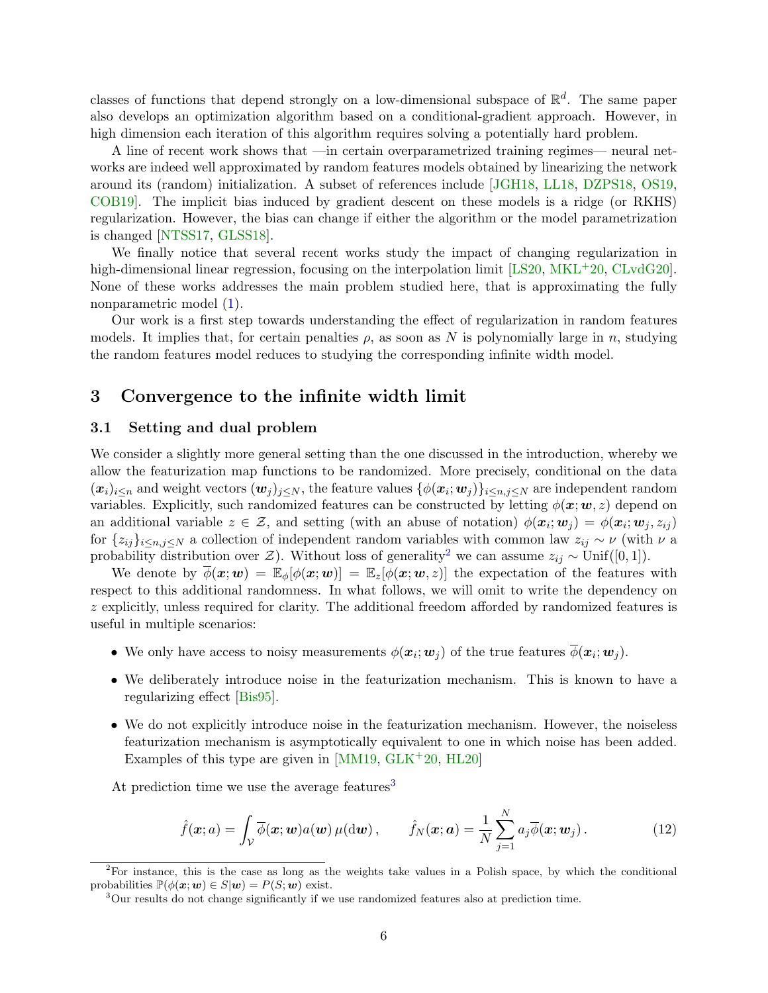classes of functions that depend strongly on a low-dimensional subspace of  $\mathbb{R}^d$ . The same paper also develops an optimization algorithm based on a conditional-gradient approach. However, in high dimension each iteration of this algorithm requires solving a potentially hard problem.

A line of recent work shows that —in certain overparametrized training regimes— neural networks are indeed well approximated by random features models obtained by linearizing the network around its (random) initialization. A subset of references include [\[JGH18,](#page-22-0) [LL18,](#page-22-7) [DZPS18,](#page-21-5) [OS19,](#page-22-8) [COB19\]](#page-21-6). The implicit bias induced by gradient descent on these models is a ridge (or RKHS) regularization. However, the bias can change if either the algorithm or the model parametrization is changed [\[NTSS17,](#page-22-9) [GLSS18\]](#page-21-7).

We finally notice that several recent works study the impact of changing regularization in high-dimensional linear regression, focusing on the interpolation limit [\[LS20,](#page-22-10) [MKL](#page-22-11)<sup>+</sup>20, [CLvdG20\]](#page-21-8). None of these works addresses the main problem studied here, that is approximating the fully nonparametric model [\(1\)](#page-1-3).

Our work is a first step towards understanding the effect of regularization in random features models. It implies that, for certain penalties  $\rho$ , as soon as N is polynomially large in n, studying the random features model reduces to studying the corresponding infinite width model.

### <span id="page-5-0"></span>3 Convergence to the infinite width limit

### <span id="page-5-1"></span>3.1 Setting and dual problem

We consider a slightly more general setting than the one discussed in the introduction, whereby we allow the featurization map functions to be randomized. More precisely, conditional on the data  $(x_i)_{i\leq n}$  and weight vectors  $(w_j)_{j\leq N}$ , the feature values  $\{\phi(x_i; w_j)\}_{i\leq n, j\leq N}$  are independent random variables. Explicitly, such randomized features can be constructed by letting  $\phi(\mathbf{x}; \mathbf{w}, z)$  depend on an additional variable  $z \in \mathcal{Z}$ , and setting (with an abuse of notation)  $\phi(\mathbf{x}_i; \mathbf{w}_j) = \phi(\mathbf{x}_i; \mathbf{w}_j, z_{ij})$ for  $\{z_{ij}\}_{i\leq n,j\leq N}$  a collection of independent random variables with common law  $z_{ij} \sim \nu$  (with  $\nu$  a probability distribution over  $\mathcal{Z}$ ). Without loss of generality<sup>[2](#page-5-2)</sup> we can assume  $z_{ij} \sim \text{Unif}([0, 1]).$ 

We denote by  $\overline{\phi}(\mathbf{x};\mathbf{w}) = \mathbb{E}_{\phi}[\phi(\mathbf{x};\mathbf{w})] = \mathbb{E}_{z}[\phi(\mathbf{x};\mathbf{w},z)]$  the expectation of the features with respect to this additional randomness. In what follows, we will omit to write the dependency on z explicitly, unless required for clarity. The additional freedom afforded by randomized features is useful in multiple scenarios:

- We only have access to noisy measurements  $\phi(\mathbf{x}_i; \mathbf{w}_j)$  of the true features  $\phi(\mathbf{x}_i; \mathbf{w}_j)$ .
- We deliberately introduce noise in the featurization mechanism. This is known to have a regularizing effect [\[Bis95\]](#page-21-9).
- We do not explicitly introduce noise in the featurization mechanism. However, the noiseless featurization mechanism is asymptotically equivalent to one in which noise has been added. Examples of this type are given in  $[MM19, GLK^+20, HL20]$  $[MM19, GLK^+20, HL20]$  $[MM19, GLK^+20, HL20]$  $[MM19, GLK^+20, HL20]$

At prediction time we use the average features<sup>[3](#page-5-3)</sup>

$$
\hat{f}(\boldsymbol{x};a) = \int_{\mathcal{V}} \overline{\phi}(\boldsymbol{x};\boldsymbol{w}) a(\boldsymbol{w}) \mu(\mathrm{d}\boldsymbol{w}) , \qquad \hat{f}_N(\boldsymbol{x};\boldsymbol{a}) = \frac{1}{N} \sum_{j=1}^N a_j \overline{\phi}(\boldsymbol{x};\boldsymbol{w}_j) . \tag{12}
$$

<span id="page-5-2"></span><sup>&</sup>lt;sup>2</sup>For instance, this is the case as long as the weights take values in a Polish space, by which the conditional probabilities  $\mathbb{P}(\phi(\mathbf{x}; \mathbf{w}) \in S | \mathbf{w}) = P(S; \mathbf{w})$  exist.

<span id="page-5-3"></span><sup>&</sup>lt;sup>3</sup>Our results do not change significantly if we use randomized features also at prediction time.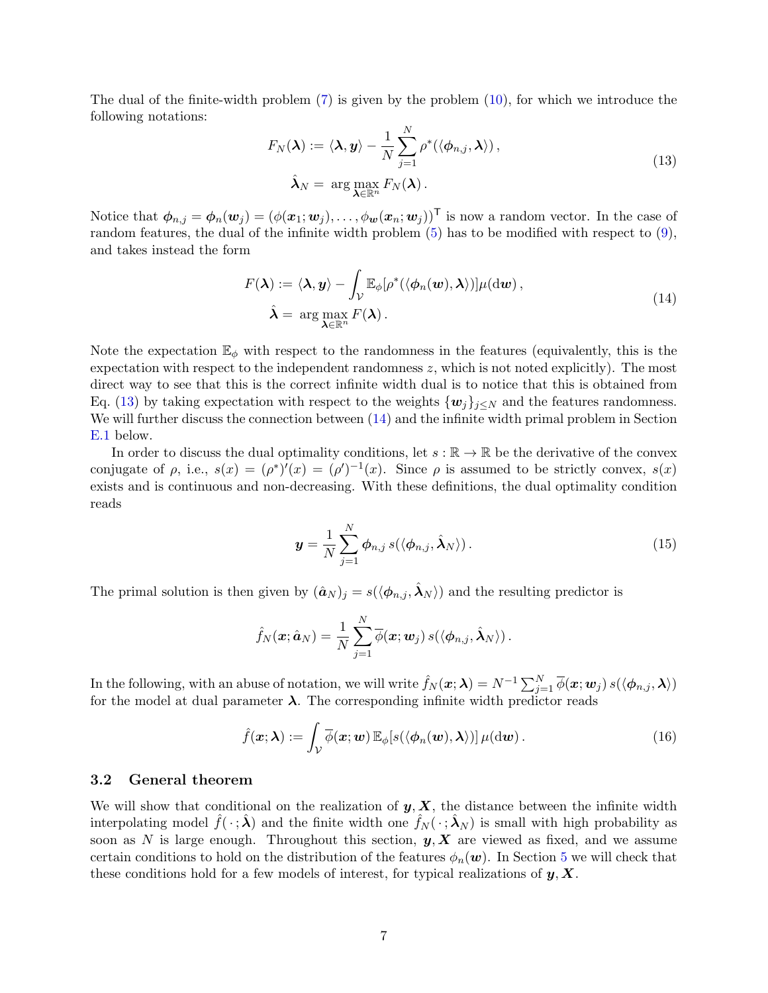The dual of the finite-width problem [\(7\)](#page-3-2) is given by the problem [\(10\)](#page-4-1), for which we introduce the following notations:

<span id="page-6-1"></span>
$$
F_N(\boldsymbol{\lambda}) := \langle \boldsymbol{\lambda}, \boldsymbol{y} \rangle - \frac{1}{N} \sum_{j=1}^N \rho^* (\langle \boldsymbol{\phi}_{n,j}, \boldsymbol{\lambda} \rangle),
$$
  

$$
\hat{\boldsymbol{\lambda}}_N = \arg \max_{\boldsymbol{\lambda} \in \mathbb{R}^n} F_N(\boldsymbol{\lambda}).
$$
 (13)

Notice that  $\phi_{n,j} = \phi_n(\mathbf{w}_j) = (\phi(\mathbf{x}_1; \mathbf{w}_j), \dots, \phi(\mathbf{w}_n; \mathbf{w}_j))^T$  is now a random vector. In the case of random features, the dual of the infinite width problem [\(5\)](#page-2-1) has to be modified with respect to [\(9\)](#page-4-2), and takes instead the form

<span id="page-6-2"></span>
$$
F(\boldsymbol{\lambda}) := \langle \boldsymbol{\lambda}, \boldsymbol{y} \rangle - \int_{\mathcal{V}} \mathbb{E}_{\phi} [\rho^* (\langle \phi_n(\boldsymbol{w}), \boldsymbol{\lambda} \rangle)] \mu(\mathrm{d}\boldsymbol{w}),
$$
  

$$
\hat{\boldsymbol{\lambda}} = \arg \max_{\boldsymbol{\lambda} \in \mathbb{R}^n} F(\boldsymbol{\lambda}).
$$
 (14)

Note the expectation  $\mathbb{E}_{\phi}$  with respect to the randomness in the features (equivalently, this is the expectation with respect to the independent randomness  $z$ , which is not noted explicitly). The most direct way to see that this is the correct infinite width dual is to notice that this is obtained from Eq. [\(13\)](#page-6-1) by taking expectation with respect to the weights  $\{w_j\}_{j\leq N}$  and the features randomness. We will further discuss the connection between  $(14)$  and the infinite width primal problem in Section [E.1](#page-38-1) below.

In order to discuss the dual optimality conditions, let  $s : \mathbb{R} \to \mathbb{R}$  be the derivative of the convex conjugate of  $\rho$ , i.e.,  $s(x) = (\rho^*)'(x) = (\rho')^{-1}(x)$ . Since  $\rho$  is assumed to be strictly convex,  $s(x)$ exists and is continuous and non-decreasing. With these definitions, the dual optimality condition reads

<span id="page-6-3"></span>
$$
\boldsymbol{y} = \frac{1}{N} \sum_{j=1}^{N} \boldsymbol{\phi}_{n,j} \, s(\langle \boldsymbol{\phi}_{n,j}, \hat{\boldsymbol{\lambda}}_N \rangle) \,. \tag{15}
$$

The primal solution is then given by  $(\hat{\boldsymbol{a}}_N)_j = s(\langle \boldsymbol{\phi}_{n,j}, \hat{\boldsymbol{\lambda}}_N \rangle)$  and the resulting predictor is

$$
\hat{f}_N(\boldsymbol{x}; \hat{\boldsymbol{a}}_N) = \frac{1}{N} \sum_{j=1}^N \overline{\phi}(\boldsymbol{x}; \boldsymbol{w}_j) \, s(\langle \boldsymbol{\phi}_{n,j}, \hat{\boldsymbol{\lambda}}_N \rangle) \, .
$$

In the following, with an abuse of notation, we will write  $\hat{f}_N(\bm{x}; \bm{\lambda}) = N^{-1} \sum_{j=1}^N \overline{\phi}(\bm{x}; \bm{w}_j) s(\langle \bm{\phi}_{n,j}, \bm{\lambda} \rangle)$ for the model at dual parameter  $\lambda$ . The corresponding infinite width predictor reads

$$
\hat{f}(\boldsymbol{x}; \boldsymbol{\lambda}) := \int_{\mathcal{V}} \overline{\phi}(\boldsymbol{x}; \boldsymbol{w}) \mathbb{E}_{\phi}[s(\langle \phi_n(\boldsymbol{w}), \boldsymbol{\lambda} \rangle)] \mu(\mathrm{d}\boldsymbol{w}). \tag{16}
$$

### <span id="page-6-0"></span>3.2 General theorem

We will show that conditional on the realization of  $y, X$ , the distance between the infinite width interpolating model  $f(\cdot; \lambda)$  and the finite width one  $f_N(\cdot; \lambda_N)$  is small with high probability as soon as N is large enough. Throughout this section,  $y, X$  are viewed as fixed, and we assume certain conditions to hold on the distribution of the features  $\phi_n(\mathbf{w})$ . In Section [5](#page-12-0) we will check that these conditions hold for a few models of interest, for typical realizations of  $y, X$ .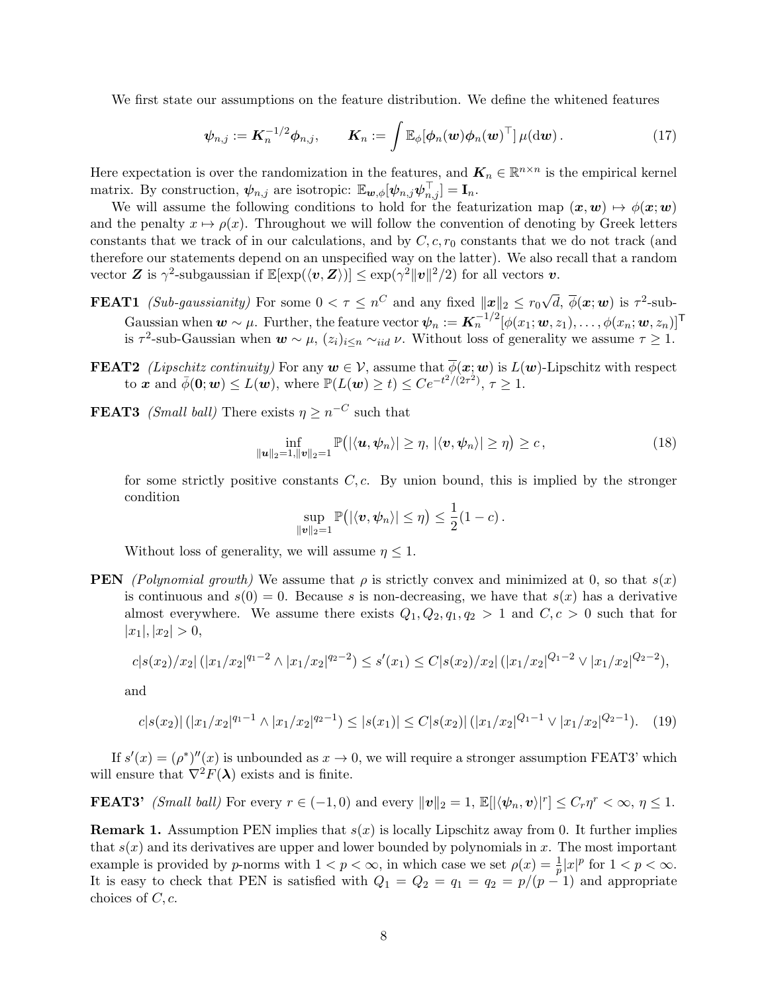We first state our assumptions on the feature distribution. We define the whitened features

$$
\boldsymbol{\psi}_{n,j} := \boldsymbol{K}_n^{-1/2} \boldsymbol{\phi}_{n,j}, \qquad \boldsymbol{K}_n := \int \mathbb{E}_{\phi} [\boldsymbol{\phi}_n(\boldsymbol{w}) \boldsymbol{\phi}_n(\boldsymbol{w})^\top] \mu(\mathrm{d}\boldsymbol{w}). \tag{17}
$$

Here expectation is over the randomization in the features, and  $\mathbf{K}_n \in \mathbb{R}^{n \times n}$  is the empirical kernel matrix. By construction,  $\psi_{n,j}$  are isotropic:  $\mathbb{E}_{w,\phi}[\psi_{n,j}\psi_{n,j}^{\top}] = \mathbf{I}_n$ .

We will assume the following conditions to hold for the featurization map  $(x, w) \mapsto \phi(x; w)$ and the penalty  $x \mapsto \rho(x)$ . Throughout we will follow the convention of denoting by Greek letters constants that we track of in our calculations, and by  $C, c, r_0$  constants that we do not track (and therefore our statements depend on an unspecified way on the latter). We also recall that a random vector **Z** is  $\gamma^2$ -subgaussian if  $\mathbb{E}[\exp(\langle v, \mathbf{Z} \rangle)] \leq \exp(\gamma^2 ||v||^2 / 2)$  for all vectors **v**.

- **FEAT1** (Sub-gaussianity) For some  $0 < \tau \leq n^C$  and any fixed  $||x||_2 \leq r_0 \sqrt{n}$  $\overline{d}, \, \overline{\phi}(\boldsymbol{x};\boldsymbol{w})$  is  $\tau^2\text{-sub-}$ Gaussian when  $w \sim \mu$ . Further, the feature vector  $\psi_n := \mathbf{K}_n^{-1/2} [\phi(x_1; w, z_1), \dots, \phi(x_n; w, z_n)]^{\mathsf{T}}$ is  $\tau^2$ -sub-Gaussian when  $w \sim \mu$ ,  $(z_i)_{i \leq n} \sim_{iid} \nu$ . Without loss of generality we assume  $\tau \geq 1$ .
- **FEAT2** (Lipschitz continuity) For any  $w \in V$ , assume that  $\overline{\phi}(x; w)$  is  $L(w)$ -Lipschitz with respect to x and  $\bar{\phi}(0; w) \le L(w)$ , where  $\mathbb{P}(L(w) \ge t) \le Ce^{-t^2/(2\tau^2)}$ ,  $\tau \ge 1$ .
- **FEAT3** *(Small ball)* There exists  $\eta \geq n^{-C}$  such that

$$
\inf_{\|\boldsymbol{u}\|_2=1,\|\boldsymbol{v}\|_2=1}\mathbb{P}\big(\left|\langle\boldsymbol{u},\boldsymbol{\psi}_n\rangle\right|\geq\eta,\,\left|\langle\boldsymbol{v},\boldsymbol{\psi}_n\rangle\right|\geq\eta\big)\geq c\,,\tag{18}
$$

for some strictly positive constants  $C, c$ . By union bound, this is implied by the stronger condition

<span id="page-7-0"></span>
$$
\sup_{\|\boldsymbol{v}\|_2=1}\mathbb{P}(|\langle \boldsymbol{v}, \boldsymbol{\psi}_n\rangle|\leq \eta)\leq \frac{1}{2}(1-c)\,.
$$

Without loss of generality, we will assume  $\eta \leq 1$ .

**PEN** (Polynomial growth) We assume that  $\rho$  is strictly convex and minimized at 0, so that  $s(x)$ is continuous and  $s(0) = 0$ . Because s is non-decreasing, we have that  $s(x)$  has a derivative almost everywhere. We assume there exists  $Q_1, Q_2, q_1, q_2 > 1$  and  $C, c > 0$  such that for  $|x_1|, |x_2| > 0,$ 

$$
c|s(x_2)/x_2| (|x_1/x_2|^{q_1-2} \wedge |x_1/x_2|^{q_2-2}) \le s'(x_1) \le C|s(x_2)/x_2| (|x_1/x_2|^{Q_1-2} \vee |x_1/x_2|^{Q_2-2}),
$$

and

$$
c|s(x_2)|(|x_1/x_2|^{q_1-1} \wedge |x_1/x_2|^{q_2-1}) \le |s(x_1)| \le C|s(x_2)|(|x_1/x_2|^{Q_1-1} \vee |x_1/x_2|^{Q_2-1}). \tag{19}
$$

If  $s'(x) = (\rho^*)''(x)$  is unbounded as  $x \to 0$ , we will require a stronger assumption FEAT3' which will ensure that  $\nabla^2 F(\lambda)$  exists and is finite.

**FEAT3'** (Small ball) For every  $r \in (-1,0)$  and every  $\|\mathbf{v}\|_2 = 1$ ,  $\mathbb{E}[|\langle \psi_n, \mathbf{v} \rangle|^r] \leq C_r \eta^r < \infty$ ,  $\eta \leq 1$ .

**Remark 1.** Assumption PEN implies that  $s(x)$  is locally Lipschitz away from 0. It further implies that  $s(x)$  and its derivatives are upper and lower bounded by polynomials in x. The most important example is provided by *p*-norms with  $1 < p < \infty$ , in which case we set  $\rho(x) = \frac{1}{p}|x|^p$  for  $1 < p < \infty$ . It is easy to check that PEN is satisfied with  $Q_1 = Q_2 = q_1 = q_2 = p/(p-1)$  and appropriate choices of  $C, c$ .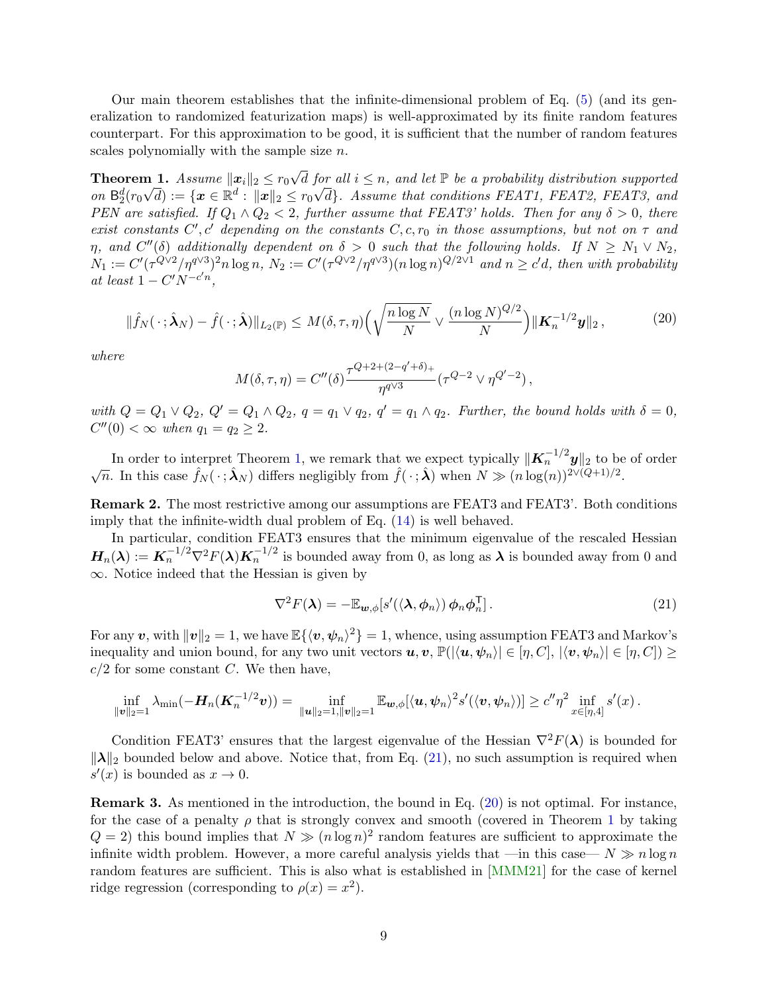Our main theorem establishes that the infinite-dimensional problem of Eq. [\(5\)](#page-2-1) (and its generalization to randomized featurization maps) is well-approximated by its finite random features counterpart. For this approximation to be good, it is sufficient that the number of random features scales polynomially with the sample size n.

<span id="page-8-0"></span>Theorem 1.  $Assume \, \| \boldsymbol{x}_i \|_2 \leq r_0$ **n** 1. Assume  $\|\boldsymbol{x}_i\|_2 \leq r_0\sqrt{d}$  for all  $i \leq n$ , and let  $\mathbb P$  be a probability distribution supported on  $\mathbb{B}_2^d(r_0\sqrt{d}) := \{x \in \mathbb{R}^d : ||x||_2 \leq r_0\sqrt{d}\}$ . Assume that conditions FEAT1, FEAT2, FEAT3, and PEN are satisfied. If  $Q_1 \wedge Q_2 < 2$ , further assume that FEAT3' holds. Then for any  $\delta > 0$ , there exist constants C', c' depending on the constants  $C, c, r_0$  in those assumptions, but not on  $\tau$  and  $\eta$ , and  $C''(\delta)$  additionally dependent on  $\delta > 0$  such that the following holds. If  $N \ge N_1 \vee N_2$ ,  $N_1 := C'(\tau^{Q\vee 2}/\eta^{q\vee 3})^2 n \log n, N_2 := C'(\tau^{Q\vee 2}/\eta^{q\vee 3})(n \log n)^{Q/2\vee 1}$  and  $n \ge c'd$ , then with probability at least  $1 - C'N^{-c'n},$ 

<span id="page-8-2"></span>
$$
\|\hat{f}_N(\cdot;\hat{\boldsymbol{\lambda}}_N) - \hat{f}(\cdot;\hat{\boldsymbol{\lambda}})\|_{L_2(\mathbb{P})} \le M(\delta,\tau,\eta) \Big(\sqrt{\frac{n\log N}{N}} \vee \frac{(n\log N)^{Q/2}}{N}\Big) \|\mathbf{K}_n^{-1/2}\mathbf{y}\|_2\,,\tag{20}
$$

where

$$
M(\delta, \tau, \eta) = C''(\delta) \frac{\tau^{Q+2+(2-q'+\delta)_+}}{\eta^{q \vee 3}} (\tau^{Q-2} \vee \eta^{Q'-2}),
$$

with  $Q = Q_1 \vee Q_2$ ,  $Q' = Q_1 \wedge Q_2$ ,  $q = q_1 \vee q_2$ ,  $q' = q_1 \wedge q_2$ . Further, the bound holds with  $\delta = 0$ ,  $C''(0) < \infty$  when  $q_1 = q_2 \ge 2$ .

In order to interpret Theorem [1,](#page-8-0) we remark that we expect typically  $\|\boldsymbol{K}_n^{-1/2}\boldsymbol{y}\|_2$  to be of order In order to interpret Theorem 1, we remark that we expect typically  $\|\mathbf{A}_n\|$   $\mathbf{y}\|_2$  to be  $\sqrt{n}$ . In this case  $\hat{f}_N(\cdot;\hat{\boldsymbol{\lambda}}_N)$  differs negligibly from  $\hat{f}(\cdot;\hat{\boldsymbol{\lambda}})$  when  $N \gg (n \log(n))^{2\vee (Q+1)/2}$ .

<span id="page-8-3"></span>Remark 2. The most restrictive among our assumptions are FEAT3 and FEAT3'. Both conditions imply that the infinite-width dual problem of Eq. [\(14\)](#page-6-2) is well behaved.

In particular, condition FEAT3 ensures that the minimum eigenvalue of the rescaled Hessian  $H_n(\lambda) := K_n^{-1/2} \nabla^2 F(\lambda) K_n^{-1/2}$  is bounded away from 0, as long as  $\lambda$  is bounded away from 0 and ∞. Notice indeed that the Hessian is given by

<span id="page-8-1"></span>
$$
\nabla^2 F(\lambda) = -\mathbb{E}_{\mathbf{w},\phi}[s'(\langle \lambda,\phi_n \rangle) \phi_n \phi_n^{\mathsf{T}}]. \tag{21}
$$

For any  $\bm{v}$ , with  $\|\bm{v}\|_2 = 1$ , we have  $\mathbb{E}\{\langle \bm{v}, \bm{\psi}_n \rangle^2\} = 1$ , whence, using assumption FEAT3 and Markov's inequality and union bound, for any two unit vectors  $u, v, \mathbb{P}(|\langle u, \psi_n \rangle| \in [\eta, C], |\langle v, \psi_n \rangle| \in [\eta, C]) \ge$  $c/2$  for some constant C. We then have,

$$
\inf_{\|\bm{v}\|_2=1} \lambda_{\min}(-\bm{H}_n(\bm{K}_n^{-1/2}\bm{v})) = \inf_{\|\bm{u}\|_2=1, \|\bm{v}\|_2=1} \mathbb{E}_{\bm{w},\phi}[\langle \bm{u}, \bm{\psi}_n \rangle^2 s'(\langle \bm{v}, \bm{\psi}_n \rangle)] \geq c''\eta^2 \inf_{x \in [\eta,4]} s'(x).
$$

Condition FEAT3' ensures that the largest eigenvalue of the Hessian  $\nabla^2 F(\lambda)$  is bounded for  $\|\lambda\|_2$  bounded below and above. Notice that, from Eq. [\(21\)](#page-8-1), no such assumption is required when  $s'(x)$  is bounded as  $x \to 0$ .

Remark 3. As mentioned in the introduction, the bound in Eq. [\(20\)](#page-8-2) is not optimal. For instance, for the case of a penalty  $\rho$  that is strongly convex and smooth (covered in Theorem [1](#page-8-0) by taking  $Q = 2$ ) this bound implies that  $N \gg (n \log n)^2$  random features are sufficient to approximate the infinite width problem. However, a more careful analysis yields that —in this case—  $N \gg n \log n$ random features are sufficient. This is also what is established in [\[MMM21\]](#page-22-3) for the case of kernel ridge regression (corresponding to  $\rho(x) = x^2$ ).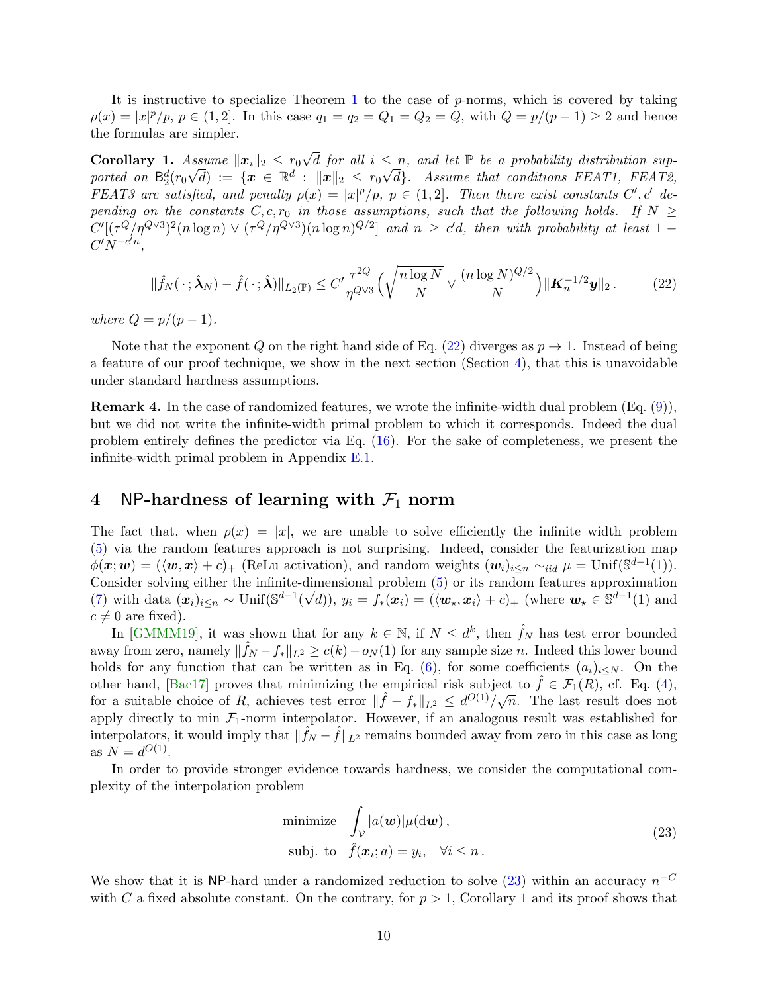It is instructive to specialize Theorem [1](#page-8-0) to the case of p-norms, which is covered by taking  $\rho(x) = |x|^p / p, p \in (1, 2].$  In this case  $q_1 = q_2 = Q_1 = Q_2 = Q$ , with  $Q = p/(p-1) \ge 2$  and hence the formulas are simpler.

<span id="page-9-3"></span>Corollary 1. Assume  $\|\boldsymbol{x}_i\|_2 \leq r_0$  $A_{\text{ssume}} \|x_i\|_2 \leq r_0 \sqrt{d}$  for all  $i \leq n$ , and let  $\mathbb P$  be a probability distribution supported on  $\mathsf{B}_2^d(r_0\sqrt{d}) \ := \ \{\bm{x}\ \in \ \mathbb{R}^d \ : \ \|\bm{x}\|_2 \ \leq \ r_0\sqrt{d}\}.$  Assume that conditions FEAT1, FEAT2, FEAT3 are satisfied, and penalty  $\rho(x) = |x|^p/p$ ,  $p \in (1,2]$ . Then there exist constants C', c' depending on the constants  $C, c, r_0$  in those assumptions, such that the following holds. If  $N \geq$  $C'[(\tau^Q/\eta^{Q\vee 3})^2(n\log n) \vee (\tau^Q/\eta^{Q\vee 3})(n\log n)^{Q/2}]$  and  $n \geq c'd$ , then with probability at least 1 –  $C'N^{-c'n},$ 

<span id="page-9-1"></span>
$$
\|\hat{f}_N(\,\cdot\,;\hat{\boldsymbol{\lambda}}_N) - \hat{f}(\,\cdot\,;\hat{\boldsymbol{\lambda}})\|_{L_2(\mathbb{P})} \le C' \frac{\tau^{2Q}}{\eta^{Q\vee 3}} \Big(\sqrt{\frac{n\log N}{N}} \vee \frac{(n\log N)^{Q/2}}{N}\Big) \|\mathbf{K}_n^{-1/2}\mathbf{y}\|_2. \tag{22}
$$

where  $Q = p/(p-1)$ .

Note that the exponent Q on the right hand side of Eq. [\(22\)](#page-9-1) diverges as  $p \to 1$ . Instead of being a feature of our proof technique, we show in the next section (Section [4\)](#page-9-0), that this is unavoidable under standard hardness assumptions.

Remark 4. In the case of randomized features, we wrote the infinite-width dual problem (Eq. [\(9\)](#page-4-2)), but we did not write the infinite-width primal problem to which it corresponds. Indeed the dual problem entirely defines the predictor via Eq. [\(16\)](#page-6-3). For the sake of completeness, we present the infinite-width primal problem in Appendix [E.1.](#page-38-1)

## <span id="page-9-0"></span>4 NP-hardness of learning with  $\mathcal{F}_1$  norm

The fact that, when  $\rho(x) = |x|$ , we are unable to solve efficiently the infinite width problem [\(5\)](#page-2-1) via the random features approach is not surprising. Indeed, consider the featurization map  $\phi(\mathbf{x}; \mathbf{w}) = (\langle \mathbf{w}, \mathbf{x} \rangle + c)_+$  (ReLu activation), and random weights  $(\mathbf{w}_i)_{i \leq n} \sim_{iid} \mu = \text{Unif}(\mathbb{S}^{d-1}(1)).$ Consider solving either the infinite-dimensional problem  $(5)$  or its random features approximation [\(7\)](#page-3-2) with data  $(x_i)_{i\leq n} \sim \text{Unif}(\mathbb{S}^{d-1}(\sqrt{d})), y_i = f_*(x_i) = (\langle \boldsymbol{w}_\star, \boldsymbol{x}_i \rangle + c)_+$  (where  $\boldsymbol{w}_\star \in \mathbb{S}^{d-1}(1)$  and  $c \neq 0$  are fixed).

In [\[GMMM19\]](#page-21-0), it was shown that for any  $k \in \mathbb{N}$ , if  $N \leq d^k$ , then  $\hat{f}_N$  has test error bounded away from zero, namely  $\|\hat{f}_N - f_*\|_{L^2} \ge c(k) - o_N(1)$  for any sample size n. Indeed this lower bound holds for any function that can be written as in Eq. [\(6\)](#page-3-4), for some coefficients  $(a_i)_{i\leq N}$ . On the other hand, [\[Bac17\]](#page-20-0) proves that minimizing the empirical risk subject to  $\hat{f} \in \mathcal{F}_1(R)$ , cf. Eq. [\(4\)](#page-2-2), for a suitable choice of R, achieves test error  $\|\hat{f} - f_*\|_{L^2} \leq d^{\mathcal{O}(1)}/\sqrt{n}$ . The last result does not apply directly to min  $\mathcal{F}_1$ -norm interpolator. However, if an analogous result was established for interpolators, it would imply that  $\|\hat{f}_N - \hat{f}\|_{L^2}$  remains bounded away from zero in this case as long as  $N = d^{O(1)}$ .

In order to provide stronger evidence towards hardness, we consider the computational complexity of the interpolation problem

<span id="page-9-2"></span>minimize 
$$
\int_{\mathcal{V}} |a(\boldsymbol{w})| \mu(\mathrm{d}\boldsymbol{w}),
$$
  
subj. to  $\hat{f}(\boldsymbol{x}_i; a) = y_i, \quad \forall i \leq n.$  (23)

We show that it is NP-hard under a randomized reduction to solve  $(23)$  within an accuracy  $n^{-C}$ with C a fixed absolute constant. On the contrary, for  $p > 1$  $p > 1$ , Corollary 1 and its proof shows that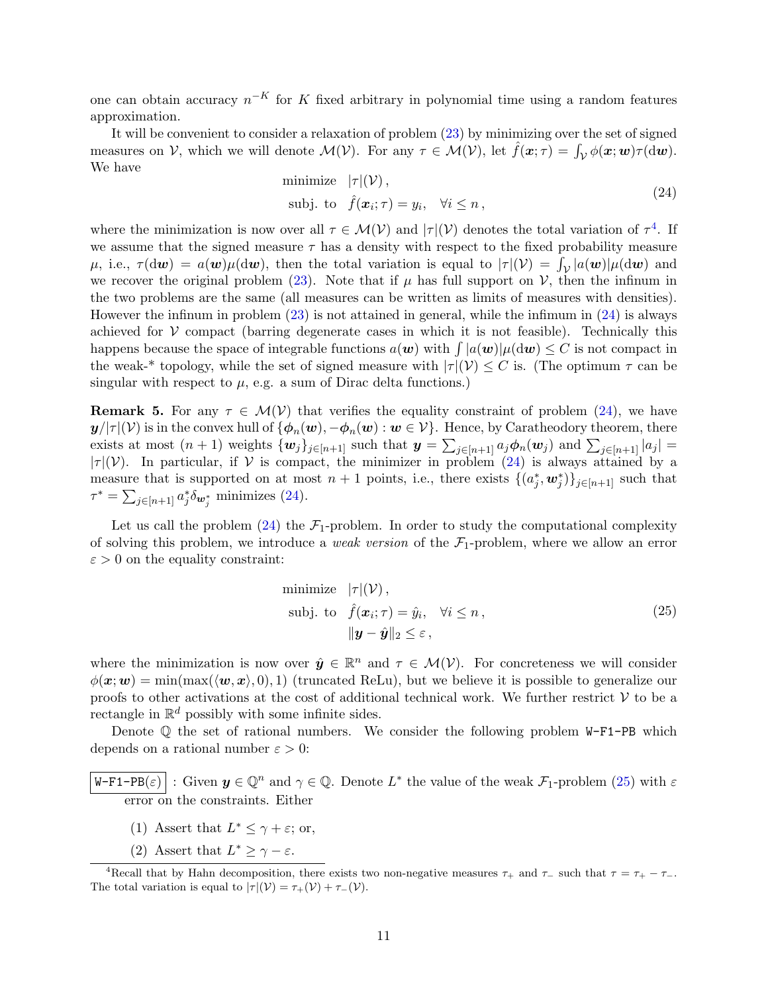one can obtain accuracy  $n^{-K}$  for K fixed arbitrary in polynomial time using a random features approximation.

It will be convenient to consider a relaxation of problem [\(23\)](#page-9-2) by minimizing over the set of signed measures on V, which we will denote  $\mathcal{M}(\mathcal{V})$ . For any  $\tau \in \mathcal{M}(\mathcal{V})$ , let  $\hat{f}(\boldsymbol{x}; \tau) = \int_{\mathcal{V}} \phi(\boldsymbol{x}; \boldsymbol{w}) \tau(\mathrm{d}\boldsymbol{w})$ . We have

<span id="page-10-1"></span>minimize 
$$
|\tau|(\mathcal{V}),
$$
  
subj. to  $\hat{f}(\mathbf{x}_i; \tau) = y_i, \quad \forall i \leq n,$  (24)

where the minimization is now over all  $\tau \in \mathcal{M}(\mathcal{V})$  and  $|\tau|(\mathcal{V})$  denotes the total variation of  $\tau^4$  $\tau^4$ . If we assume that the signed measure  $\tau$  has a density with respect to the fixed probability measure  $\mu$ , i.e.,  $\tau(\mathrm{d}\mathbf{w}) = a(\mathbf{w})\mu(\mathrm{d}\mathbf{w})$ , then the total variation is equal to  $|\tau|(\mathcal{V}) = \int_{\mathcal{V}} |a(\mathbf{w})| \mu(\mathrm{d}\mathbf{w})$  and we recover the original problem [\(23\)](#page-9-2). Note that if  $\mu$  has full support on  $\mathcal{V}$ , then the infinum in the two problems are the same (all measures can be written as limits of measures with densities). However the infinum in problem [\(23\)](#page-9-2) is not attained in general, while the infimum in [\(24\)](#page-10-1) is always achieved for  $V$  compact (barring degenerate cases in which it is not feasible). Technically this happens because the space of integrable functions  $a(\bm{w})$  with  $\int |a(\bm{w})| \mu(\mathrm{d}\bm{w}) \leq C$  is not compact in the weak-\* topology, while the set of signed measure with  $|\tau|(\mathcal{V}) \leq C$  is. (The optimum  $\tau$  can be singular with respect to  $\mu$ , e.g. a sum of Dirac delta functions.)

**Remark 5.** For any  $\tau \in \mathcal{M}(\mathcal{V})$  that verifies the equality constraint of problem [\(24\)](#page-10-1), we have  $y/|\tau|(\mathcal{V})$  is in the convex hull of  $\{\phi_n(\boldsymbol{w}), -\phi_n(\boldsymbol{w}) : \boldsymbol{w} \in \mathcal{V}\}\)$ . Hence, by Caratheodory theorem, there exists at most  $(n+1)$  weights  $\{w_j\}_{j\in[n+1]}$  such that  $y = \sum_{j\in[n+1]} a_j \phi_n(w_j)$  and  $\sum_{j\in[n+1]} |a_j|$  $|\tau|(\mathcal{V})$ . In particular, if V is compact, the minimizer in problem [\(24\)](#page-10-1) is always attained by a measure that is supported on at most  $n+1$  points, i.e., there exists  $\{(a_j^*, \mathbf{w}_j^*)\}_{j\in[n+1]}$  such that  $\tau^* = \sum_{j \in [n+1]} a_j^* \delta_{\mathbf{w}_j^*}$  minimizes [\(24\)](#page-10-1).

Let us call the problem  $(24)$  the  $\mathcal{F}_1$ -problem. In order to study the computational complexity of solving this problem, we introduce a *weak version* of the  $\mathcal{F}_1$ -problem, where we allow an error  $\varepsilon > 0$  on the equality constraint:

<span id="page-10-2"></span>minimize 
$$
|\tau|(\mathcal{V}),
$$
  
\nsubj. to  $\hat{f}(\mathbf{x}_i; \tau) = \hat{y}_i, \quad \forall i \leq n,$   
\n
$$
\|\mathbf{y} - \hat{\mathbf{y}}\|_2 \leq \varepsilon,
$$
\n(25)

where the minimization is now over  $\hat{y} \in \mathbb{R}^n$  and  $\tau \in \mathcal{M}(V)$ . For concreteness we will consider  $\phi(x; w) = \min(\max(\langle w, x \rangle, 0), 1)$  (truncated ReLu), but we believe it is possible to generalize our proofs to other activations at the cost of additional technical work. We further restrict  $V$  to be a rectangle in  $\mathbb{R}^d$  possibly with some infinite sides.

Denote  $\mathbb Q$  the set of rational numbers. We consider the following problem W-F1-PB which depends on a rational number  $\varepsilon > 0$ :

 $\mathsf{W}\text{-}\mathsf{F1}\text{-}\mathsf{PB}(\varepsilon)$  : Given  $\mathbf{y}\in\mathbb{Q}^n$  and  $\gamma\in\mathbb{Q}$ . Denote  $L^*$  the value of the weak  $\mathcal{F}_1$ -problem  $(25)$  with  $\varepsilon$ error on the constraints. Either

- (1) Assert that  $L^* \leq \gamma + \varepsilon$ ; or,
- (2) Assert that  $L^* \geq \gamma \varepsilon$ .

<span id="page-10-0"></span><sup>&</sup>lt;sup>4</sup>Recall that by Hahn decomposition, there exists two non-negative measures  $\tau_+$  and  $\tau_-$  such that  $\tau = \tau_+ - \tau_-$ . The total variation is equal to  $|\tau|(\mathcal{V}) = \tau_+(\mathcal{V}) + \tau_-(\mathcal{V})$ .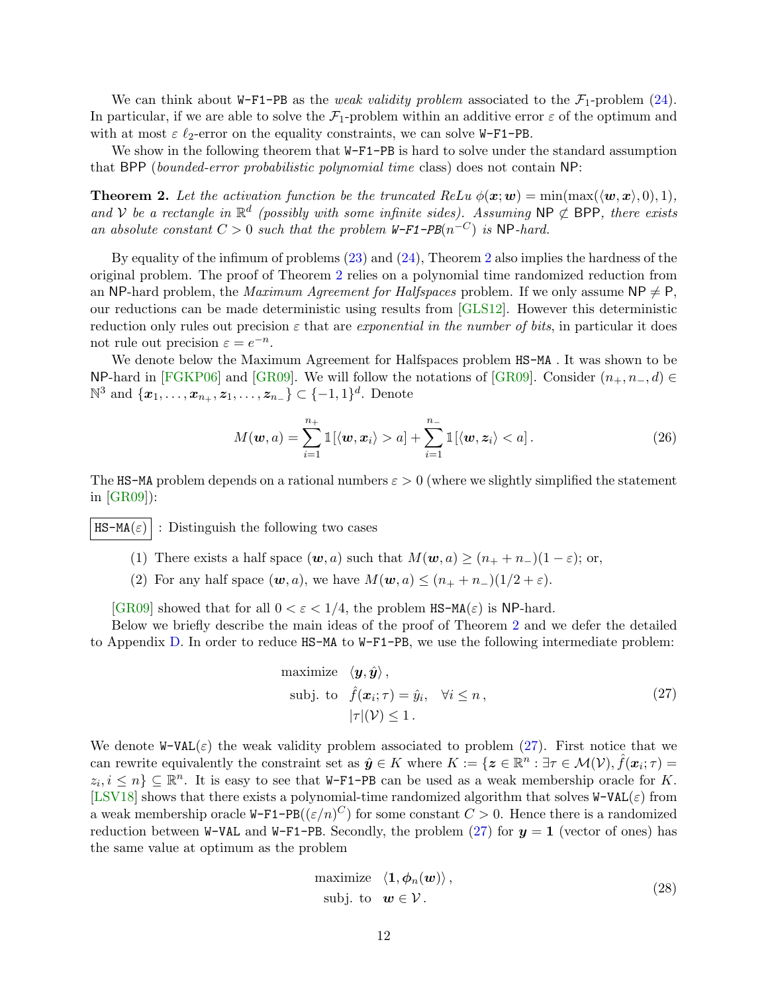We can think about W-F1-PB as the *weak validity problem* associated to the  $\mathcal{F}_1$ -problem [\(24\)](#page-10-1). In particular, if we are able to solve the  $\mathcal{F}_1$ -problem within an additive error  $\varepsilon$  of the optimum and with at most  $\varepsilon \ell_2$ -error on the equality constraints, we can solve W-F1-PB.

We show in the following theorem that  $W-F1-PB$  is hard to solve under the standard assumption that BPP (bounded-error probabilistic polynomial time class) does not contain NP:

<span id="page-11-0"></span>**Theorem 2.** Let the activation function be the truncated  $ReLu \phi(\mathbf{x}; \mathbf{w}) = min(max(\langle \mathbf{w}, \mathbf{x} \rangle, 0), 1),$ and V be a rectangle in  $\mathbb{R}^d$  (possibly with some infinite sides). Assuming NP  $\not\subset$  BPP, there exists an absolute constant  $C > 0$  such that the problem W-F1-PB( $n^{-C}$ ) is NP-hard.

By equality of the infimum of problems [\(23\)](#page-9-2) and [\(24\)](#page-10-1), Theorem [2](#page-11-0) also implies the hardness of the original problem. The proof of Theorem [2](#page-11-0) relies on a polynomial time randomized reduction from an NP-hard problem, the *Maximum Agreement for Halfspaces* problem. If we only assume  $NP \neq P$ , our reductions can be made deterministic using results from [\[GLS12\]](#page-21-11). However this deterministic reduction only rules out precision  $\varepsilon$  that are exponential in the number of bits, in particular it does not rule out precision  $\varepsilon = e^{-n}$ .

We denote below the Maximum Agreement for Halfspaces problem  $HS-MA$ . It was shown to be NP-hard in [\[FGKP06\]](#page-21-1) and [\[GR09\]](#page-21-2). We will follow the notations of [GR09]. Consider  $(n_+, n_-, d) \in$  $\mathbb{N}^3$  and  $\{x_1, \ldots, x_{n_+}, z_1, \ldots, z_{n_-}\}$  ⊂  $\{-1, 1\}^d$ . Denote

<span id="page-11-3"></span>
$$
M(\boldsymbol{w},a)=\sum_{i=1}^{n_+} \mathbb{1}[\langle \boldsymbol{w}, \boldsymbol{x}_i \rangle > a] + \sum_{i=1}^{n_-} \mathbb{1}[\langle \boldsymbol{w}, \boldsymbol{z}_i \rangle < a]. \qquad (26)
$$

The HS-MA problem depends on a rational numbers  $\varepsilon > 0$  (where we slightly simplified the statement in [\[GR09\]](#page-21-2)):

 $\texttt{HS-MA}(\varepsilon)$ : Distinguish the following two cases

- (1) There exists a half space  $(\mathbf{w}, a)$  such that  $M(\mathbf{w}, a) \ge (n_+ + n_-)(1 \varepsilon)$ ; or,
- (2) For any half space  $(\mathbf{w}, a)$ , we have  $M(\mathbf{w}, a) \leq (n_{+} + n_{-})(1/2 + \varepsilon)$ .

[\[GR09\]](#page-21-2) showed that for all  $0 < \varepsilon < 1/4$ , the problem HS-MA( $\varepsilon$ ) is NP-hard.

Below we briefly describe the main ideas of the proof of Theorem [2](#page-11-0) and we defer the detailed to Appendix [D.](#page-35-0) In order to reduce HS-MA to W-F1-PB, we use the following intermediate problem:

<span id="page-11-1"></span>maximize 
$$
\langle \mathbf{y}, \hat{\mathbf{y}} \rangle
$$
,  
\nsubj. to  $\hat{f}(\mathbf{x}_i; \tau) = \hat{y}_i$ ,  $\forall i \leq n$ ,  
\n $|\tau|(\mathcal{V}) \leq 1$ . (27)

We denote  $W-VAL(c)$  the weak validity problem associated to problem [\(27\)](#page-11-1). First notice that we can rewrite equivalently the constraint set as  $\hat{y} \in K$  where  $K := \{ z \in \mathbb{R}^n : \exists \tau \in \mathcal{M}(\mathcal{V}), \hat{f}(\boldsymbol{x}_i; \tau) = \tau \}$  $z_i, i \leq n$   $\subseteq \mathbb{R}^n$ . It is easy to see that W-F1-PB can be used as a weak membership oracle for K. [\[LSV18\]](#page-22-13) shows that there exists a polynomial-time randomized algorithm that solves  $W-VAL(c)$  from a weak membership oracle  $W-F1-PB((\varepsilon/n)^C)$  for some constant  $C > 0$ . Hence there is a randomized reduction between W-VAL and W-F1-PB. Secondly, the problem [\(27\)](#page-11-1) for  $y = 1$  (vector of ones) has the same value at optimum as the problem

<span id="page-11-2"></span>maximize 
$$
\langle \mathbf{1}, \boldsymbol{\phi}_n(\boldsymbol{w}) \rangle
$$
,  
subj. to  $\boldsymbol{w} \in \mathcal{V}$ . (28)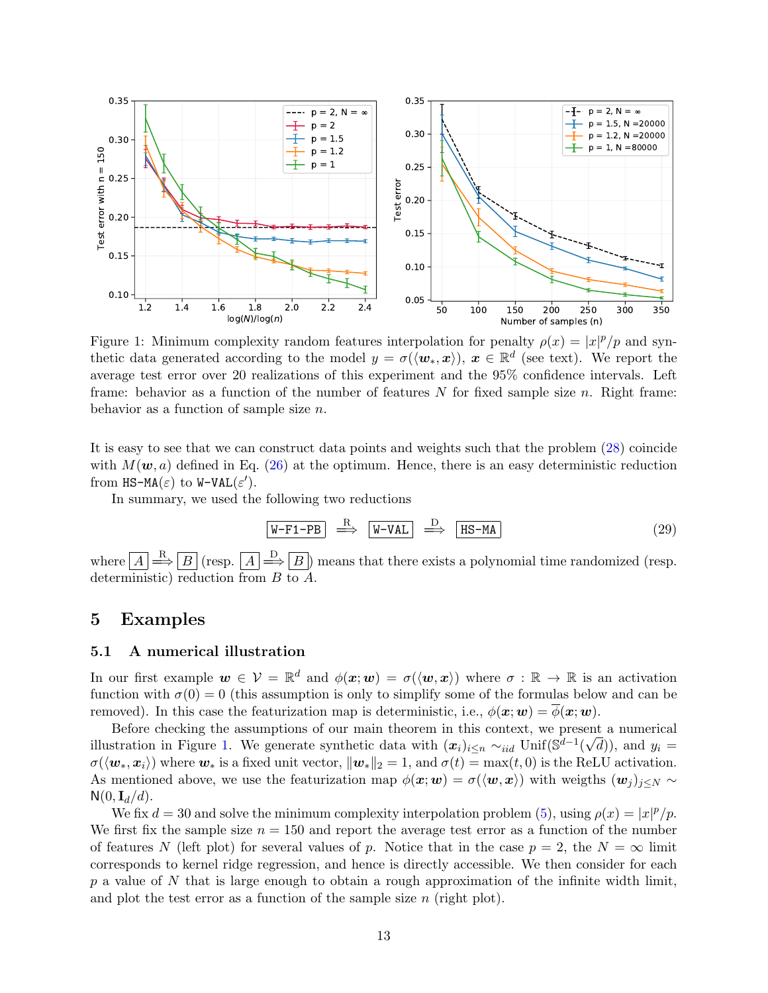

<span id="page-12-2"></span>Figure 1: Minimum complexity random features interpolation for penalty  $\rho(x) = |x|^p/p$  and synthetic data generated according to the model  $y = \sigma({\langle \boldsymbol{w}_*, \boldsymbol{x} \rangle}), \boldsymbol{x} \in \mathbb{R}^d$  (see text). We report the average test error over 20 realizations of this experiment and the 95% confidence intervals. Left frame: behavior as a function of the number of features  $N$  for fixed sample size  $n$ . Right frame: behavior as a function of sample size n.

It is easy to see that we can construct data points and weights such that the problem [\(28\)](#page-11-2) coincide with  $M(\mathbf{w}, a)$  defined in Eq. [\(26\)](#page-11-3) at the optimum. Hence, there is an easy deterministic reduction from  $\texttt{HS-MA}(\varepsilon)$  to  $\texttt{W-VAL}(\varepsilon').$ 

In summary, we used the following two reductions

$$
\overline{\text{W-F1-PB}} \quad \xrightarrow{\text{R}} \quad \overline{\text{W-VAL}} \quad \xrightarrow{\text{D}} \quad \overline{\text{HS-MA}} \tag{29}
$$

where  $\boxed{A} \stackrel{\text{R}}{\Longrightarrow} \boxed{B}$  (resp.  $\boxed{A} \stackrel{\text{D}}{\Longrightarrow} \boxed{B}$ ) means that there exists a polynomial time randomized (resp. deterministic) reduction from B to A.

### <span id="page-12-0"></span>5 Examples

### <span id="page-12-1"></span>5.1 A numerical illustration

In our first example  $w \in \mathcal{V} = \mathbb{R}^d$  and  $\phi(x; w) = \sigma(\langle w, x \rangle)$  where  $\sigma : \mathbb{R} \to \mathbb{R}$  is an activation function with  $\sigma(0) = 0$  (this assumption is only to simplify some of the formulas below and can be removed). In this case the featurization map is deterministic, i.e.,  $\phi(\mathbf{x}; \mathbf{w}) = \overline{\phi(\mathbf{x}; \mathbf{w})}$ .

Before checking the assumptions of our main theorem in this context, we present a numerical illustration in Figure [1.](#page-12-2) We generate synthetic data with  $(x_i)_{i\leq n} \sim_{iid} \text{Unif}(\mathbb{S}^{d-1}(\sqrt{d}))$ , and  $y_i =$  $\sigma(\langle \boldsymbol{w}_*, \boldsymbol{x}_i \rangle)$  where  $\boldsymbol{w}_*$  is a fixed unit vector,  $\|\boldsymbol{w}_*\|_2 = 1$ , and  $\sigma(t) = \max(t, 0)$  is the ReLU activation. As mentioned above, we use the featurization map  $\phi(x; w) = \sigma(\langle w, x \rangle)$  with weigths  $(w_j)_{j \leq N}$  $\mathsf{N}(0,\mathbf{I}_d/d).$ 

We fix  $d = 30$  and solve the minimum complexity interpolation problem [\(5\)](#page-2-1), using  $\rho(x) = |x|^p/p$ . We first fix the sample size  $n = 150$  and report the average test error as a function of the number of features N (left plot) for several values of p. Notice that in the case  $p = 2$ , the  $N = \infty$  limit corresponds to kernel ridge regression, and hence is directly accessible. We then consider for each  $p$  a value of N that is large enough to obtain a rough approximation of the infinite width limit, and plot the test error as a function of the sample size  $n$  (right plot).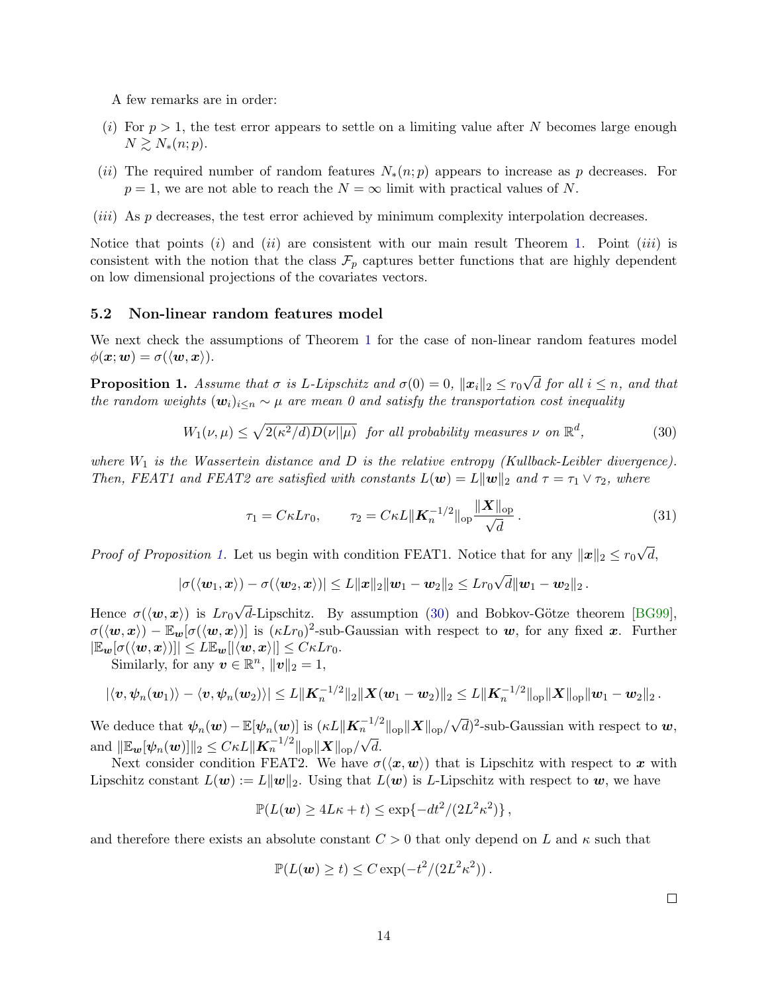A few remarks are in order:

- (i) For  $p > 1$ , the test error appears to settle on a limiting value after N becomes large enough  $N \gtrsim N_*(n; p).$
- (ii) The required number of random features  $N_*(n; p)$  appears to increase as p decreases. For  $p = 1$ , we are not able to reach the  $N = \infty$  limit with practical values of N.
- (*iii*) As p decreases, the test error achieved by minimum complexity interpolation decreases.

Notice that points (i) and (ii) are consistent with our main result Theorem [1.](#page-8-0) Point (iii) is consistent with the notion that the class  $\mathcal{F}_p$  captures better functions that are highly dependent on low dimensional projections of the covariates vectors.

#### <span id="page-13-0"></span>5.2 Non-linear random features model

We next check the assumptions of Theorem [1](#page-8-0) for the case of non-linear random features model  $\phi(\mathbf{x}; \mathbf{w}) = \sigma(\langle \mathbf{w}, \mathbf{x} \rangle).$ 

<span id="page-13-1"></span>**Proposition 1.** Assume that  $\sigma$  is L-Lipschitz and  $\sigma(0) = 0$ ,  $||\boldsymbol{x}_i||_2 \le r_0$ √ d for all  $i \leq n$ , and that the random weights  $(\mathbf{w}_i)_{i\leq n} \sim \mu$  are mean 0 and satisfy the transportation cost inequality

<span id="page-13-2"></span>
$$
W_1(\nu,\mu) \le \sqrt{2(\kappa^2/d)D(\nu||\mu)} \quad \text{for all probability measures } \nu \text{ on } \mathbb{R}^d,
$$
 (30)

where  $W_1$  is the Wassertein distance and D is the relative entropy (Kullback-Leibler divergence). Then, FEAT1 and FEAT2 are satisfied with constants  $L(\mathbf{w}) = L\|\mathbf{w}\|_2$  and  $\tau = \tau_1 \vee \tau_2$ , where

$$
\tau_1 = C\kappa L r_0, \qquad \tau_2 = C\kappa L \|\mathbf{K}_n^{-1/2}\|_{\text{op}} \frac{\|\mathbf{X}\|_{\text{op}}}{\sqrt{d}}.
$$
\n(31)

*Proof of Proposition [1.](#page-13-1)* Let us begin with condition FEAT1. Notice that for any  $||x||_2 \le r_0$ √  $d,$ 

$$
|\sigma(\langle \boldsymbol{w}_1, \boldsymbol{x} \rangle) - \sigma(\langle \boldsymbol{w}_2, \boldsymbol{x} \rangle)| \leq L \|\boldsymbol{x}\|_2 \|\boldsymbol{w}_1 - \boldsymbol{w}_2\|_2 \leq L r_0 \sqrt{d} \|\boldsymbol{w}_1 - \boldsymbol{w}_2\|_2.
$$

Hence  $\sigma(\langle \boldsymbol{w}, \boldsymbol{x}\rangle)$  is  $Lr_0$ d-Lipschitz. By assumption  $(30)$  and Bobkov-Götze theorem [\[BG99\]](#page-21-12),  $\sigma(\langle \boldsymbol{w}, \boldsymbol{x} \rangle) - \mathbb{E}_{\boldsymbol{w}}[\sigma(\langle \boldsymbol{w}, \boldsymbol{x} \rangle)]$  is  $(\kappa Lr_0)^2$ -sub-Gaussian with respect to  $\boldsymbol{w}$ , for any fixed  $\boldsymbol{x}$ . Further  $|\mathbb{E}_{w}[\sigma(\langle \boldsymbol{w}, \boldsymbol{x}\rangle)|] \leq L \mathbb{E}_{\boldsymbol{w}}[|\langle \boldsymbol{w}, \boldsymbol{x}\rangle|] \leq C \kappa L r_0.$ 

Similarly, for any  $v \in \mathbb{R}^n$ ,  $||v||_2 = 1$ ,

$$
|\langle v, \psi_n(w_1) \rangle - \langle v, \psi_n(w_2) \rangle| \leq L \|K_n^{-1/2}\|_2 \|X(w_1 - w_2)\|_2 \leq L \|K_n^{-1/2}\|_{\text{op}} \|X\|_{\text{op}} \|w_1 - w_2\|_2.
$$

We deduce that  $\psi_n(\boldsymbol{w}) - \mathbb{E}[\psi_n(\boldsymbol{w})]$  is  $(\kappa L \|\boldsymbol{K}_n^{-1/2}\|_{\text{op}} \|\boldsymbol{X}\|_{\text{op}})$  $\sum_{n=1}^{\infty} \frac{1}{2} \log \|\mathbf{X}\|_{\text{op}} / \sqrt{d}$  2-sub-Gaussian with respect to  $\boldsymbol{w}$ , and  $\|\mathbb{E}_{\boldsymbol{w}}[\psi_n(\boldsymbol{w})]\|_2 \leq C \kappa L \| \boldsymbol{K}_n^{-1/2}\|_{{\rm op}} \| \boldsymbol{X}\|_{{\rm op}} / \sqrt{d}.$ 

Next consider condition FEAT2. We have  $\sigma(\langle x, w \rangle)$  that is Lipschitz with respect to x with Lipschitz constant  $L(\mathbf{w}) := L\|\mathbf{w}\|_2$ . Using that  $L(\mathbf{w})$  is L-Lipschitz with respect to  $\mathbf{w}$ , we have

$$
\mathbb{P}(L(\boldsymbol{w}) \ge 4L\kappa + t) \le \exp\{-dt^2/(2L^2\kappa^2)\},\,
$$

and therefore there exists an absolute constant  $C > 0$  that only depend on L and  $\kappa$  such that

$$
\mathbb{P}(L(\boldsymbol{w}) \ge t) \le C \exp(-t^2/(2L^2\kappa^2)).
$$

<span id="page-13-3"></span> $\Box$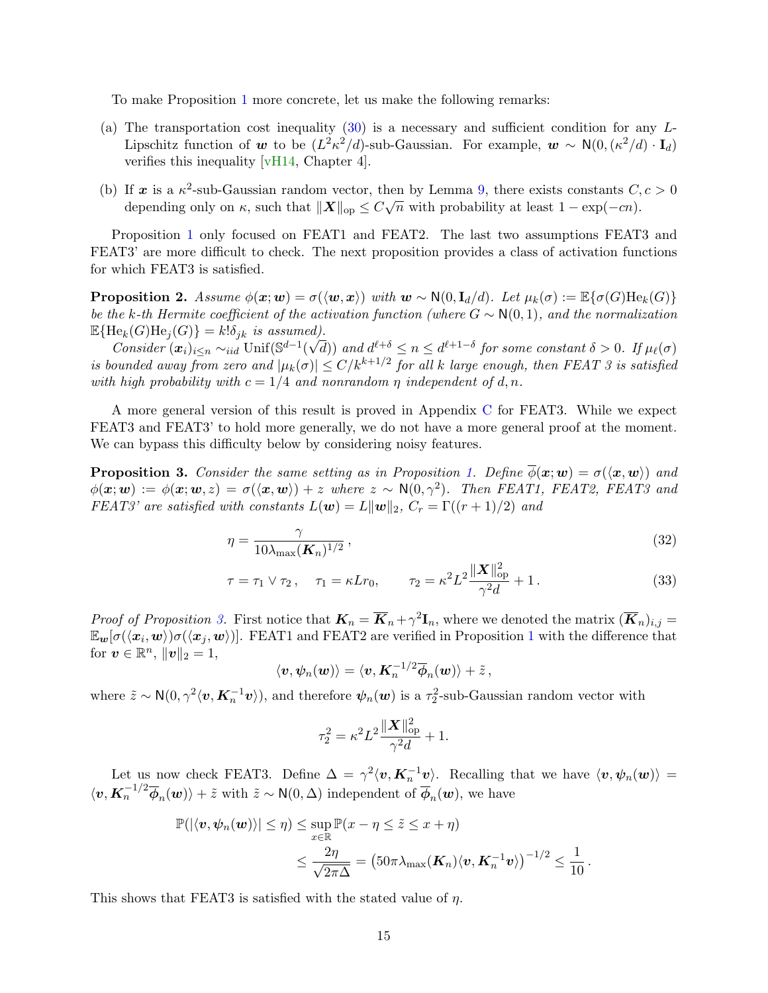To make Proposition [1](#page-13-1) more concrete, let us make the following remarks:

- (a) The transportation cost inequality  $(30)$  is a necessary and sufficient condition for any L-Lipschitz function of w to be  $(L^2\kappa^2/d)$ -sub-Gaussian. For example,  $w \sim N(0, (\kappa^2/d) \cdot I_d)$ verifies this inequality [\[vH14,](#page-23-4) Chapter 4].
- (b) If x is a  $\kappa^2$ -sub-Gaussian random vector, then by Lemma [9,](#page-40-1) there exists constants  $C, c > 0$ depending only on  $\kappa$ , such that  $\|\boldsymbol{X}\|_{\text{op}} \leq C\sqrt{n}$  with probability at least  $1 - \exp(-cn)$ .

Proposition [1](#page-13-1) only focused on FEAT1 and FEAT2. The last two assumptions FEAT3 and FEAT3' are more difficult to check. The next proposition provides a class of activation functions for which FEAT3 is satisfied.

**Proposition 2.** Assume  $\phi(x; w) = \sigma(\langle w, x \rangle)$  with  $w \sim N(0, I_d/d)$ . Let  $\mu_k(\sigma) := \mathbb{E}\{\sigma(G)He_k(G)\}$ be the k-th Hermite coefficient of the activation function (where  $G \sim N(0, 1)$ , and the normalization  $\mathbb{E}\{\mathrm{He}_k(G)\mathrm{He}_j(G)\} = k!\delta_{jk}$  is assumed).

Consider  $(x_i)_{i\leq n} \sim_{iid} \text{Unif}(\mathbb{S}^{d-1}(\sqrt{d}))$  and  $d^{\ell+\delta} \leq n \leq d^{\ell+1-\delta}$  for some constant  $\delta > 0$ . If  $\mu_\ell(\sigma)$ is bounded away from zero and  $|\mu_k(\sigma)| \le C/k^{k+1/2}$  for all k large enough, then FEAT 3 is satisfied with high probability with  $c = 1/4$  and nonrandom  $\eta$  independent of d, n.

A more general version of this result is proved in Appendix [C](#page-33-0) for FEAT3. While we expect FEAT3 and FEAT3' to hold more generally, we do not have a more general proof at the moment. We can bypass this difficulty below by considering noisy features.

<span id="page-14-0"></span>**Proposition 3.** Consider the same setting as in Proposition [1.](#page-13-1) Define  $\phi(\mathbf{x}; \mathbf{w}) = \sigma(\langle \mathbf{x}, \mathbf{w} \rangle)$  and  $\phi(\mathbf{x};\mathbf{w}) := \phi(\mathbf{x};\mathbf{w},z) = \sigma(\langle \mathbf{x}, \mathbf{w} \rangle) + z$  where  $z \sim \mathsf{N}(0,\gamma^2)$ . Then FEAT1, FEAT2, FEAT3 and FEAT3' are satisfied with constants  $L(\mathbf{w}) = L\|\mathbf{w}\|_2$ ,  $C_r = \Gamma((r+1)/2)$  and

$$
\eta = \frac{\gamma}{10\lambda_{\text{max}}(\mathbf{K}_n)^{1/2}},\tag{32}
$$

$$
\tau = \tau_1 \vee \tau_2, \quad \tau_1 = \kappa L r_0, \qquad \tau_2 = \kappa^2 L^2 \frac{\|\mathbf{X}\|_{op}^2}{\gamma^2 d} + 1. \tag{33}
$$

Proof of Proposition [3.](#page-14-0) First notice that  $\mathbf{K}_n = \overline{\mathbf{K}}_n + \gamma^2 \mathbf{I}_n$ , where we denoted the matrix  $(\overline{\mathbf{K}}_n)_{i,j} =$  $\mathbb{E}_{w}[\sigma(\langle x_i,w\rangle)\sigma(\langle x_j,w\rangle)].$  FEAT[1](#page-13-1) and FEAT2 are verified in Proposition 1 with the difference that for  $\boldsymbol{v} \in \mathbb{R}^n$ ,  $\|\boldsymbol{v}\|_2 = 1$ ,

$$
\langle {\boldsymbol v}, {\boldsymbol \psi}_n({\boldsymbol w})\rangle = \langle {\boldsymbol v}, {\boldsymbol K}_n^{-1/2}\overline{\boldsymbol \phi}_n({\boldsymbol w})\rangle + \tilde z\,,
$$

where  $\tilde{z} \sim \mathsf{N}(0, \gamma^2 \langle v, \mathbf{K}_n^{-1} v \rangle)$ , and therefore  $\psi_n(w)$  is a  $\tau_2^2$ -sub-Gaussian random vector with

<span id="page-14-2"></span><span id="page-14-1"></span>
$$
\tau_2^2=\kappa^2L^2\frac{\|\boldsymbol{X}\|_{\mathrm{op}}^2}{\gamma^2d}+1.
$$

Let us now check FEAT3. Define  $\Delta = \gamma^2 \langle v, K_n^{-1} v \rangle$ . Recalling that we have  $\langle v, \psi_n(w) \rangle =$  $\langle v, \mathbf{K}_n^{-1/2} \overline{\phi}_n(\boldsymbol{w}) \rangle + \tilde{z}$  with  $\tilde{z} \sim \mathsf{N}(0, \Delta)$  independent of  $\overline{\phi}_n(\boldsymbol{w})$ , we have

$$
\mathbb{P}(|\langle \boldsymbol{v}, \boldsymbol{\psi}_n(\boldsymbol{w}) \rangle| \leq \eta) \leq \sup_{x \in \mathbb{R}} \mathbb{P}(x - \eta \leq \tilde{z} \leq x + \eta) \n\leq \frac{2\eta}{\sqrt{2\pi\Delta}} = (50\pi\lambda_{\max}(\boldsymbol{K}_n)\langle \boldsymbol{v}, \boldsymbol{K}_n^{-1}\boldsymbol{v} \rangle)^{-1/2} \leq \frac{1}{10}.
$$

This shows that FEAT3 is satisfied with the stated value of  $\eta$ .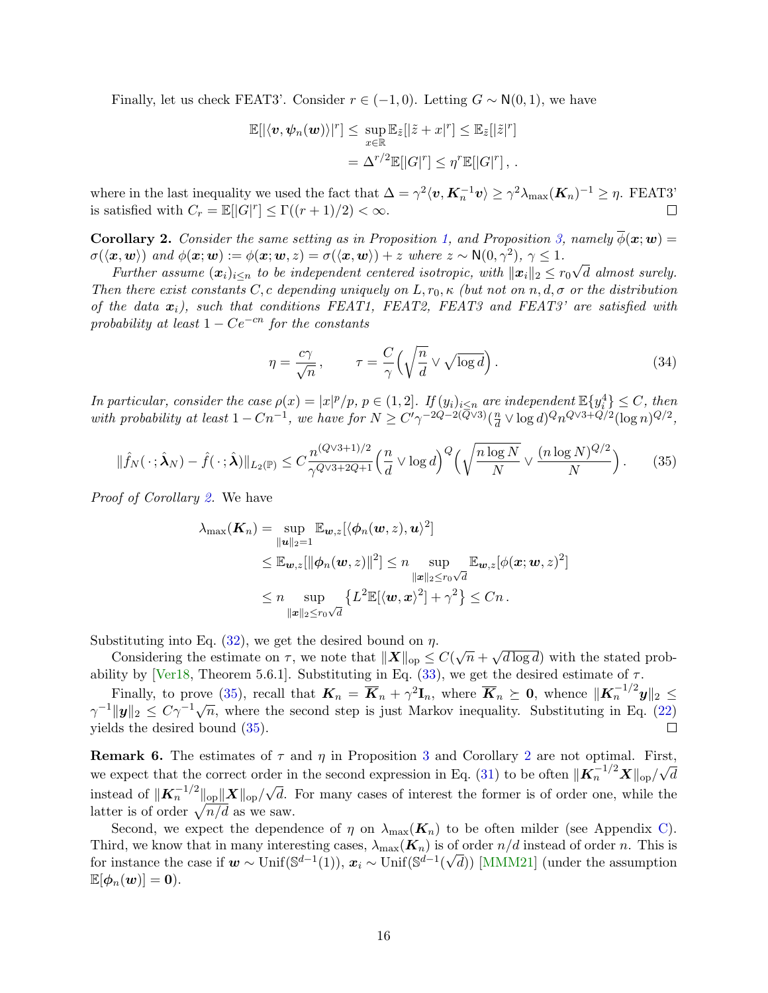Finally, let us check FEAT3'. Consider  $r \in (-1,0)$ . Letting  $G \sim N(0,1)$ , we have

$$
\mathbb{E}[|\langle v, \psi_n(\boldsymbol{w})\rangle|^r] \leq \sup_{x \in \mathbb{R}} \mathbb{E}_{\tilde{z}}[|\tilde{z} + x|^r] \leq \mathbb{E}_{\tilde{z}}[|\tilde{z}|^r]
$$
  
=  $\Delta^{r/2} \mathbb{E}[|G|^r] \leq \eta^r \mathbb{E}[|G|^r],$ .

where in the last inequality we used the fact that  $\Delta = \gamma^2 \langle v, K_n^{-1} v \rangle \geq \gamma^2 \lambda_{\max} (K_n)^{-1} \geq \eta$ . FEAT3' is satisfied with  $C_r = \mathbb{E}[|G|^r] \le \Gamma((r+1)/2) < \infty$ .  $\Box$ 

<span id="page-15-0"></span>**Corollary 2.** Consider the same setting as in Proposition [1,](#page-13-1) and Proposition [3,](#page-14-0) namely  $\phi(x; w) =$  $\sigma(\langle x, w \rangle)$  and  $\phi(x; w) := \phi(x; w, z) = \sigma(\langle x, w \rangle) + z$  where  $z \sim N(0, \gamma^2), \gamma \leq 1$ . √

Further assume  $(\boldsymbol{x}_i)_{i\leq n}$  to be independent centered isotropic, with  $\|\boldsymbol{x}_i\|_2 \leq r_0$ d almost surely. Then there exist constants C, c depending uniquely on L,  $r_0$ ,  $\kappa$  (but not on n, d,  $\sigma$  or the distribution of the data  $x_i$ ), such that conditions FEAT1, FEAT2, FEAT3 and FEAT3' are satisfied with probability at least  $1 - Ce^{-cn}$  for the constants

$$
\eta = \frac{c\gamma}{\sqrt{n}}, \qquad \tau = \frac{C}{\gamma} \left( \sqrt{\frac{n}{d}} \vee \sqrt{\log d} \right). \tag{34}
$$

In particular, consider the case  $\rho(x) = |x|^p/p$ ,  $p \in (1, 2]$ . If  $(y_i)_{i \leq n}$  are independent  $\mathbb{E}\{y_i^4\} \leq C$ , then with probability at least  $1 - Cn^{-1}$ , we have for  $N \ge C' \gamma^{-2Q-2(Q\vee 3)} \left( \frac{n}{d} \right)$  $\frac{n}{d} \vee \log d$ ) $\mathcal{Q}n^{Q\vee 3+Q/2}(\log n)^{Q/2},$ 

<span id="page-15-1"></span>
$$
\|\hat{f}_N(\cdot;\hat{\boldsymbol{\lambda}}_N) - \hat{f}(\cdot;\hat{\boldsymbol{\lambda}})\|_{L_2(\mathbb{P})} \le C \frac{n^{(Q\vee 3+1)/2}}{\gamma^{Q\vee 3+2Q+1}} \Big(\frac{n}{d} \vee \log d\Big)^Q \Big(\sqrt{\frac{n\log N}{N}} \vee \frac{(n\log N)^{Q/2}}{N}\Big). \tag{35}
$$

Proof of Corollary [2.](#page-15-0) We have

$$
\lambda_{\max}(\boldsymbol{K}_n) = \sup_{\|\boldsymbol{u}\|_2=1} \mathbb{E}_{\boldsymbol{w},z} [\langle \phi_n(\boldsymbol{w},z),\boldsymbol{u}\rangle^2]
$$
  
\n
$$
\leq \mathbb{E}_{\boldsymbol{w},z} [\|\phi_n(\boldsymbol{w},z)\|^2] \leq n \sup_{\|\boldsymbol{x}\|_2 \leq r_0\sqrt{d}} \mathbb{E}_{\boldsymbol{w},z} [\phi(\boldsymbol{x};\boldsymbol{w},z)^2]
$$
  
\n
$$
\leq n \sup_{\|\boldsymbol{x}\|_2 \leq r_0\sqrt{d}} \left\{ L^2 \mathbb{E} [\langle \boldsymbol{w},\boldsymbol{x}\rangle^2] + \gamma^2 \right\} \leq Cn.
$$

Substituting into Eq.  $(32)$ , we get the desired bound on  $\eta$ .

Stituting into Eq. (32), we get the desired bound on  $\eta$ .<br>Considering the estimate on  $\tau$ , we note that  $||\mathbf{X}||_{op} \leq C(\sqrt{n} +$ √  $\overline{d \log d}$  with the stated prob-ability by [\[Ver18,](#page-23-5) Theorem 5.6.1]. Substituting in Eq.  $(33)$ , we get the desired estimate of  $\tau$ .

Finally, to prove [\(35\)](#page-15-1), recall that  $K_n = \overline{K}_n + \gamma^2 \mathbf{I}_n$ , where  $\overline{K}_n \succeq \mathbf{0}$ , whence  $\|\mathbf{K}_n^{-1/2} \mathbf{y}\|_2 \leq$  $\gamma^{-1} ||\mathbf{y}||_2 \leq C\gamma^{-1}\sqrt{n}$ , where the second step is just Markov inequality. Substituting in Eq. [\(22\)](#page-9-1) yields the desired bound [\(35\)](#page-15-1). П

**Remark 6.** The estimates of  $\tau$  and  $\eta$  in Proposition [3](#page-14-0) and Corollary [2](#page-15-0) are not optimal. First, we expect that the correct order in the second expression in Eq. [\(31\)](#page-13-3) to be often  $\|\mathbf{K}_n^{-1/2}\mathbf{X}\|_{\text{op}}/\sqrt{d}$ instead of  $\|\boldsymbol{K}_{n}^{-1/2}\|_{\text{op}} \|\boldsymbol{X}\|_{\text{op}}/$ √ d. For many cases of interest the former is of order one, while the latter is of order  $\sqrt{n/d}$  as we saw.

Second, we expect the dependence of  $\eta$  on  $\lambda_{\text{max}}(\mathbf{K}_n)$  to be often milder (see Appendix [C\)](#page-33-0). Third, we know that in many interesting cases,  $\lambda_{\max}(\mathbf{K}_n)$  is of order  $n/d$  instead of order n. This is for instance the case if  $w \sim \text{Unif}(\mathbb{S}^{d-1}(1)), x_i \sim \text{Unif}(\mathbb{S}^{d-1}(\sqrt{d}))$  [\[MMM21\]](#page-22-3) (under the assumption  $\mathbb{E}[\phi_n(\boldsymbol{w})]=\boldsymbol{0}.$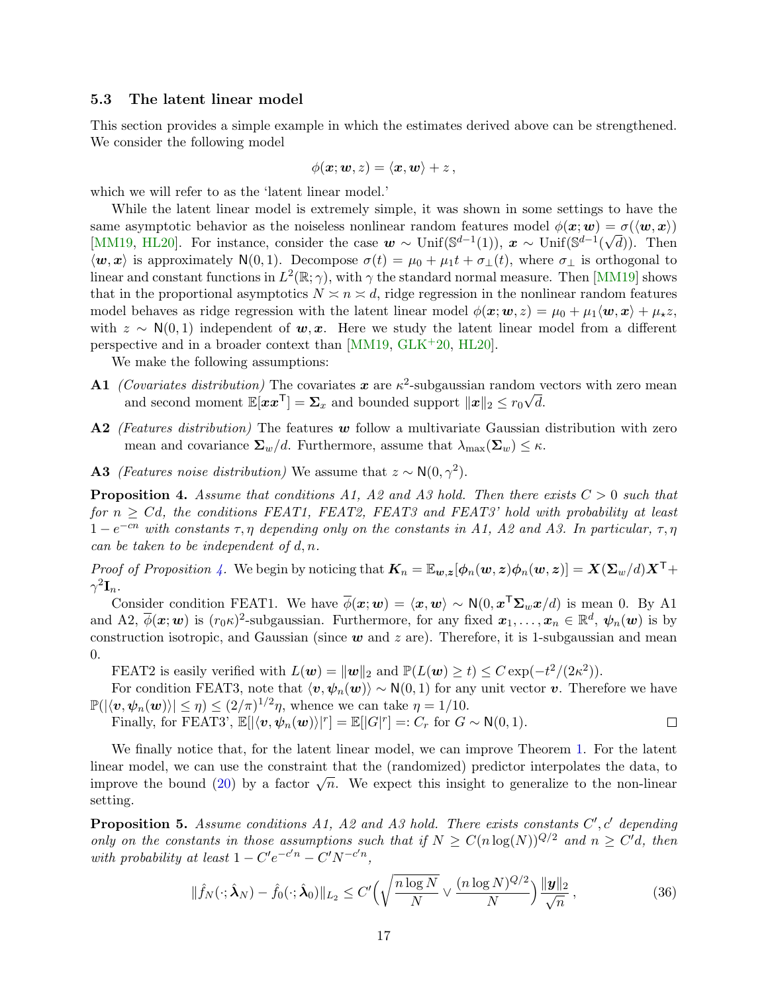### <span id="page-16-0"></span>5.3 The latent linear model

This section provides a simple example in which the estimates derived above can be strengthened. We consider the following model

$$
\phi(\boldsymbol{x};\boldsymbol{w},z)=\langle \boldsymbol{x},\boldsymbol{w}\rangle+z\,,
$$

which we will refer to as the 'latent linear model.'

While the latent linear model is extremely simple, it was shown in some settings to have the same asymptotic behavior as the noiseless nonlinear random features model  $\phi(x; w) = \sigma(\langle w, x \rangle)$ [\[MM19,](#page-22-6) [HL20\]](#page-22-12). For instance, consider the case  $w \sim \text{Unif}(\mathbb{S}^{d-1}(1)), x \sim \text{Unif}(\mathbb{S}^{d-1}(\sqrt{d}))$ . Then  $\langle \boldsymbol{w}, \boldsymbol{x} \rangle$  is approximately N(0, 1). Decompose  $\sigma(t) = \mu_0 + \mu_1 t + \sigma_{\perp}(t)$ , where  $\sigma_{\perp}$  is orthogonal to linear and constant functions in  $L^2(\mathbb{R}; \gamma)$ , with  $\gamma$  the standard normal measure. Then [\[MM19\]](#page-22-6) shows that in the proportional asymptotics  $N \leq n \leq d$ , ridge regression in the nonlinear random features model behaves as ridge regression with the latent linear model  $\phi(\mathbf{x}; \mathbf{w}, z) = \mu_0 + \mu_1 \langle \mathbf{w}, \mathbf{x} \rangle + \mu_* z$ , with  $z \sim N(0, 1)$  independent of w, x. Here we study the latent linear model from a different perspective and in a broader context than [\[MM19,](#page-22-6) [GLK](#page-21-10)+20, [HL20\]](#page-22-12).

We make the following assumptions:

- **A1** (Covariates distribution) The covariates x are  $\kappa^2$ -subgaussian random vectors with zero mean and second moment  $\mathbb{E}[xx^{\mathsf{T}}] = \Sigma_x$  and bounded support  $||x||_2 \le r_0\sqrt{d}$ .
- A2 (Features distribution) The features  $w$  follow a multivariate Gaussian distribution with zero mean and covariance  $\Sigma_w/d$ . Furthermore, assume that  $\lambda_{\max}(\Sigma_w) \leq \kappa$ .
- **A3** (Features noise distribution) We assume that  $z \sim N(0, \gamma^2)$ .

<span id="page-16-2"></span>**Proposition 4.** Assume that conditions A1, A2 and A3 hold. Then there exists  $C > 0$  such that for  $n > Cd$ , the conditions FEAT1, FEAT2, FEAT3 and FEAT3' hold with probability at least  $1-e^{-cn}$  with constants  $\tau, \eta$  depending only on the constants in A1, A2 and A3. In particular,  $\tau, \eta$ can be taken to be independent of  $d, n$ .

*Proof of Proposition [4.](#page-16-2)* We begin by noticing that  $K_n = \mathbb{E}_{w,z}[\phi_n(w,z)\phi_n(w,z)] = X(\Sigma_w/d)X^\top +$  $\gamma^2 \mathbf{I}_n.$ 

Consider condition FEAT1. We have  $\overline{\phi}(\bm{x};\bm{w}) = \langle \bm{x}, \bm{w} \rangle \sim N(0, \bm{x}^{\mathsf{T}} \Sigma_{w} \bm{x}/d)$  is mean 0. By A1 and A2,  $\overline{\phi}(\mathbf{x};\mathbf{w})$  is  $(r_0\kappa)^2$ -subgaussian. Furthermore, for any fixed  $\mathbf{x}_1,\ldots,\mathbf{x}_n\in\mathbb{R}^d$ ,  $\psi_n(\mathbf{w})$  is by construction isotropic, and Gaussian (since  $w$  and  $z$  are). Therefore, it is 1-subgaussian and mean 0.

FEAT2 is easily verified with  $L(\boldsymbol{w}) = ||\boldsymbol{w}||_2$  and  $\mathbb{P}(L(\boldsymbol{w}) \ge t) \le C \exp(-t^2/(2\kappa^2)).$ 

For condition FEAT3, note that  $\langle v, \psi_n(w) \rangle \sim N(0, 1)$  for any unit vector v. Therefore we have  $\mathbb{P}(|\langle v, \psi_n(\boldsymbol{w})\rangle| \leq \eta) \leq (2/\pi)^{1/2}\eta$ , whence we can take  $\eta = 1/10$ .

Finally, for FEAT3',  $\mathbb{E}[|\langle v, \psi_n(\boldsymbol{w})\rangle|^r] = \mathbb{E}[|G|^r] =: C_r$  for  $G \sim N(0, 1)$ .  $\Box$ 

We finally notice that, for the latent linear model, we can improve Theorem [1.](#page-8-0) For the latent linear model, we can use the constraint that the (randomized) predictor interpolates the data, to imear model, we can use the constraint that the (randomized) predictor interpolates the data, to<br>improve the bound [\(20\)](#page-8-2) by a factor  $\sqrt{n}$ . We expect this insight to generalize to the non-linear setting.

<span id="page-16-1"></span>**Proposition 5.** Assume conditions A1, A2 and A3 hold. There exists constants  $C', c'$  depending only on the constants in those assumptions such that if  $N \geq C(n \log(N))^{Q/2}$  and  $n \geq C'd$ , then with probability at least  $1 - C'e^{-c'n} - C'N^{-c'n}$ ,

$$
\|\hat{f}_N(\cdot;\hat{\boldsymbol{\lambda}}_N) - \hat{f}_0(\cdot;\hat{\boldsymbol{\lambda}}_0)\|_{L_2} \le C' \Big(\sqrt{\frac{n \log N}{N}} \vee \frac{(n \log N)^{Q/2}}{N}\Big) \frac{\|\boldsymbol{y}\|_2}{\sqrt{n}},\tag{36}
$$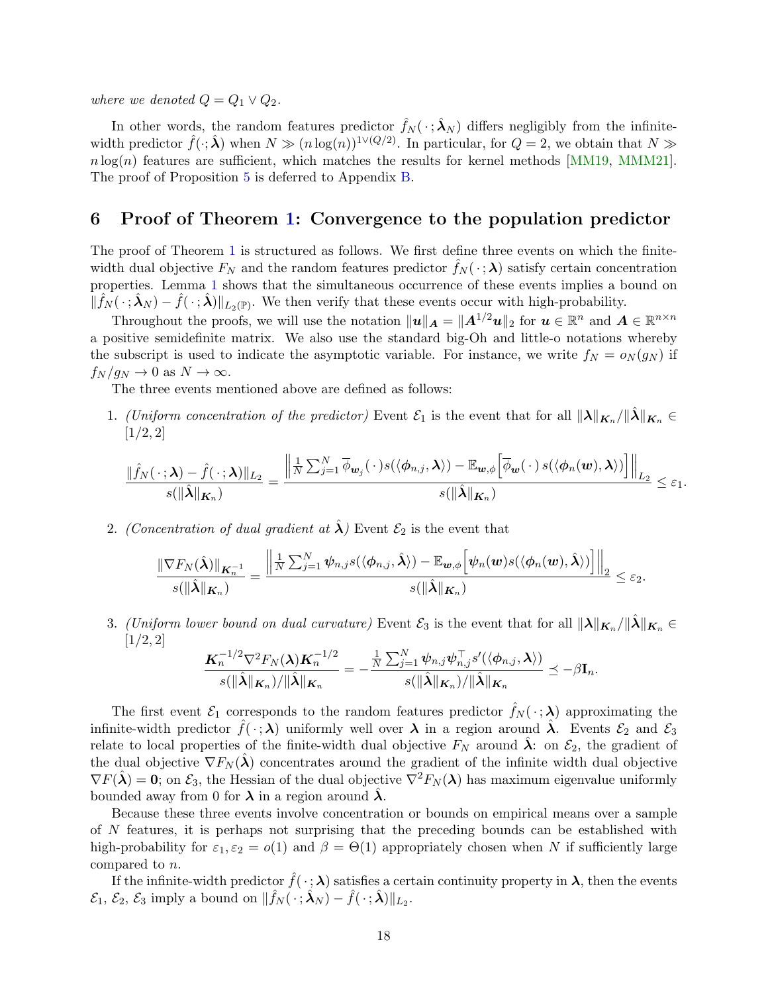where we denoted  $Q = Q_1 \vee Q_2$ .

In other words, the random features predictor  $\hat{f}_N(\cdot; \hat{\lambda}_N)$  differs negligibly from the infinitewidth predictor  $\hat{f}(\cdot;\hat{\boldsymbol{\lambda}})$  when  $N \gg (n \log(n))^{1 \vee (Q/2)}$ . In particular, for  $Q = 2$ , we obtain that  $N \gg$  $n \log(n)$  features are sufficient, which matches the results for kernel methods [\[MM19,](#page-22-6) [MMM21\]](#page-22-3). The proof of Proposition [5](#page-16-1) is deferred to Appendix [B.](#page-31-0)

### <span id="page-17-0"></span>6 Proof of Theorem [1:](#page-8-0) Convergence to the population predictor

The proof of Theorem [1](#page-8-0) is structured as follows. We first define three events on which the finitewidth dual objective  $F_N$  and the random features predictor  $f_N(\cdot; \lambda)$  satisfy certain concentration properties. Lemma [1](#page-18-1) shows that the simultaneous occurrence of these events implies a bound on  $\|\hat{f}_N(\cdot; \hat{\boldsymbol{\lambda}}_N) - \hat{f}(\cdot; \hat{\boldsymbol{\lambda}})\|_{L_2(\mathbb{P})}$ . We then verify that these events occur with high-probability.

Throughout the proofs, we will use the notation  $||u||_A = ||A^{1/2}u||_2$  for  $u \in \mathbb{R}^n$  and  $A \in \mathbb{R}^{n \times n}$ a positive semidefinite matrix. We also use the standard big-Oh and little-o notations whereby the subscript is used to indicate the asymptotic variable. For instance, we write  $f_N = o_N(g_N)$  if  $f_N / g_N \to 0$  as  $N \to \infty$ .

The three events mentioned above are defined as follows:

1. (Uniform concentration of the predictor) Event  $\mathcal{E}_1$  is the event that for all  $||\lambda||_{K_n}/||\lambda||_{K_n} \in$  $[1/2, 2]$ 

$$
\frac{\|\hat{f}_N(\,\cdot\,; \boldsymbol{\lambda})-\hat{f}(\,\cdot\,; \boldsymbol{\lambda})\|_{L_2}}{s(\|\hat{\boldsymbol{\lambda}}\|_{K_n})}=\frac{\left\|\frac{1}{N}\sum_{j=1}^N \overline{\phi}_{\boldsymbol{w}_j}(\,\cdot\,)s(\langle \phi_{n,j}, \boldsymbol{\lambda}\rangle)-\mathbb{E}_{\boldsymbol{w},\phi}\Big[\overline{\phi}_{\boldsymbol{w}}(\,\cdot\,)\,s(\langle \phi_{n}(\boldsymbol{w}), \boldsymbol{\lambda}\rangle)\Big]\right\|_{L_2}}{s(\|\hat{\boldsymbol{\lambda}}\|_{K_n})}\leq \varepsilon_1.
$$

2. (Concentration of dual gradient at  $\hat{\lambda}$ ) Event  $\mathcal{E}_2$  is the event that

$$
\frac{\|\nabla F_N(\hat{\boldsymbol{\lambda}})\|_{\boldsymbol{K}_n^{-1}}}{s(\|\hat{\boldsymbol{\lambda}}\|_{\boldsymbol{K}_n})} = \frac{\left\|\frac{1}{N}\sum_{j=1}^N\psi_{n,j}s(\langle\phi_{n,j},\hat{\boldsymbol{\lambda}}\rangle) - \mathbb{E}_{\boldsymbol{w},\phi}\Big[\psi_n(\boldsymbol{w})s(\langle\phi_n(\boldsymbol{w}),\hat{\boldsymbol{\lambda}}\rangle)\Big]\right\|_2}{s(\|\hat{\boldsymbol{\lambda}}\|_{\boldsymbol{K}_n})} \leq \varepsilon_2.
$$

3. (Uniform lower bound on dual curvature) Event  $\mathcal{E}_3$  is the event that for all  $\|\lambda\|_{\mathbf{K}_n}/\|\tilde{\lambda}\|_{\mathbf{K}_n} \in$  $[1/2, 2]$ 

$$
\frac{\boldsymbol{K}_n^{-1/2}\nabla^2 F_N(\boldsymbol{\lambda})\boldsymbol{K}_n^{-1/2}}{s(\|\hat{\boldsymbol{\lambda}}\|_{\boldsymbol{K}_n})/\|\hat{\boldsymbol{\lambda}}\|_{\boldsymbol{K}_n}} = -\frac{\frac{1}{N}\sum_{j=1}^N\psi_{n,j}\psi_{n,j}^\top s'(\langle\phi_{n,j},\boldsymbol{\lambda}\rangle)}{s(\|\hat{\boldsymbol{\lambda}}\|_{\boldsymbol{K}_n})/\|\hat{\boldsymbol{\lambda}}\|_{\boldsymbol{K}_n}} \preceq -\beta\mathbf{I}_n.
$$

The first event  $\mathcal{E}_1$  corresponds to the random features predictor  $\hat{f}_N(\cdot;\lambda)$  approximating the infinite-width predictor  $\hat{f}(\cdot;\lambda)$  uniformly well over  $\lambda$  in a region around  $\lambda$ . Events  $\mathcal{E}_2$  and  $\mathcal{E}_3$ relate to local properties of the finite-width dual objective  $F_N$  around  $\lambda$ : on  $\mathcal{E}_2$ , the gradient of the dual objective  $\nabla F_N(\lambda)$  concentrates around the gradient of the infinite width dual objective  $\nabla F(\hat{\boldsymbol{\lambda}}) = \mathbf{0}$ ; on  $\mathcal{E}_3$ , the Hessian of the dual objective  $\nabla^2 F_N(\boldsymbol{\lambda})$  has maximum eigenvalue uniformly bounded away from 0 for  $\lambda$  in a region around  $\lambda$ .

Because these three events involve concentration or bounds on empirical means over a sample of N features, it is perhaps not surprising that the preceding bounds can be established with high-probability for  $\varepsilon_1, \varepsilon_2 = o(1)$  and  $\beta = \Theta(1)$  appropriately chosen when N if sufficiently large compared to n.

If the infinite-width predictor  $\hat{f}(\cdot;\lambda)$  satisfies a certain continuity property in  $\lambda$ , then the events  $\mathcal{E}_1, \mathcal{E}_2, \mathcal{E}_3$  imply a bound on  $\|\hat{f}_N(\cdot; \hat{\boldsymbol{\lambda}}_N) - \hat{f}(\cdot; \hat{\boldsymbol{\lambda}})\|_{L_2}$ .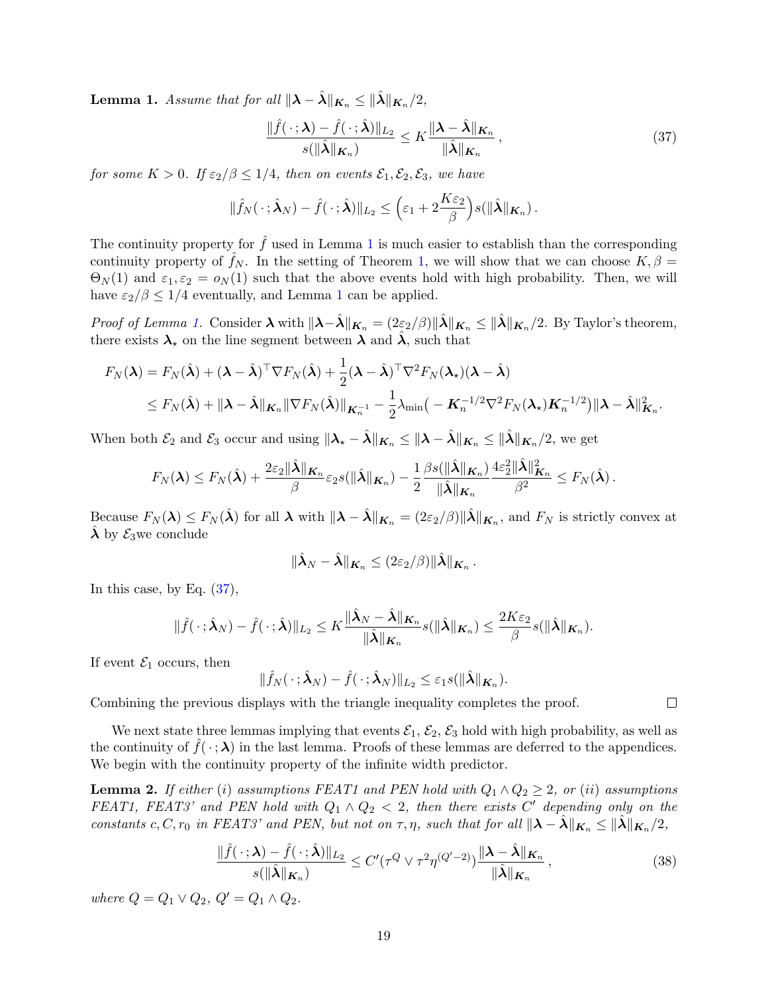<span id="page-18-1"></span>**Lemma 1.** Assume that for all  $\|\boldsymbol{\lambda} - \hat{\boldsymbol{\lambda}}\|_{\boldsymbol{K}_n} \leq \|\hat{\boldsymbol{\lambda}}\|_{\boldsymbol{K}_n}/2$ ,

<span id="page-18-2"></span>
$$
\frac{\|\hat{f}(\cdot;\boldsymbol{\lambda}) - \hat{f}(\cdot;\hat{\boldsymbol{\lambda}})\|_{L_2}}{s(\|\hat{\boldsymbol{\lambda}}\|_{\boldsymbol{K}_n})} \le K \frac{\|\boldsymbol{\lambda} - \hat{\boldsymbol{\lambda}}\|_{\boldsymbol{K}_n}}{\|\hat{\boldsymbol{\lambda}}\|_{\boldsymbol{K}_n}},
$$
\n(37)

for some  $K > 0$ . If  $\varepsilon_2/\beta \leq 1/4$ , then on events  $\mathcal{E}_1, \mathcal{E}_2, \mathcal{E}_3$ , we have

$$
\|\hat{f}_N(\,\cdot\,;\hat{\boldsymbol{\lambda}}_N)-\hat{f}(\,\cdot\,;\hat{\boldsymbol{\lambda}})\|_{L_2}\leq \Big(\varepsilon_1+2\frac{K\varepsilon_2}{\beta}\Big)s(\|\hat{\boldsymbol{\lambda}}\|_{\boldsymbol{K}_n})\,.
$$

The continuity property for  $\hat{f}$  used in Lemma [1](#page-18-1) is much easier to establish than the corresponding continuity property of  $f_N$ . In the setting of Theorem [1,](#page-8-0) we will show that we can choose  $K, \beta =$  $\Theta_N(1)$  and  $\varepsilon_1, \varepsilon_2 = o_N(1)$  such that the above events hold with high probability. Then, we will have  $\varepsilon_2/\beta \leq 1/4$  $\varepsilon_2/\beta \leq 1/4$  $\varepsilon_2/\beta \leq 1/4$  eventually, and Lemma 1 can be applied.

*Proof of Lemma [1.](#page-18-1)* Consider  $\lambda$  with  $\|\lambda-\hat{\lambda}\|_{K_n} = (2\varepsilon_2/\beta)\|\hat{\lambda}\|_{K_n} \leq \|\hat{\lambda}\|_{K_n}/2$ . By Taylor's theorem, there exists  $\lambda_{\star}$  on the line segment between  $\lambda$  and  $\hat{\lambda}$ , such that

$$
F_N(\boldsymbol{\lambda}) = F_N(\hat{\boldsymbol{\lambda}}) + (\boldsymbol{\lambda} - \hat{\boldsymbol{\lambda}})^{\top} \nabla F_N(\hat{\boldsymbol{\lambda}}) + \frac{1}{2} (\boldsymbol{\lambda} - \hat{\boldsymbol{\lambda}})^{\top} \nabla^2 F_N(\boldsymbol{\lambda}_{\star}) (\boldsymbol{\lambda} - \hat{\boldsymbol{\lambda}})
$$
  
\$\leq F\_N(\hat{\boldsymbol{\lambda}}) + ||\boldsymbol{\lambda} - \hat{\boldsymbol{\lambda}}||\_{\mathbf{K}\_n} ||\nabla F\_N(\hat{\boldsymbol{\lambda}})||\_{\mathbf{K}\_n^{-1}} - \frac{1}{2} \lambda\_{\min} \big( -\mathbf{K}\_n^{-1/2} \nabla^2 F\_N(\boldsymbol{\lambda}\_{\star}) \mathbf{K}\_n^{-1/2} \big) ||\boldsymbol{\lambda} - \hat{\boldsymbol{\lambda}}||\_{\mathbf{K}\_n}^2.

When both  $\mathcal{E}_2$  and  $\mathcal{E}_3$  occur and using  $\|\lambda_\star - \hat{\lambda}\|_{K_n} \le \|\lambda - \hat{\lambda}\|_{K_n} \le \|\hat{\lambda}\|_{K_n} / 2$ , we get

$$
F_N(\boldsymbol{\lambda}) \leq F_N(\hat{\boldsymbol{\lambda}}) + \frac{2\varepsilon_2\|\hat{\boldsymbol{\lambda}}\|_{\boldsymbol{K}_n}}{\beta}\varepsilon_2s(\|\hat{\boldsymbol{\lambda}}\|_{\boldsymbol{K}_n}) - \frac{1}{2}\frac{\beta s(\|\hat{\boldsymbol{\lambda}}\|_{\boldsymbol{K}_n})}{\|\hat{\boldsymbol{\lambda}}\|_{\boldsymbol{K}_n}}\frac{4\varepsilon_2^2\|\hat{\boldsymbol{\lambda}}\|_{\boldsymbol{K}_n}^2}{\beta^2} \leq F_N(\hat{\boldsymbol{\lambda}}).
$$

Because  $F_N(\lambda) \le F_N(\hat{\lambda})$  for all  $\lambda$  with  $\|\lambda - \hat{\lambda}\|_{\mathbf{K}_n} = (2\varepsilon_2/\beta)\|\hat{\lambda}\|_{\mathbf{K}_n}$ , and  $F_N$  is strictly convex at  $\lambda$  by  $\mathcal{E}_3$  we conclude

$$
\|\hat{\boldsymbol{\lambda}}_N-\hat{\boldsymbol{\lambda}}\|_{\boldsymbol{K}_n}\leq (2\varepsilon_2/\beta)\|\hat{\boldsymbol{\lambda}}\|_{\boldsymbol{K}_n}.
$$

In this case, by Eq.  $(37)$ ,

$$
\|\hat{f}(\cdot;\hat{\boldsymbol{\lambda}}_N)-\hat{f}(\cdot;\hat{\boldsymbol{\lambda}})\|_{L_2}\leq K\frac{\|\hat{\boldsymbol{\lambda}}_N-\hat{\boldsymbol{\lambda}}\|_{\boldsymbol{K}_n}}{\|\hat{\boldsymbol{\lambda}}\|_{\boldsymbol{K}_n}}s(\|\hat{\boldsymbol{\lambda}}\|_{\boldsymbol{K}_n})\leq \frac{2K\varepsilon_2}{\beta}s(\|\hat{\boldsymbol{\lambda}}\|_{\boldsymbol{K}_n}).
$$

If event  $\mathcal{E}_1$  occurs, then

$$
\|\hat{f}_N(\cdot;\hat{\boldsymbol{\lambda}}_N)-\hat{f}(\cdot;\hat{\boldsymbol{\lambda}}_N)\|_{L_2}\leq \varepsilon_1 s(\|\hat{\boldsymbol{\lambda}}\|_{\boldsymbol{K}_n}).
$$

Combining the previous displays with the triangle inequality completes the proof.

We next state three lemmas implying that events  $\mathcal{E}_1$ ,  $\mathcal{E}_2$ ,  $\mathcal{E}_3$  hold with high probability, as well as the continuity of  $f(\cdot; \lambda)$  in the last lemma. Proofs of these lemmas are deferred to the appendices. We begin with the continuity property of the infinite width predictor.

<span id="page-18-0"></span>**Lemma 2.** If either (i) assumptions FEAT1 and PEN hold with  $Q_1 \wedge Q_2 \geq 2$ , or (ii) assumptions FEAT1, FEAT3' and PEN hold with  $Q_1 \wedge Q_2 < 2$ , then there exists C' depending only on the constants c, C,  $r_0$  in FEAT3' and PEN, but not on  $\tau$ ,  $\eta$ , such that for all  $\|\lambda - \lambda\|_{K_n} \leq \|\lambda\|_{K_n}/2$ ,

<span id="page-18-3"></span>
$$
\frac{\|\hat{f}(\cdot;\boldsymbol{\lambda})-\hat{f}(\cdot;\hat{\boldsymbol{\lambda}})\|_{L_2}}{s(\|\hat{\boldsymbol{\lambda}}\|_{\boldsymbol{K}_n})} \le C'(\tau^Q \vee \tau^2 \eta^{(Q'-2)}) \frac{\|\boldsymbol{\lambda}-\hat{\boldsymbol{\lambda}}\|_{\boldsymbol{K}_n}}{\|\hat{\boldsymbol{\lambda}}\|_{\boldsymbol{K}_n}},
$$
\n(38)

where  $Q = Q_1 \vee Q_2$ ,  $Q' = Q_1 \wedge Q_2$ .

 $\Box$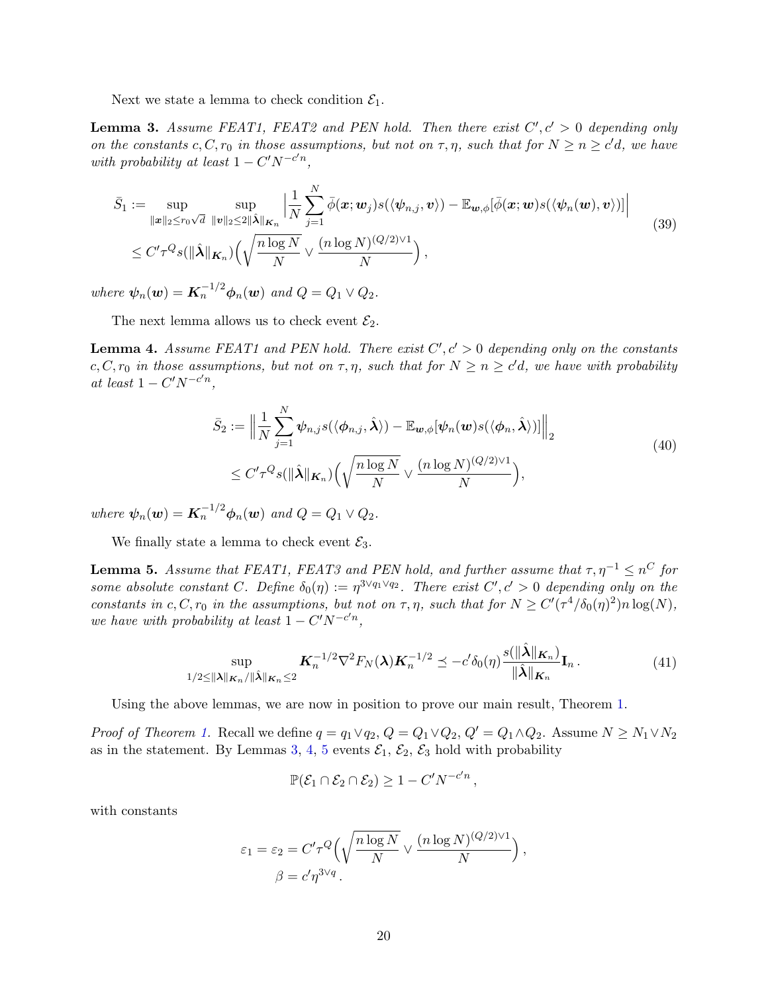Next we state a lemma to check condition  $\mathcal{E}_1$ .

<span id="page-19-0"></span>**Lemma 3.** Assume FEAT1, FEAT2 and PEN hold. Then there exist  $C', c' > 0$  depending only on the constants c, C,  $r_0$  in those assumptions, but not on  $\tau$ ,  $\eta$ , such that for  $N \geq n \geq c'd$ , we have with probability at least  $1 - C'N^{-c'n}$ ,

$$
\bar{S}_1 := \sup_{\|\mathbf{x}\|_2 \le r_0\sqrt{d}} \sup_{\|\mathbf{v}\|_2 \le 2\|\hat{\boldsymbol{\lambda}}\|_{\mathbf{K}_n}} \left| \frac{1}{N} \sum_{j=1}^N \bar{\phi}(\mathbf{x}; \mathbf{w}_j) s(\langle \psi_{n,j}, \mathbf{v} \rangle) - \mathbb{E}_{\mathbf{w}, \phi}[\bar{\phi}(\mathbf{x}; \mathbf{w}) s(\langle \psi_n(\mathbf{w}), \mathbf{v} \rangle)] \right|
$$
\n
$$
\le C' \tau^Q s(\|\hat{\boldsymbol{\lambda}}\|_{\mathbf{K}_n}) \Big(\sqrt{\frac{n \log N}{N}} \vee \frac{(n \log N)^{(Q/2)\vee 1}}{N}\Big),
$$
\n(39)

where  $\psi_n(\boldsymbol{w}) = \boldsymbol{K}_n^{-1/2} \boldsymbol{\phi}_n(\boldsymbol{w})$  and  $Q = Q_1 \vee Q_2$ .

The next lemma allows us to check event  $\mathcal{E}_2$ .

<span id="page-19-1"></span>**Lemma 4.** Assume FEAT1 and PEN hold. There exist  $C', c' > 0$  depending only on the constants c, C,  $r_0$  in those assumptions, but not on  $\tau, \eta$ , such that for  $N \geq n \geq c'd$ , we have with probability at least  $1 - C'N^{-c'n}$ ,

$$
\bar{S}_2 := \left\| \frac{1}{N} \sum_{j=1}^N \psi_{n,j} s(\langle \phi_{n,j}, \hat{\boldsymbol{\lambda}} \rangle) - \mathbb{E}_{\boldsymbol{w}, \phi} [\psi_n(\boldsymbol{w}) s(\langle \phi_n, \hat{\boldsymbol{\lambda}} \rangle)] \right\|_2
$$
\n
$$
\leq C' \tau^Q s(\|\hat{\boldsymbol{\lambda}}\|_{\boldsymbol{K}_n}) \Big(\sqrt{\frac{n \log N}{N}} \vee \frac{(n \log N)^{(Q/2) \vee 1}}{N}\Big), \tag{40}
$$

where  $\psi_n(\boldsymbol{w}) = \boldsymbol{K}_n^{-1/2} \boldsymbol{\phi}_n(\boldsymbol{w})$  and  $Q = Q_1 \vee Q_2$ .

We finally state a lemma to check event  $\mathcal{E}_3$ .

<span id="page-19-2"></span>**Lemma 5.** Assume that FEAT1, FEAT3 and PEN hold, and further assume that  $\tau, \eta^{-1} \leq n^C$  for some absolute constant C. Define  $\delta_0(\eta) := \eta^{3\vee q_1 \vee q_2}$ . There exist  $C', c' > 0$  depending only on the constants in c, C,  $r_0$  in the assumptions, but not on  $\tau$ ,  $\eta$ , such that for  $N \ge C'(\tau^4/\delta_0(\eta)^2)n \log(N)$ , we have with probability at least  $1 - C'N^{-c'n}$ ,

$$
\sup_{1/2 \le ||\boldsymbol{\lambda}||_{\boldsymbol{K}_n}/||\hat{\boldsymbol{\lambda}}||_{\boldsymbol{K}_n} \le 2} \boldsymbol{K}_n^{-1/2} \nabla^2 F_N(\boldsymbol{\lambda}) \boldsymbol{K}_n^{-1/2} \preceq -c' \delta_0(\eta) \frac{s(||\hat{\boldsymbol{\lambda}}||_{\boldsymbol{K}_n})}{||\hat{\boldsymbol{\lambda}}||_{\boldsymbol{K}_n}} \mathbf{I}_n. \tag{41}
$$

Using the above lemmas, we are now in position to prove our main result, Theorem [1.](#page-8-0)

*Proof of Theorem [1.](#page-8-0)* Recall we define  $q = q_1 \vee q_2$ ,  $Q = Q_1 \vee Q_2$ ,  $Q' = Q_1 \wedge Q_2$ . Assume  $N \ge N_1 \vee N_2$ as in the statement. By Lemmas [3,](#page-19-0) [4,](#page-19-1) [5](#page-19-2) events  $\mathcal{E}_1$ ,  $\mathcal{E}_2$ ,  $\mathcal{E}_3$  hold with probability

$$
\mathbb{P}(\mathcal{E}_1 \cap \mathcal{E}_2 \cap \mathcal{E}_2) \ge 1 - C' N^{-c'n} \,,
$$

with constants

$$
\varepsilon_1 = \varepsilon_2 = C' \tau^Q \left( \sqrt{\frac{n \log N}{N}} \vee \frac{(n \log N)^{(Q/2) \vee 1}}{N} \right),
$$

$$
\beta = c' \eta^{3 \vee q}.
$$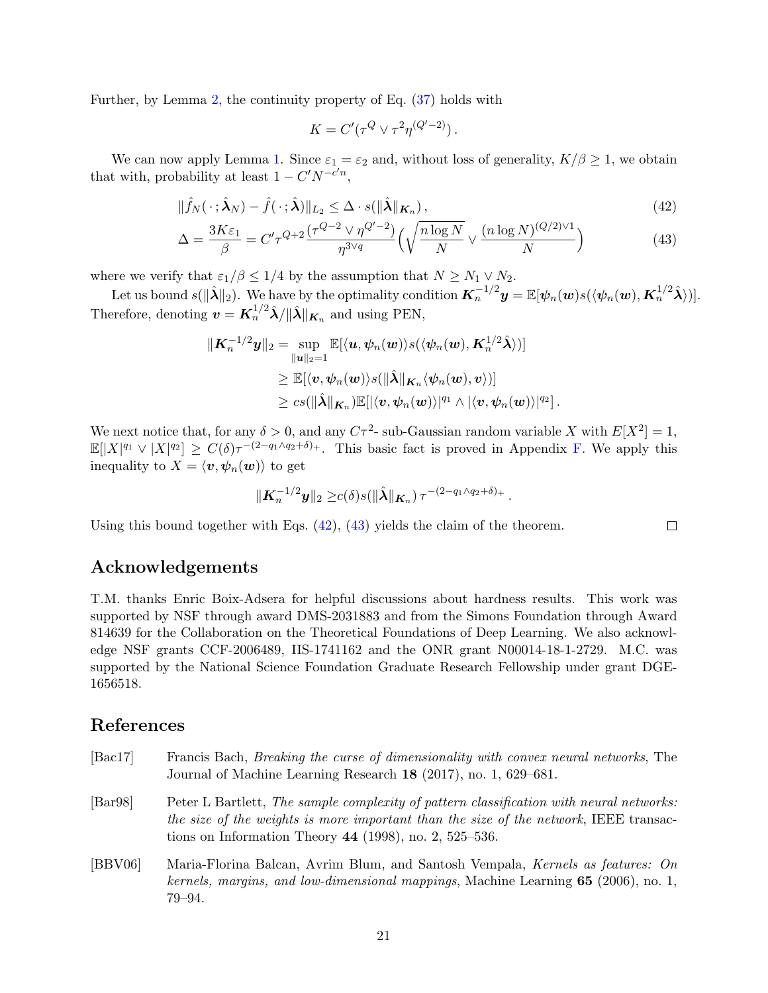Further, by Lemma [2,](#page-18-0) the continuity property of Eq. [\(37\)](#page-18-2) holds with

$$
K = C'(\tau^Q \vee \tau^2 \eta^{(Q'-2)})\,.
$$

We can now apply Lemma [1.](#page-18-1) Since  $\varepsilon_1 = \varepsilon_2$  and, without loss of generality,  $K/\beta \geq 1$ , we obtain that with, probability at least  $1 - C'N^{-c'n}$ ,

$$
\|\hat{f}_N(\cdot;\hat{\boldsymbol{\lambda}}_N) - \hat{f}(\cdot;\hat{\boldsymbol{\lambda}})\|_{L_2} \leq \Delta \cdot s(\|\hat{\boldsymbol{\lambda}}\|_{\boldsymbol{K}_n}),
$$
\n(42)

$$
\Delta = \frac{3K\varepsilon_1}{\beta} = C'\tau^{Q+2} \frac{(\tau^{Q-2} \vee \eta^{Q'-2})}{\eta^{3\vee q}} \left(\sqrt{\frac{n\log N}{N}} \vee \frac{(n\log N)^{(Q/2)\vee 1}}{N}\right)
$$
(43)

where we verify that  $\varepsilon_1/\beta \leq 1/4$  by the assumption that  $N \geq N_1 \vee N_2$ .

Let us bound  $s(\|\hat{\boldsymbol{\lambda}}\|_2)$ . We have by the optimality condition  $\boldsymbol{K}_n^{-1/2}\boldsymbol{y} = \mathbb{E}[\boldsymbol{\psi}_n(\boldsymbol{w})s(\langle \boldsymbol{\psi}_n(\boldsymbol{w}), \boldsymbol{K}_n^{1/2}\hat{\boldsymbol{\lambda}}\rangle)].$ Therefore, denoting  $\boldsymbol{v} = \boldsymbol{K}_n^{1/2} \hat{\boldsymbol{\lambda}} / ||\hat{\boldsymbol{\lambda}}||_{\boldsymbol{K}_n}$  and using PEN,

$$
\begin{aligned} \| \boldsymbol{K}^{-1/2}_{n} \boldsymbol{y} \|_{2} &= \sup_{\|\boldsymbol{u}\|_{2}=1} \mathbb{E} [ \langle \boldsymbol{u}, \boldsymbol{\psi}_{n}(\boldsymbol{w}) \rangle s( \langle \boldsymbol{\psi}_{n}(\boldsymbol{w}), \boldsymbol{K}^{1/2}_{n} \hat{\boldsymbol{\lambda}} \rangle ) ] \\ & \geq \mathbb{E} [ \langle \boldsymbol{v}, \boldsymbol{\psi}_{n}(\boldsymbol{w}) \rangle s( \| \hat{\boldsymbol{\lambda}} \|_{\boldsymbol{K}_{n}} \langle \boldsymbol{\psi}_{n}(\boldsymbol{w}), \boldsymbol{v} \rangle ) ] \\ & \geq c s( \| \hat{\boldsymbol{\lambda}} \|_{\boldsymbol{K}_{n}} ) \mathbb{E} [ \langle \boldsymbol{v}, \boldsymbol{\psi}_{n}(\boldsymbol{w}) \rangle |^{q_{1}} \wedge | \langle \boldsymbol{v}, \boldsymbol{\psi}_{n}(\boldsymbol{w}) \rangle |^{q_{2}} ] \, . \end{aligned}
$$

We next notice that, for any  $\delta > 0$ , and any  $C\tau^2$ - sub-Gaussian random variable X with  $E[X^2] = 1$ ,  $\mathbb{E}[|X|^{q_1} \vee |X|^{q_2}] \geq C(\delta) \tau^{-(2-q_1 \wedge q_2+\delta)_+}.$  This basic fact is proved in Appendix [F.](#page-40-0) We apply this inequality to  $X = \langle v, \psi_n(w) \rangle$  to get

$$
\|\mathbf{K}_n^{-1/2}\mathbf{y}\|_2 \ge c(\delta) s(\|\hat{\boldsymbol{\lambda}}\|_{\mathbf{K}_n}) \tau^{-(2-q_1\wedge q_2+\delta)_+}.
$$

<span id="page-20-4"></span><span id="page-20-3"></span> $\Box$ 

Using this bound together with Eqs.  $(42)$ ,  $(43)$  yields the claim of the theorem.

## Acknowledgements

T.M. thanks Enric Boix-Adsera for helpful discussions about hardness results. This work was supported by NSF through award DMS-2031883 and from the Simons Foundation through Award 814639 for the Collaboration on the Theoretical Foundations of Deep Learning. We also acknowledge NSF grants CCF-2006489, IIS-1741162 and the ONR grant N00014-18-1-2729. M.C. was supported by the National Science Foundation Graduate Research Fellowship under grant DGE-1656518.

## References

- <span id="page-20-0"></span>[Bac17] Francis Bach, Breaking the curse of dimensionality with convex neural networks, The Journal of Machine Learning Research 18 (2017), no. 1, 629–681.
- <span id="page-20-2"></span>[Bar98] Peter L Bartlett, The sample complexity of pattern classification with neural networks: the size of the weights is more important than the size of the network, IEEE transactions on Information Theory 44 (1998), no. 2, 525–536.
- <span id="page-20-1"></span>[BBV06] Maria-Florina Balcan, Avrim Blum, and Santosh Vempala, Kernels as features: On kernels, margins, and low-dimensional mappings, Machine Learning  $65$  (2006), no. 1, 79–94.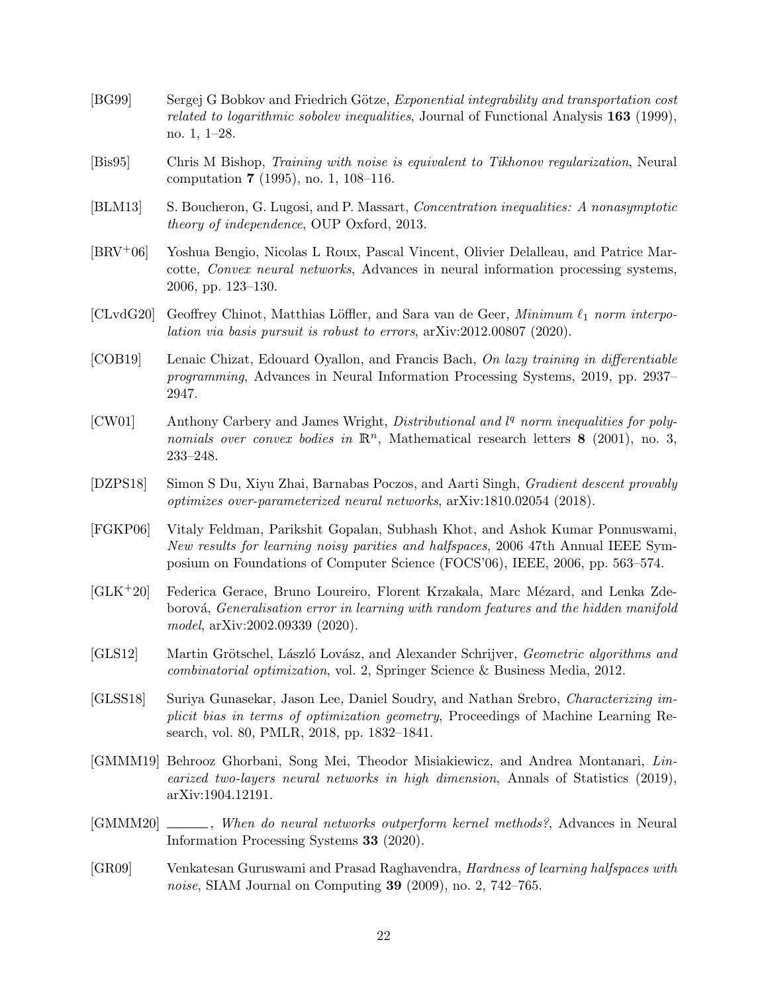- <span id="page-21-12"></span>[BG99] Sergej G Bobkov and Friedrich Götze, *Exponential integrability and transportation cost* related to logarithmic sobolev inequalities, Journal of Functional Analysis 163 (1999), no. 1, 1–28.
- <span id="page-21-9"></span>[Bis95] Chris M Bishop, Training with noise is equivalent to Tikhonov regularization, Neural computation 7 (1995), no. 1, 108–116.
- <span id="page-21-13"></span>[BLM13] S. Boucheron, G. Lugosi, and P. Massart, Concentration inequalities: A nonasymptotic theory of independence, OUP Oxford, 2013.
- <span id="page-21-4"></span>[BRV+06] Yoshua Bengio, Nicolas L Roux, Pascal Vincent, Olivier Delalleau, and Patrice Marcotte, Convex neural networks, Advances in neural information processing systems, 2006, pp. 123–130.
- <span id="page-21-8"></span>[CLvdG20] Geoffrey Chinot, Matthias Löffler, and Sara van de Geer, Minimum  $\ell_1$  norm interpolation via basis pursuit is robust to errors, arXiv:2012.00807 (2020).
- <span id="page-21-6"></span>[COB19] Lenaic Chizat, Edouard Oyallon, and Francis Bach, On lazy training in differentiable programming, Advances in Neural Information Processing Systems, 2019, pp. 2937– 2947.
- <span id="page-21-14"></span>[CW01] Anthony Carbery and James Wright, *Distributional and*  $l<sup>q</sup>$  norm inequalities for polynomials over convex bodies in  $\mathbb{R}^n$ , Mathematical research letters 8 (2001), no. 3, 233–248.
- <span id="page-21-5"></span>[DZPS18] Simon S Du, Xiyu Zhai, Barnabas Poczos, and Aarti Singh, Gradient descent provably optimizes over-parameterized neural networks, arXiv:1810.02054 (2018).
- <span id="page-21-1"></span>[FGKP06] Vitaly Feldman, Parikshit Gopalan, Subhash Khot, and Ashok Kumar Ponnuswami, New results for learning noisy parities and halfspaces, 2006 47th Annual IEEE Symposium on Foundations of Computer Science (FOCS'06), IEEE, 2006, pp. 563–574.
- <span id="page-21-10"></span>[GLK<sup>+</sup>20] Federica Gerace, Bruno Loureiro, Florent Krzakala, Marc Mézard, and Lenka Zdeborová, *Generalisation error in learning with random features and the hidden manifold* model, arXiv:2002.09339 (2020).
- <span id="page-21-11"></span>[GLS12] Martin Grötschel, László Lovász, and Alexander Schrijver, *Geometric algorithms and* combinatorial optimization, vol. 2, Springer Science & Business Media, 2012.
- <span id="page-21-7"></span>[GLSS18] Suriya Gunasekar, Jason Lee, Daniel Soudry, and Nathan Srebro, Characterizing implicit bias in terms of optimization geometry, Proceedings of Machine Learning Research, vol. 80, PMLR, 2018, pp. 1832–1841.
- <span id="page-21-0"></span>[GMMM19] Behrooz Ghorbani, Song Mei, Theodor Misiakiewicz, and Andrea Montanari, Linearized two-layers neural networks in high dimension, Annals of Statistics (2019), arXiv:1904.12191.
- <span id="page-21-3"></span>[GMMM20]  $\ldots$ , When do neural networks outperform kernel methods?, Advances in Neural Information Processing Systems 33 (2020).
- <span id="page-21-2"></span>[GR09] Venkatesan Guruswami and Prasad Raghavendra, Hardness of learning halfspaces with noise, SIAM Journal on Computing **39** (2009), no. 2, 742–765.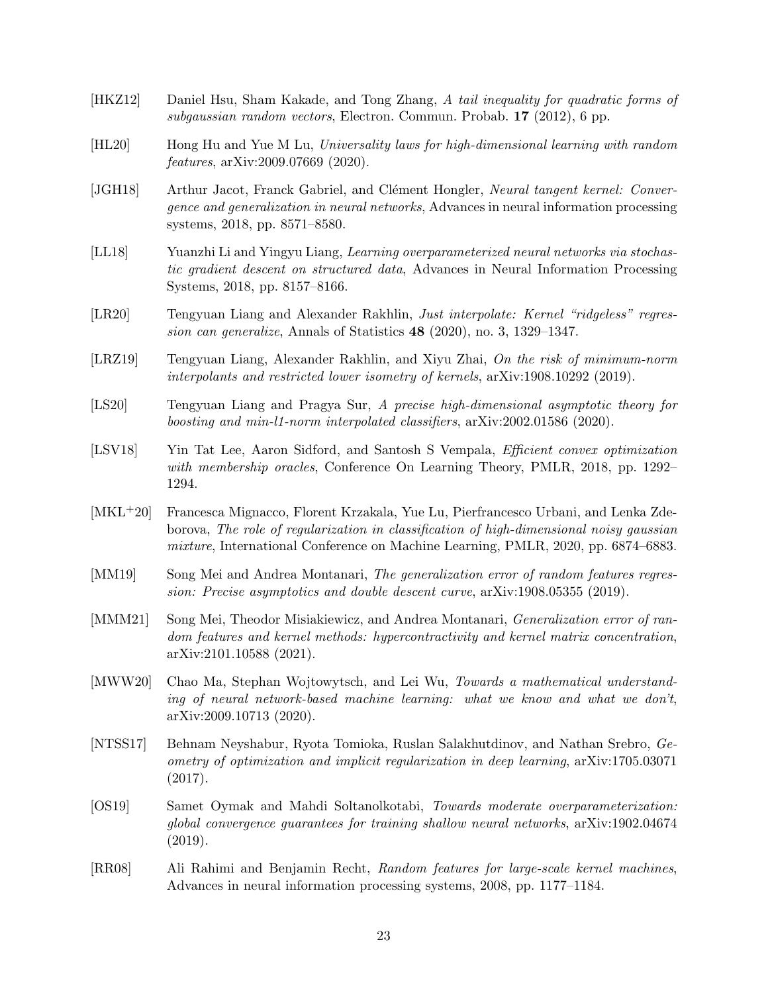- <span id="page-22-14"></span>[HKZ12] Daniel Hsu, Sham Kakade, and Tong Zhang, A tail inequality for quadratic forms of subgaussian random vectors, Electron. Commun. Probab. 17 (2012), 6 pp.
- <span id="page-22-12"></span>[HL20] Hong Hu and Yue M Lu, Universality laws for high-dimensional learning with random features, arXiv:2009.07669 (2020).
- <span id="page-22-0"></span>[JGH18] Arthur Jacot, Franck Gabriel, and Clément Hongler, Neural tangent kernel: Convergence and generalization in neural networks, Advances in neural information processing systems, 2018, pp. 8571–8580.
- <span id="page-22-7"></span>[LL18] Yuanzhi Li and Yingyu Liang, Learning overparameterized neural networks via stochastic gradient descent on structured data, Advances in Neural Information Processing Systems, 2018, pp. 8157–8166.
- <span id="page-22-1"></span>[LR20] Tengyuan Liang and Alexander Rakhlin, Just interpolate: Kernel "ridgeless" regression can generalize, Annals of Statistics 48 (2020), no. 3, 1329–1347.
- <span id="page-22-2"></span>[LRZ19] Tengyuan Liang, Alexander Rakhlin, and Xiyu Zhai, On the risk of minimum-norm interpolants and restricted lower isometry of kernels, arXiv:1908.10292 (2019).
- <span id="page-22-10"></span>[LS20] Tengyuan Liang and Pragya Sur, A precise high-dimensional asymptotic theory for boosting and min-l1-norm interpolated classifiers, arXiv:2002.01586 (2020).
- <span id="page-22-13"></span>[LSV18] Yin Tat Lee, Aaron Sidford, and Santosh S Vempala, Efficient convex optimization with membership oracles, Conference On Learning Theory, PMLR, 2018, pp. 1292– 1294.
- <span id="page-22-11"></span>[MKL+20] Francesca Mignacco, Florent Krzakala, Yue Lu, Pierfrancesco Urbani, and Lenka Zdeborova, The role of regularization in classification of high-dimensional noisy gaussian mixture, International Conference on Machine Learning, PMLR, 2020, pp. 6874–6883.
- <span id="page-22-6"></span>[MM19] Song Mei and Andrea Montanari, The generalization error of random features regression: Precise asymptotics and double descent curve, arXiv:1908.05355 (2019).
- <span id="page-22-3"></span>[MMM21] Song Mei, Theodor Misiakiewicz, and Andrea Montanari, *Generalization error of ran*dom features and kernel methods: hypercontractivity and kernel matrix concentration, arXiv:2101.10588 (2021).
- <span id="page-22-5"></span>[MWW20] Chao Ma, Stephan Wojtowytsch, and Lei Wu, Towards a mathematical understanding of neural network-based machine learning: what we know and what we don't, arXiv:2009.10713 (2020).
- <span id="page-22-9"></span>[NTSS17] Behnam Neyshabur, Ryota Tomioka, Ruslan Salakhutdinov, and Nathan Srebro, Geometry of optimization and implicit regularization in deep learning, arXiv:1705.03071 (2017).
- <span id="page-22-8"></span>[OS19] Samet Oymak and Mahdi Soltanolkotabi, Towards moderate overparameterization: global convergence guarantees for training shallow neural networks, arXiv:1902.04674 (2019).
- <span id="page-22-4"></span>[RR08] Ali Rahimi and Benjamin Recht, Random features for large-scale kernel machines, Advances in neural information processing systems, 2008, pp. 1177–1184.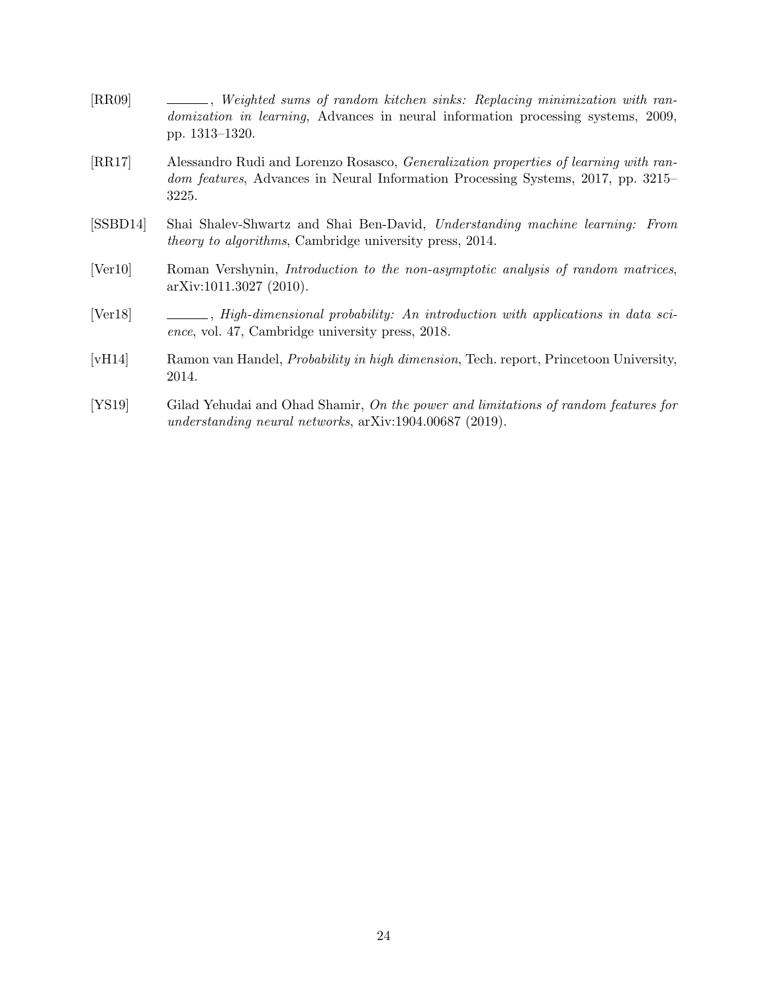<span id="page-23-3"></span><span id="page-23-2"></span>

| [RR09]   | - Replacing minimization with ran-<br><i>domization in learning</i> , Advances in neural information processing systems, 2009,<br>pp. 1313–1320.                                          |
|----------|-------------------------------------------------------------------------------------------------------------------------------------------------------------------------------------------|
| [RR17]   | Alessandro Rudi and Lorenzo Rosasco, <i>Generalization properties of learning with ran</i> -<br>dom features, Advances in Neural Information Processing Systems, 2017, pp. 3215–<br>3225. |
| [SSBD14] | Shai Shalev-Shwartz and Shai Ben-David, Understanding machine learning: From<br><i>theory to algorithms</i> , Cambridge university press, 2014.                                           |

- <span id="page-23-6"></span><span id="page-23-0"></span>[Ver10] Roman Vershynin, Introduction to the non-asymptotic analysis of random matrices, arXiv:1011.3027 (2010).
- <span id="page-23-5"></span>[Ver18]  $\Box \Box$ , High-dimensional probability: An introduction with applications in data science, vol. 47, Cambridge university press, 2018.
- <span id="page-23-4"></span>[vH14] Ramon van Handel, Probability in high dimension, Tech. report, Princetoon University, 2014.
- <span id="page-23-1"></span>[YS19] Gilad Yehudai and Ohad Shamir, On the power and limitations of random features for understanding neural networks, arXiv:1904.00687 (2019).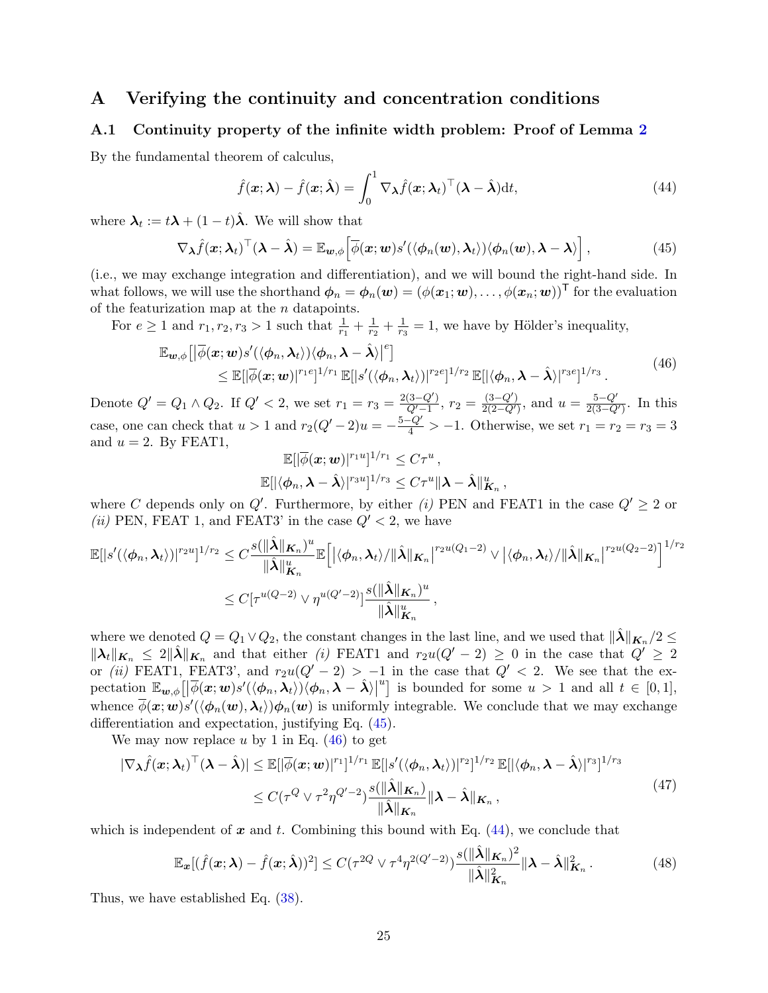## <span id="page-24-0"></span>A Verifying the continuity and concentration conditions

### <span id="page-24-1"></span>A.1 Continuity property of the infinite width problem: Proof of Lemma [2](#page-18-0)

By the fundamental theorem of calculus,

<span id="page-24-4"></span>
$$
\hat{f}(\boldsymbol{x}; \boldsymbol{\lambda}) - \hat{f}(\boldsymbol{x}; \hat{\boldsymbol{\lambda}}) = \int_0^1 \nabla_{\boldsymbol{\lambda}} \hat{f}(\boldsymbol{x}; \boldsymbol{\lambda}_t)^\top (\boldsymbol{\lambda} - \hat{\boldsymbol{\lambda}}) dt,
$$
\n(44)

where  $\lambda_t := t\lambda + (1-t)\hat{\lambda}$ . We will show that

<span id="page-24-2"></span>
$$
\nabla_{\boldsymbol{\lambda}} \hat{f}(\boldsymbol{x}; \boldsymbol{\lambda}_t)^\top (\boldsymbol{\lambda} - \hat{\boldsymbol{\lambda}}) = \mathbb{E}_{\boldsymbol{w}, \boldsymbol{\phi}} \Big[ \overline{\phi}(\boldsymbol{x}; \boldsymbol{w}) s'(\langle \phi_n(\boldsymbol{w}), \boldsymbol{\lambda}_t \rangle) \langle \phi_n(\boldsymbol{w}), \boldsymbol{\lambda} - \boldsymbol{\lambda} \rangle \Big], \tag{45}
$$

(i.e., we may exchange integration and differentiation), and we will bound the right-hand side. In what follows, we will use the shorthand  $\phi_n = \phi_n(\boldsymbol{w}) = (\phi(\boldsymbol{x}_1; \boldsymbol{w}), \dots, \phi(\boldsymbol{x}_n; \boldsymbol{w}))^{\mathsf{T}}$  for the evaluation of the featurization map at the  $\boldsymbol{n}$  datapoints.

For  $e \ge 1$  and  $r_1, r_2, r_3 > 1$  such that  $\frac{1}{r_1} + \frac{1}{r_2}$  $\frac{1}{r_2} + \frac{1}{r_3}$  $\frac{1}{r_3}$  = 1, we have by Hölder's inequality,

<span id="page-24-3"></span>
$$
\mathbb{E}_{\mathbf{w},\phi}\big[\big|\overline{\phi}(\mathbf{x};\mathbf{w})s'(\langle\phi_n,\boldsymbol{\lambda}_t\rangle)\langle\phi_n,\boldsymbol{\lambda}-\hat{\boldsymbol{\lambda}}\rangle\big|^e\big] \leq \mathbb{E}[\big|\overline{\phi}(\mathbf{x};\mathbf{w})|^{r_1e}]^{1/r_1} \mathbb{E}[|s'(\langle\phi_n,\boldsymbol{\lambda}_t\rangle)|^{r_2e}]^{1/r_2} \mathbb{E}[\langle\phi_n,\boldsymbol{\lambda}-\hat{\boldsymbol{\lambda}}\rangle|^{r_3e}]^{1/r_3} .
$$
\n(46)

Denote  $Q' = Q_1 \wedge Q_2$ . If  $Q' < 2$ , we set  $r_1 = r_3 = \frac{2(3-Q')}{Q'-1}$  $\frac{(3-Q')}{Q'-1}$ ,  $r_2 = \frac{(3-Q')}{2(2-Q')}$  $\frac{(3-Q')}{2(2-Q')}$ , and  $u = \frac{5-Q'}{2(3-Q)}$  $\frac{5-Q'}{2(3-Q')}$ . In this case, one can check that  $u > 1$  and  $r_2(Q' - 2)u = -\frac{5-Q'}{4} > -1$ . Otherwise, we set  $r_1 = r_2 = r_3 = 3$ and  $u = 2$ . By FEAT1,

$$
\mathbb{E}[|\overline{\phi}(\boldsymbol{x};\boldsymbol{w})|^{r_1u}]^{1/r_1} \leq C\tau^u,
$$
  

$$
\mathbb{E}[|\langle \phi_n, \boldsymbol{\lambda} - \hat{\boldsymbol{\lambda}} \rangle|^{r_3u}]^{1/r_3} \leq C\tau^u \|\boldsymbol{\lambda} - \hat{\boldsymbol{\lambda}}\|_{\boldsymbol{K}_n}^u,
$$

where C depends only on Q'. Furthermore, by either (i) PEN and FEAT1 in the case  $Q' \geq 2$  or (ii) PEN, FEAT 1, and FEAT3' in the case  $Q' < 2$ , we have

$$
\mathbb{E}[|s'(\langle \phi_n, \lambda_t \rangle)|^{r_2 u}]^{1/r_2} \leq C \frac{s(\|\hat{\lambda}\|_{\boldsymbol{K}_n})^u}{\|\hat{\lambda}\|_{\boldsymbol{K}_n}^u} \mathbb{E}\Big[ \big|\langle \phi_n, \lambda_t \rangle / \|\hat{\lambda}\|_{\boldsymbol{K}_n} \big|^{r_2 u(Q_1-2)} \vee \big|\langle \phi_n, \lambda_t \rangle / \|\hat{\lambda}\|_{\boldsymbol{K}_n} \big|^{r_2 u(Q_2-2)} \Big]^{1/r_2} \leq C[\tau^{u(Q-2)} \vee \eta^{u(Q'-2)}] \frac{s(\|\hat{\lambda}\|_{\boldsymbol{K}_n})^u}{\|\hat{\lambda}\|_{\boldsymbol{K}_n}^u},
$$

where we denoted  $Q = Q_1 \vee Q_2$ , the constant changes in the last line, and we used that  $\|\hat{\lambda}\|_{K_n}/2 \leq$  $\|\lambda_t\|_{K_n} \leq 2\|\hat{\lambda}\|_{K_n}$  and that either (i) FEAT1 and  $r_2u(Q'-2) \geq 0$  in the case that  $Q' \geq 2$ or (ii) FEAT1, FEAT3', and  $r_2u(Q'-2) > -1$  in the case that  $Q' < 2$ . We see that the expectation Ew,φ- <sup>φ</sup>(x; <sup>w</sup>)<sup>s</sup> 0 (hφn,λti)hφn,λ − λˆi   <sup>u</sup> is bounded for some  $u > 1$  and all  $t \in [0,1]$ , whence  $\overline{\phi}(\bm{x};\bm{w})s'(\langle \phi_n(\bm{w}), \bm{\lambda}_t \rangle)\phi_n(\bm{w})$  is uniformly integrable. We conclude that we may exchange differentiation and expectation, justifying Eq. [\(45\)](#page-24-2).

We may now replace u by 1 in Eq.  $(46)$  to get

$$
|\nabla_{\boldsymbol{\lambda}} \hat{f}(\boldsymbol{x}; \boldsymbol{\lambda}_t)^\top (\boldsymbol{\lambda} - \hat{\boldsymbol{\lambda}})| \leq \mathbb{E} [|\overline{\phi}(\boldsymbol{x}; \boldsymbol{w})|^{r_1}]^{1/r_1} \mathbb{E} [|s'(\langle \phi_n, \boldsymbol{\lambda}_t \rangle)|^{r_2}]^{1/r_2} \mathbb{E} [|\langle \phi_n, \boldsymbol{\lambda} - \hat{\boldsymbol{\lambda}} \rangle|^{r_3}]^{1/r_3}
$$
  
\n
$$
\leq C(\tau^Q \vee \tau^2 \eta^{Q'-2}) \frac{s(||\hat{\boldsymbol{\lambda}}||_{\boldsymbol{K}_n})}{||\hat{\boldsymbol{\lambda}}||_{\boldsymbol{K}_n}} ||\boldsymbol{\lambda} - \hat{\boldsymbol{\lambda}}||_{\boldsymbol{K}_n},
$$
\n(47)

which is independent of  $x$  and  $t$ . Combining this bound with Eq.  $(44)$ , we conclude that

$$
\mathbb{E}_{\boldsymbol{x}}[(\hat{f}(\boldsymbol{x};\boldsymbol{\lambda}) - \hat{f}(\boldsymbol{x};\hat{\boldsymbol{\lambda}}))^2] \le C(\tau^{2Q} \vee \tau^4 \eta^{2(Q'-2)}) \frac{s(\|\hat{\boldsymbol{\lambda}}\|_{\boldsymbol{K}_n})^2}{\|\hat{\boldsymbol{\lambda}}\|_{\boldsymbol{K}_n}^2} \|\boldsymbol{\lambda} - \hat{\boldsymbol{\lambda}}\|_{\boldsymbol{K}_n}^2.
$$
 (48)

Thus, we have established Eq. [\(38\)](#page-18-3).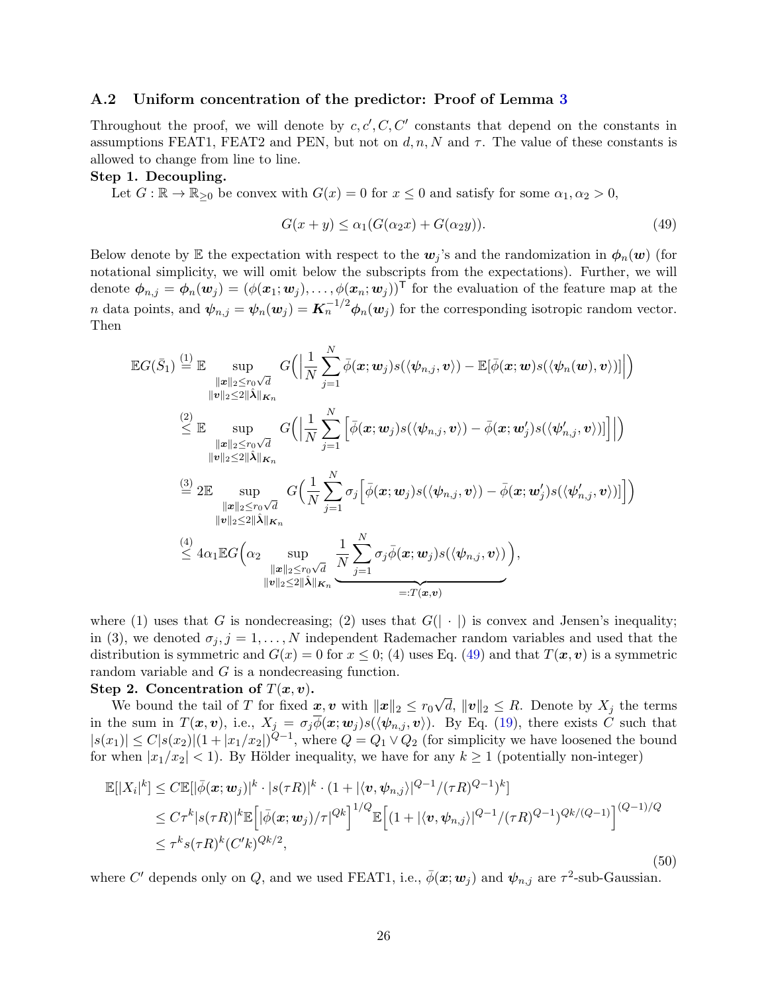### <span id="page-25-0"></span>A.2 Uniform concentration of the predictor: Proof of Lemma [3](#page-19-0)

Throughout the proof, we will denote by  $c, c', C, C'$  constants that depend on the constants in assumptions FEAT1, FEAT2 and PEN, but not on  $d, n, N$  and  $\tau$ . The value of these constants is allowed to change from line to line.

### Step 1. Decoupling.

Let  $G : \mathbb{R} \to \mathbb{R}_{\geq 0}$  be convex with  $G(x) = 0$  for  $x \leq 0$  and satisfy for some  $\alpha_1, \alpha_2 > 0$ ,

<span id="page-25-1"></span>
$$
G(x+y) \le \alpha_1 (G(\alpha_2 x) + G(\alpha_2 y)). \tag{49}
$$

Below denote by E the expectation with respect to the  $w_j$ 's and the randomization in  $\phi_n(w)$  (for notational simplicity, we will omit below the subscripts from the expectations). Further, we will denote  $\phi_{n,j} = \phi_n(\mathbf{w}_j) = (\phi(\mathbf{x}_1; \mathbf{w}_j), \dots, \phi(\mathbf{x}_n; \mathbf{w}_j))^T$  for the evaluation of the feature map at the *n* data points, and  $\psi_{n,j} = \psi_n(\mathbf{w}_j) = \mathbf{K}_n^{-1/2} \phi_n(\mathbf{w}_j)$  for the corresponding isotropic random vector. Then

$$
\mathbb{E}G(\bar{S}_{1}) \stackrel{(1)}{=} \mathbb{E} \sup_{\substack{\|\boldsymbol{x}\|_{2} \leq r_{0}\sqrt{d} \\ \|\boldsymbol{v}\|_{2} \leq 2\|\hat{\boldsymbol{\lambda}}\|_{\mathbf{K}_{n}}}} G\Big(\Big|\frac{1}{N} \sum_{j=1}^{N} \bar{\phi}(\boldsymbol{x}; \boldsymbol{w}_{j}) s(\langle \psi_{n,j}, \boldsymbol{v} \rangle) - \mathbb{E}[\bar{\phi}(\boldsymbol{x}; \boldsymbol{w}) s(\langle \psi_{n}(\boldsymbol{w}), \boldsymbol{v} \rangle)]\Big| \Big)
$$
\n
$$
\stackrel{(2)}{\leq} \mathbb{E} \sup_{\substack{\|\boldsymbol{x}\|_{2} \leq r_{0}\sqrt{d} \\ \|\boldsymbol{v}\|_{2} \leq 2\|\hat{\boldsymbol{\lambda}}\|_{\mathbf{K}_{n}}}} G\Big(\Big|\frac{1}{N} \sum_{j=1}^{N} \Big[\bar{\phi}(\boldsymbol{x}; \boldsymbol{w}_{j}) s(\langle \psi_{n,j}, \boldsymbol{v} \rangle) - \bar{\phi}(\boldsymbol{x}; \boldsymbol{w}'_{j}) s(\langle \psi'_{n,j}, \boldsymbol{v} \rangle)\Big]\Big|\Big)
$$
\n
$$
\stackrel{(3)}{=} 2 \mathbb{E} \sup_{\substack{\|\boldsymbol{x}\|_{2} \leq r_{0}\sqrt{d} \\ \|\boldsymbol{v}\|_{2} \leq 2\|\hat{\boldsymbol{\lambda}}\|_{\mathbf{K}_{n}}}} G\Big(\frac{1}{N} \sum_{j=1}^{N} \sigma_{j} \Big[\bar{\phi}(\boldsymbol{x}; \boldsymbol{w}_{j}) s(\langle \psi_{n,j}, \boldsymbol{v} \rangle) - \bar{\phi}(\boldsymbol{x}; \boldsymbol{w}'_{j}) s(\langle \psi'_{n,j}, \boldsymbol{v} \rangle)\Big]\Big)\Big)
$$
\n
$$
\stackrel{(4)}{\leq} 4 \alpha_{1} \mathbb{E}G\Big(\alpha_{2} \sup_{\|\boldsymbol{v}\|_{2} \leq r_{0}\sqrt{d}} \frac{1}{N} \sum_{j=1}^{N} \sigma_{j} \bar{\phi}(\boldsymbol{x}; \boldsymbol{w}_{j}) s(\langle \psi_{n,j}, \boldsymbol{v} \rangle)\Big),
$$
\n
$$
\stackrel{(4)}{\leq} 4 \alpha_{1} \mathbb{E}G\Big(\alpha_{2} \sup
$$

where (1) uses that G is nondecreasing; (2) uses that  $G(|\cdot|)$  is convex and Jensen's inequality; in (3), we denoted  $\sigma_i$ ,  $j = 1, \ldots, N$  independent Rademacher random variables and used that the distribution is symmetric and  $G(x) = 0$  for  $x \le 0$ ; (4) uses Eq. [\(49\)](#page-25-1) and that  $T(x, v)$  is a symmetric random variable and G is a nondecreasing function.

#### Step 2. Concentration of  $T(x, v)$ .

We bound the tail of T for fixed  $x, v$  with  $||x||_2 \le r_0$ √ d,  $||v||_2 \leq R$ . Denote by  $X_j$  the terms in the sum in  $T(x, v)$ , i.e.,  $X_j = \sigma_j \overline{\phi}(x; w_j) s(\langle \psi_{n,j}, v \rangle)$ . By Eq. [\(19\)](#page-7-0), there exists C such that  $|s(x_1)| \leq C |s(x_2)| (1+|x_1/x_2|)^{Q-1}$ , where  $Q = Q_1 \vee Q_2$  (for simplicity we have loosened the bound for when  $|x_1/x_2|$  < 1). By Hölder inequality, we have for any  $k \ge 1$  (potentially non-integer)

<span id="page-25-2"></span>
$$
\mathbb{E}[|X_i|^k] \leq C \mathbb{E}[|\bar{\phi}(\mathbf{x}; \mathbf{w}_j)|^k \cdot |s(\tau R)|^k \cdot (1 + |\langle \mathbf{v}, \psi_{n,j} \rangle|^{Q-1} / (\tau R)^{Q-1})^k]
$$
  
\n
$$
\leq C \tau^k |s(\tau R)|^k \mathbb{E}\left[|\bar{\phi}(\mathbf{x}; \mathbf{w}_j) / \tau|^{Qk}\right]^{1/Q} \mathbb{E}\left[ (1 + |\langle \mathbf{v}, \psi_{n,j} \rangle|^{Q-1} / (\tau R)^{Q-1})^{Qk/(Q-1)} \right]^{(Q-1)/Q}
$$
  
\n
$$
\leq \tau^k s(\tau R)^k (C'k)^{Qk/2}, \tag{50}
$$

where C' depends only on Q, and we used FEAT1, i.e.,  $\bar{\phi}(\mathbf{x}; \mathbf{w}_j)$  and  $\psi_{n,j}$  are  $\tau^2$ -sub-Gaussian.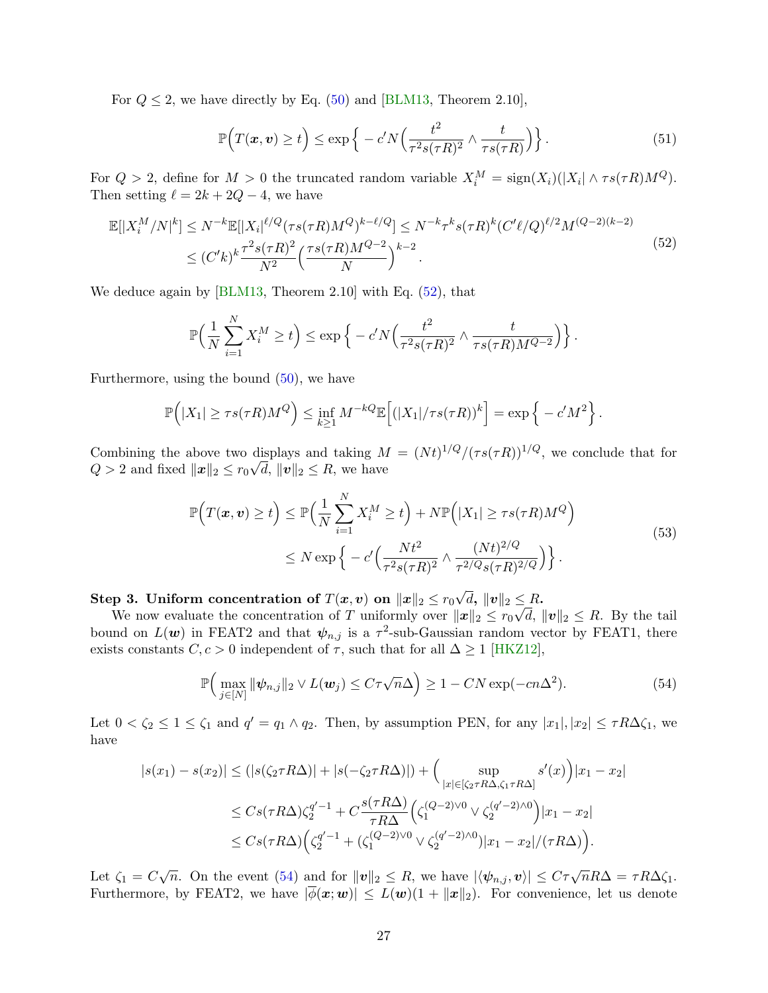For  $Q \leq 2$ , we have directly by Eq. [\(50\)](#page-25-2) and [\[BLM13,](#page-21-13) Theorem 2.10],

<span id="page-26-2"></span>
$$
\mathbb{P}\Big(T(\boldsymbol{x},\boldsymbol{v})\geq t\Big)\leq \exp\Big\{-c'N\Big(\frac{t^2}{\tau^2 s(\tau R)^2}\wedge \frac{t}{\tau s(\tau R)}\Big)\Big\}.\tag{51}
$$

For  $Q > 2$ , define for  $M > 0$  the truncated random variable  $X_i^M = \text{sign}(X_i)(|X_i| \wedge \tau s(\tau R)M^Q)$ . Then setting  $\ell = 2k + 2Q - 4$ , we have

<span id="page-26-0"></span>
$$
\mathbb{E}[|X_i^M/N|^k] \le N^{-k} \mathbb{E}[|X_i|^{\ell/Q} (\tau s(\tau R) M^Q)^{k-\ell/Q}] \le N^{-k} \tau^k s(\tau R)^k (C' \ell/Q)^{\ell/2} M^{(Q-2)(k-2)} \le (C'k)^k \frac{\tau^2 s(\tau R)^2}{N^2} \left(\frac{\tau s(\tau R) M^{Q-2}}{N}\right)^{k-2}.
$$
\n(52)

We deduce again by [\[BLM13,](#page-21-13) Theorem 2.10] with Eq. [\(52\)](#page-26-0), that

$$
\mathbb{P}\Big(\frac{1}{N}\sum_{i=1}^N X_i^M \ge t\Big) \le \exp\Big\{-c'N\Big(\frac{t^2}{\tau^2 s(\tau R)^2} \wedge \frac{t}{\tau s(\tau R)M^{Q-2}}\Big)\Big\}\,.
$$

Furthermore, using the bound [\(50\)](#page-25-2), we have

$$
\mathbb{P}\Big(|X_1| \geq \tau s(\tau R)M^Q\Big) \leq \inf_{k \geq 1} M^{-kQ} \mathbb{E}\Big[(|X_1|/\tau s(\tau R))^k\Big] = \exp\Big\{-c'M^2\Big\}.
$$

Combining the above two displays and taking  $M = (Nt)^{1/Q}/(\tau s(\tau R))^{1/Q}$ , we conclude that for  $Q > 2$  and fixed  $||\boldsymbol{x}||_2 \leq r_0 \sqrt{d}$ ,  $||\boldsymbol{v}||_2 \leq R$ , we have

<span id="page-26-3"></span>
$$
\mathbb{P}\Big(T(\boldsymbol{x},\boldsymbol{v})\geq t\Big) \leq \mathbb{P}\Big(\frac{1}{N}\sum_{i=1}^{N}X_i^M\geq t\Big) + N\mathbb{P}\Big(|X_1|\geq \tau s(\tau R)M^Q\Big) \leq N\exp\Big\{-c'\Big(\frac{Nt^2}{\tau^2 s(\tau R)^2}\wedge \frac{(Nt)^{2/Q}}{\tau^{2/Q}s(\tau R)^{2/Q}}\Big)\Big\}.
$$
\n(53)

Step 3. Uniform concentration of  $T(\bm{x},\bm{v})$  on  $\|\bm{x}\|_2 \leq r_0$ √  $\Vert d, \, \Vert v \Vert_2 \leq R.$ 

We now evaluate the concentration of T uniformly over  $||x||_2 \le r_0 \sqrt{d}$ ,  $||v||_2 \le R$ . By the tail bound on  $L(\boldsymbol{w})$  in FEAT2 and that  $\psi_{n,j}$  is a  $\tau^2$ -sub-Gaussian random vector by FEAT1, there exists constants  $C, c > 0$  independent of  $\tau$ , such that for all  $\Delta \ge 1$  [\[HKZ12\]](#page-22-14),

<span id="page-26-1"></span>
$$
\mathbb{P}\Big(\max_{j\in[N]}\|\psi_{n,j}\|_2\vee L(\boldsymbol{w}_j)\leq C\tau\sqrt{n}\Delta\Big)\geq 1-CN\exp(-cn\Delta^2). \hspace{1cm} (54)
$$

Let  $0 < \zeta_2 \leq 1 \leq \zeta_1$  and  $q' = q_1 \wedge q_2$ . Then, by assumption PEN, for any  $|x_1|, |x_2| \leq \tau R \Delta \zeta_1$ , we have

$$
|s(x_1) - s(x_2)| \le (|s(\zeta_2 \tau R\Delta)| + |s(-\zeta_2 \tau R\Delta)|) + \Big(\sup_{|x| \in [\zeta_2 \tau R\Delta, \zeta_1 \tau R\Delta]} s'(x)\Big)|x_1 - x_2|
$$
  

$$
\le C s(\tau R\Delta) \zeta_2^{q'-1} + C \frac{s(\tau R\Delta)}{\tau R\Delta} \Big(\zeta_1^{(Q-2)\vee 0} \vee \zeta_2^{(q'-2)\wedge 0}\Big)|x_1 - x_2|
$$
  

$$
\le C s(\tau R\Delta) \Big(\zeta_2^{q'-1} + (\zeta_1^{(Q-2)\vee 0} \vee \zeta_2^{(q'-2)\wedge 0})|x_1 - x_2|/(\tau R\Delta)\Big).
$$

Let  $\zeta_1 = C\sqrt{n}$ . On the event [\(54\)](#page-26-1) and for  $||\mathbf{v}||_2 \leq R$ , we have  $|\langle \psi_{n,j}, \mathbf{v} \rangle| \leq C\tau \sqrt{n}R\Delta = \tau R\Delta \zeta_1$ . Furthermore, by FEAT2, we have  $|\overline{\phi}(\mathbf{x};\mathbf{w})| \leq L(\mathbf{w})(1 + ||\mathbf{x}||_2)$ . For convenience, let us denote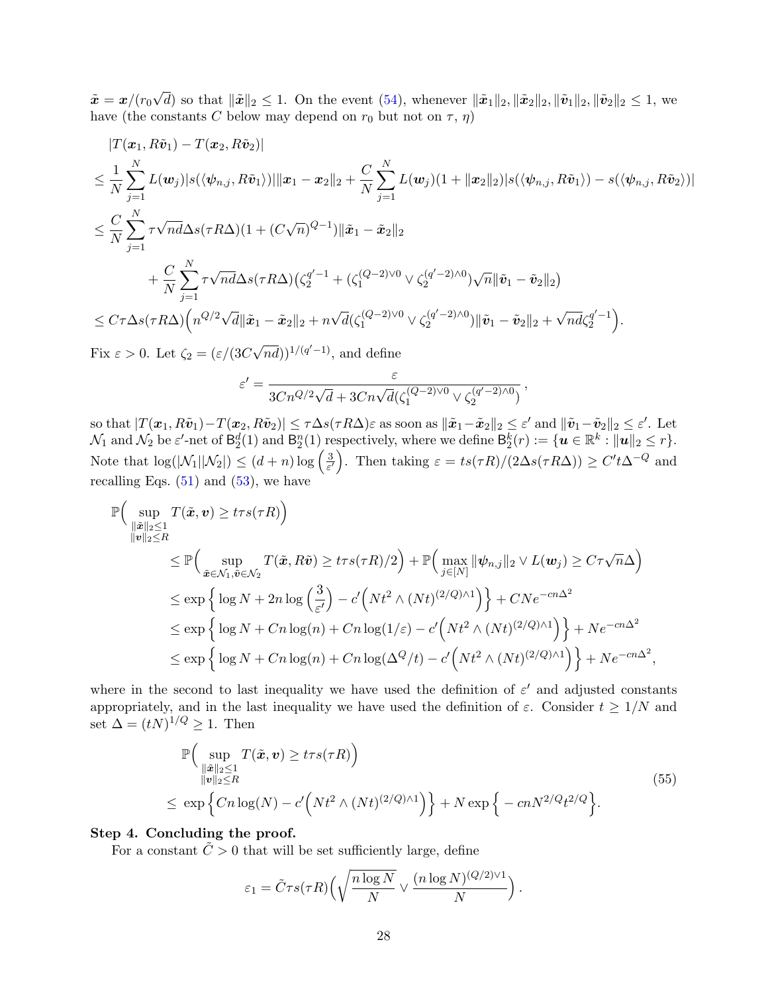$\tilde{\bm{x}} = \bm{x}/(r_0$ √ d) so that  $\|\tilde{\boldsymbol{x}}\|_2 \leq 1$ . On the event [\(54\)](#page-26-1), whenever  $\|\tilde{\boldsymbol{x}}_1\|_2, \|\tilde{\boldsymbol{x}}_2\|_2, \|\tilde{\boldsymbol{v}}_1\|_2, \|\tilde{\boldsymbol{v}}_2\|_2 \leq 1$ , we have (the constants C below may depend on  $r_0$  but not on  $\tau$ ,  $\eta$ )

$$
|T(\boldsymbol{x}_{1}, R\tilde{\boldsymbol{v}}_{1}) - T(\boldsymbol{x}_{2}, R\tilde{\boldsymbol{v}}_{2})|
$$
  
\n
$$
\leq \frac{1}{N} \sum_{j=1}^{N} L(\boldsymbol{w}_{j}) |s(\langle \psi_{n,j}, R\tilde{\boldsymbol{v}}_{1} \rangle) |||\boldsymbol{x}_{1} - \boldsymbol{x}_{2}||_{2} + \frac{C}{N} \sum_{j=1}^{N} L(\boldsymbol{w}_{j}) (1 + ||\boldsymbol{x}_{2}||_{2}) |s(\langle \psi_{n,j}, R\tilde{\boldsymbol{v}}_{1} \rangle) - s(\langle \psi_{n,j}, R\tilde{\boldsymbol{v}}_{2} \rangle) |
$$
  
\n
$$
\leq \frac{C}{N} \sum_{j=1}^{N} \tau \sqrt{n} d\Delta s (\tau R\Delta) (1 + (C\sqrt{n})^{Q-1}) ||\tilde{\boldsymbol{x}}_{1} - \tilde{\boldsymbol{x}}_{2}||_{2}
$$
  
\n
$$
+ \frac{C}{N} \sum_{j=1}^{N} \tau \sqrt{n} d\Delta s (\tau R\Delta) (\zeta_{2}^{q'-1} + (\zeta_{1}^{(Q-2)\vee0} \vee \zeta_{2}^{(q'-2)\wedge0}) \sqrt{n} ||\tilde{\boldsymbol{v}}_{1} - \tilde{\boldsymbol{v}}_{2}||_{2})
$$
  
\n
$$
\leq C \tau \Delta s (\tau R\Delta) (n^{Q/2} \sqrt{d} ||\tilde{\boldsymbol{x}}_{1} - \tilde{\boldsymbol{x}}_{2}||_{2} + n \sqrt{d} (\zeta_{1}^{(Q-2)\vee0} \vee \zeta_{2}^{(q'-2)\wedge0}) ||\tilde{\boldsymbol{v}}_{1} - \tilde{\boldsymbol{v}}_{2}||_{2} + \sqrt{n} d \zeta_{2}^{q'-1}).
$$

Fix  $\varepsilon > 0$ . Let  $\zeta_2 = (\varepsilon/(3C))$  $(\sqrt{nd})$ <sup>1/(q'-1)</sup>, and define

$$
\varepsilon' = \frac{\varepsilon}{3Cn^{Q/2}\sqrt{d} + 3Cn\sqrt{d}(\zeta_1^{(Q-2)\vee 0} \vee \zeta_2^{(q'-2)\wedge 0})}
$$

,

,

so that  $|T(\boldsymbol{x}_1, R\tilde{\boldsymbol{v}}_1) - T(\boldsymbol{x}_2, R\tilde{\boldsymbol{v}}_2)| \leq \tau \Delta s(\tau R\Delta) \varepsilon$  as soon as  $\|\tilde{\boldsymbol{x}}_1-\tilde{\boldsymbol{x}}_2\|_2 \leq \varepsilon'$  and  $\|\tilde{\boldsymbol{v}}_1-\tilde{\boldsymbol{v}}_2\|_2 \leq \varepsilon'.$  Let  $\mathcal{N}_1$  and  $\mathcal{N}_2$  be  $\varepsilon'$ -net of  $\mathsf{B}_2^d(1)$  and  $\mathsf{B}_2^n(1)$  respectively, where we define  $\mathsf{B}_2^k(r) := \{ \bm{u} \in \mathbb{R}^k : \|\bm{u}\|_2 \leq r \}.$ Note that  $\log(|\mathcal{N}_1||\mathcal{N}_2|) \leq (d+n) \log \left(\frac{3}{\varepsilon^d}\right)$  $\frac{3}{\varepsilon'}$ . Then taking  $\varepsilon = \frac{ts(\tau R)}{2\Delta s(\tau R \Delta)} \geq C' t \Delta^{-Q}$  and recalling Eqs.  $(51)$  and  $(53)$ , we have

$$
\mathbb{P}\Big(\sup_{\|\tilde{x}\|_2\leq 1} T(\tilde{x}, v) \geq t\tau s(\tau R)\Big) \n\leq \mathbb{P}\Big(\sup_{\tilde{x}\in \mathcal{N}_1, \tilde{v}\in \mathcal{N}_2} T(\tilde{x}, R\tilde{v}) \geq t\tau s(\tau R)/2\Big) + \mathbb{P}\Big(\max_{j\in [N]} \|\psi_{n,j}\|_2 \vee L(w_j) \geq C\tau \sqrt{n}\Delta\Big) \n\leq \exp\Big\{\log N + 2n \log \Big(\frac{3}{\varepsilon'}\Big) - c'\Big(Nt^2 \wedge (Nt)^{(2/Q)\wedge 1}\Big)\Big\} + CNe^{-cn\Delta^2} \n\leq \exp\Big\{\log N + Cn \log(n) + Cn \log(1/\varepsilon) - c'\Big(Nt^2 \wedge (Nt)^{(2/Q)\wedge 1}\Big)\Big\} + Ne^{-cn\Delta^2} \n\leq \exp\Big\{\log N + Cn \log(n) + Cn \log(\Delta^Q/t) - c'\Big(Nt^2 \wedge (Nt)^{(2/Q)\wedge 1}\Big)\Big\} + Ne^{-cn\Delta^2}
$$

where in the second to last inequality we have used the definition of  $\varepsilon'$  and adjusted constants appropriately, and in the last inequality we have used the definition of  $\varepsilon$ . Consider  $t \geq 1/N$  and set  $\Delta = (tN)^{1/Q} \geq 1$ . Then

<span id="page-27-0"></span>
$$
\mathbb{P}\Big(\sup_{\substack{\|\tilde{x}\|_2\leq 1\\ \|v\|_2\leq R}} T(\tilde{x}, v) \geq t\tau s(\tau R)\Big) \leq \exp\Big\{Cn\log(N) - c'\Big(Nt^2 \wedge (Nt)^{(2/Q)\wedge 1}\Big)\Big\} + N \exp\Big\{-cnN^{2/Q}t^{2/Q}\Big\}.
$$
\n(55)

### Step 4. Concluding the proof.

For a constant  $\tilde{C} > 0$  that will be set sufficiently large, define

$$
\varepsilon_1 = \tilde{C}\tau s(\tau R) \left( \sqrt{\frac{n \log N}{N}} \vee \frac{(n \log N)^{(Q/2) \vee 1}}{N} \right).
$$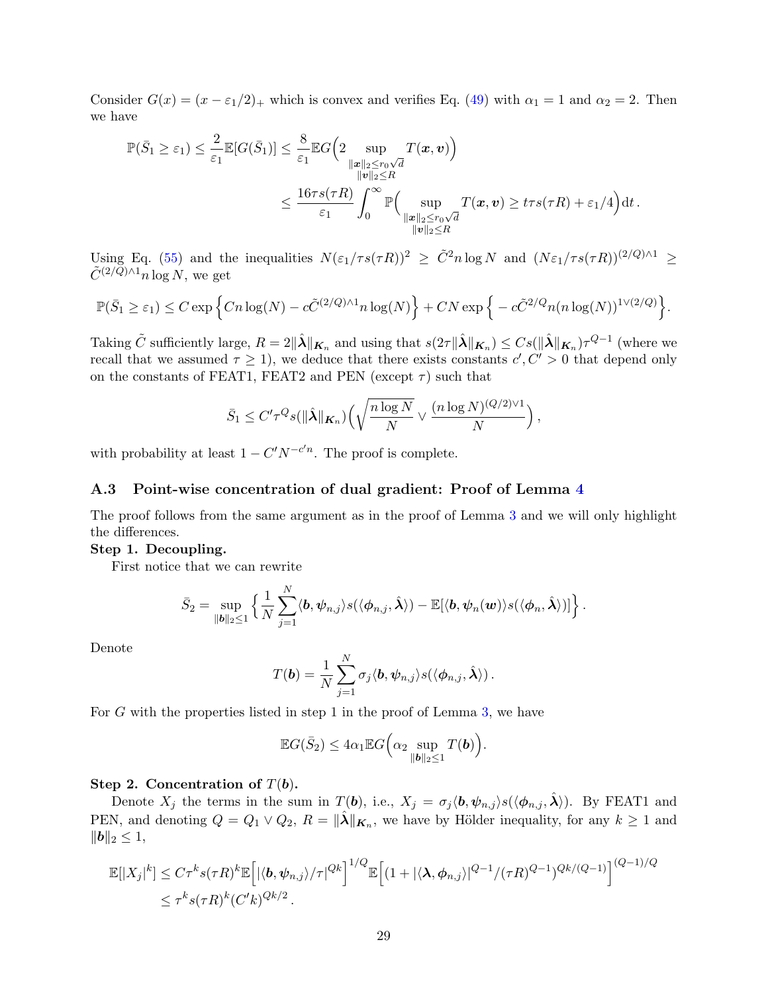Consider  $G(x) = (x - \epsilon_1/2)_+$  which is convex and verifies Eq. [\(49\)](#page-25-1) with  $\alpha_1 = 1$  and  $\alpha_2 = 2$ . Then we have

$$
\mathbb{P}(\bar{S}_1 \geq \varepsilon_1) \leq \frac{2}{\varepsilon_1} \mathbb{E}[G(\bar{S}_1)] \leq \frac{8}{\varepsilon_1} \mathbb{E}G\left(2 \sup_{\substack{\|x\|_2 \leq r_0\sqrt{d} \\ \|v\|_2 \leq R}} T(\pmb{x}, \pmb{v})\right) \leq \frac{16\tau s(\tau R)}{\varepsilon_1} \int_0^\infty \mathbb{P}\Big(\sup_{\substack{\|x\|_2 \leq r_0\sqrt{d} \\ \|v\|_2 \leq R}} T(\pmb{x}, \pmb{v}) \geq t\tau s(\tau R) + \varepsilon_1/4\Big)dt.
$$

Using Eq. [\(55\)](#page-27-0) and the inequalities  $N(\varepsilon_1/\tau s(\tau R))^2 \geq \tilde{C}^2 n \log N$  and  $(N\varepsilon_1/\tau s(\tau R))^{(2/Q)\wedge 1} \geq$  $\tilde{C}^{(2/Q)\wedge 1}n\log N$ , we get

$$
\mathbb{P}(\bar{S}_1 \geq \varepsilon_1) \leq C \exp \Big\{ C n \log(N) - c \tilde{C}^{(2/Q) \wedge 1} n \log(N) \Big\} + C N \exp \Big\{ - c \tilde{C}^{2/Q} n (n \log(N))^{1 \vee (2/Q)} \Big\}.
$$

Taking  $\tilde{C}$  sufficiently large,  $R = 2\|\hat{\lambda}\|_{\mathbf{K}_n}$  and using that  $s(2\tau\|\hat{\lambda}\|_{\mathbf{K}_n}) \leq Cs(\|\hat{\lambda}\|_{\mathbf{K}_n})\tau^{Q-1}$  (where we recall that we assumed  $\tau \geq 1$ , we deduce that there exists constants  $c', C' > 0$  that depend only on the constants of FEAT1, FEAT2 and PEN (except  $\tau$ ) such that

$$
\bar{S}_1 \leq C' \tau^Q s(\|\hat{\boldsymbol{\lambda}}\|_{\boldsymbol{K}_n}) \Big(\sqrt{\frac{n\log N}{N}} \vee \frac{(n\log N)^{(Q/2)\vee 1}}{N}\Big)
$$

,

with probability at least  $1 - C' N^{-c'n}$ . The proof is complete.

#### <span id="page-28-0"></span>A.3 Point-wise concentration of dual gradient: Proof of Lemma [4](#page-19-1)

The proof follows from the same argument as in the proof of Lemma [3](#page-19-0) and we will only highlight the differences.

#### Step 1. Decoupling.

First notice that we can rewrite

$$
\bar{S}_2 = \sup_{\|\boldsymbol{b}\|_2 \leq 1} \left\{ \frac{1}{N} \sum_{j=1}^N \langle \boldsymbol{b}, \boldsymbol{\psi}_{n,j} \rangle s(\langle \boldsymbol{\phi}_{n,j}, \hat{\boldsymbol{\lambda}} \rangle) - \mathbb{E}[\langle \boldsymbol{b}, \boldsymbol{\psi}_n(\boldsymbol{w}) \rangle s(\langle \boldsymbol{\phi}_n, \hat{\boldsymbol{\lambda}} \rangle)] \right\}.
$$

Denote

$$
T(\boldsymbol{b}) = \frac{1}{N} \sum_{j=1}^N \sigma_j \langle \boldsymbol{b}, \boldsymbol{\psi}_{n,j} \rangle s(\langle \boldsymbol{\phi}_{n,j}, \hat{\boldsymbol{\lambda}} \rangle).
$$

For  $G$  with the properties listed in step 1 in the proof of Lemma [3,](#page-19-0) we have

$$
\mathbb{E}G(\bar{S}_2) \le 4\alpha_1 \mathbb{E}G\Big(\alpha_2 \sup_{\|\boldsymbol{b}\|_2 \le 1} T(\boldsymbol{b})\Big).
$$

#### Step 2. Concentration of  $T(b)$ .

Denote  $X_j$  the terms in the sum in  $T(b)$ , i.e.,  $X_j = \sigma_j \langle b, \psi_{n,j} \rangle s(\langle \phi_{n,j}, \hat{\lambda} \rangle)$ . By FEAT1 and PEN, and denoting  $Q = Q_1 \vee Q_2$ ,  $R = ||\hat{\lambda}||_{\mathbf{K}_n}$ , we have by Hölder inequality, for any  $k \ge 1$  and  $||b||_2 \leq 1,$ 

$$
\mathbb{E}[|X_j|^k] \leq C\tau^k s(\tau R)^k \mathbb{E}\Big[|\langle \mathbf{b}, \psi_{n,j} \rangle / \tau|^{Qk}\Big]^{1/Q} \mathbb{E}\Big[ (1 + |\langle \mathbf{\lambda}, \phi_{n,j} \rangle|^{Q-1} / (\tau R)^{Q-1})^{Qk/(Q-1)} \Big]^{(Q-1)/Q}
$$
  

$$
\leq \tau^k s(\tau R)^k (C'k)^{Qk/2}.
$$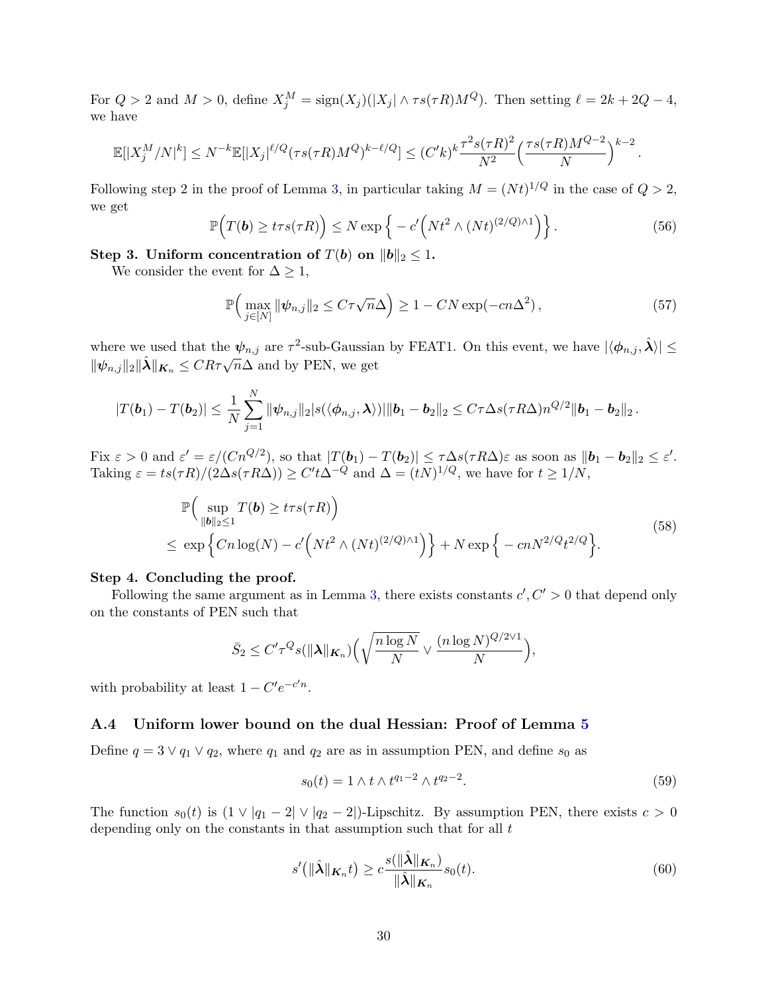For  $Q > 2$  and  $M > 0$ , define  $X_j^M = \text{sign}(X_j)(|X_j| \wedge \tau s(\tau R)M^Q)$ . Then setting  $\ell = 2k + 2Q - 4$ , we have

$$
\mathbb{E}[|X_j^M/N|^k] \le N^{-k} \mathbb{E}[|X_j|^{\ell/Q} (\tau s(\tau R)M^Q)^{k-\ell/Q}] \le (C'k)^k \frac{\tau^2 s(\tau R)^2}{N^2} \left(\frac{\tau s(\tau R)M^{Q-2}}{N}\right)^{k-2}.
$$

Following step 2 in the proof of Lemma [3,](#page-19-0) in particular taking  $M = (Nt)^{1/Q}$  in the case of  $Q > 2$ , we get

$$
\mathbb{P}\Big(T(\boldsymbol{b}) \geq tr s(\tau R)\Big) \leq N \exp\Big\{-c'\Big(Nt^2 \wedge (Nt)^{(2/Q)\wedge 1}\Big)\Big\}.
$$
 (56)

Step 3. Uniform concentration of  $T(b)$  on  $||b||_2 \leq 1$ .

We consider the event for  $\Delta \geq 1$ ,

$$
\mathbb{P}\Big(\max_{j\in[N]}\|\psi_{n,j}\|_2\leq C\tau\sqrt{n}\Delta\Big)\geq 1-CN\exp(-cn\Delta^2)\,,\tag{57}
$$

where we used that the  $\psi_{n,j}$  are  $\tau^2$ -sub-Gaussian by FEAT1. On this event, we have  $|\langle \phi_{n,j}, \hat{\lambda} \rangle| \leq$ where we used that the  $\varphi_{n,j}$  are  $\ell$  -sub-exassion.<br> $\|\psi_{n,j}\|_2 \|\hat{\lambda}\|_{K_n} \leq CR\tau \sqrt{n}\Delta$  and by PEN, we get

$$
|T(\boldsymbol{b}_1)-T(\boldsymbol{b}_2)|\leq \frac{1}{N}\sum_{j=1}^N\|\psi_{n,j}\|_2|s(\langle\phi_{n,j},\boldsymbol{\lambda}\rangle)\|\|\boldsymbol{b}_1-\boldsymbol{b}_2\|_2\leq C\tau\Delta s(\tau R\Delta)n^{Q/2}\|\boldsymbol{b}_1-\boldsymbol{b}_2\|_2.
$$

Fix  $\varepsilon > 0$  and  $\varepsilon' = \varepsilon/(Cn^{Q/2})$ , so that  $|T(\boldsymbol{b}_1) - T(\boldsymbol{b}_2)| \le \tau \Delta s (\tau R \Delta) \varepsilon$  as soon as  $\|\boldsymbol{b}_1 - \boldsymbol{b}_2\|_2 \le \varepsilon'.$ Taking  $\varepsilon = ts(\tau R)/(2\Delta s(\tau R\Delta)) \ge C't\Delta^{-Q}$  and  $\Delta = (tN)^{1/Q}$ , we have for  $t \ge 1/N$ ,

$$
\mathbb{P}\Big(\sup_{\|\boldsymbol{b}\|_2\leq 1} T(\boldsymbol{b}) \geq t\tau s(\tau R)\Big) \leq \exp\Big\{Cn\log(N) - c'\Big(Nt^2 \wedge (Nt)^{(2/Q)\wedge 1}\Big)\Big\} + N \exp\Big\{-cnN^{2/Q}t^{2/Q}\Big\}.
$$
\n(58)

### Step 4. Concluding the proof.

Following the same argument as in Lemma [3,](#page-19-0) there exists constants  $c', C' > 0$  that depend only on the constants of PEN such that

$$
\bar{S}_2 \leq C' \tau^Q s(||\boldsymbol{\lambda}||_{\boldsymbol{K}_n}) \Big(\sqrt{\frac{n \log N}{N}} \vee \frac{(n \log N)^{Q/2 \vee 1}}{N}\Big),\,
$$

with probability at least  $1 - C'e^{-c'n}$ .

### <span id="page-29-0"></span>A.4 Uniform lower bound on the dual Hessian: Proof of Lemma [5](#page-19-2)

Define  $q = 3 \vee q_1 \vee q_2$ , where  $q_1$  and  $q_2$  are as in assumption PEN, and define  $s_0$  as

$$
s_0(t) = 1 \wedge t \wedge t^{q_1 - 2} \wedge t^{q_2 - 2}.
$$
\n(59)

The function  $s_0(t)$  is  $(1 \vee |q_1 - 2| \vee |q_2 - 2|)$ -Lipschitz. By assumption PEN, there exists  $c > 0$ depending only on the constants in that assumption such that for all  $t$ 

$$
s'(\|\hat{\boldsymbol{\lambda}}\|_{\boldsymbol{K}_n}t) \ge c \frac{s(\|\hat{\boldsymbol{\lambda}}\|_{\boldsymbol{K}_n})}{\|\hat{\boldsymbol{\lambda}}\|_{\boldsymbol{K}_n}} s_0(t). \tag{60}
$$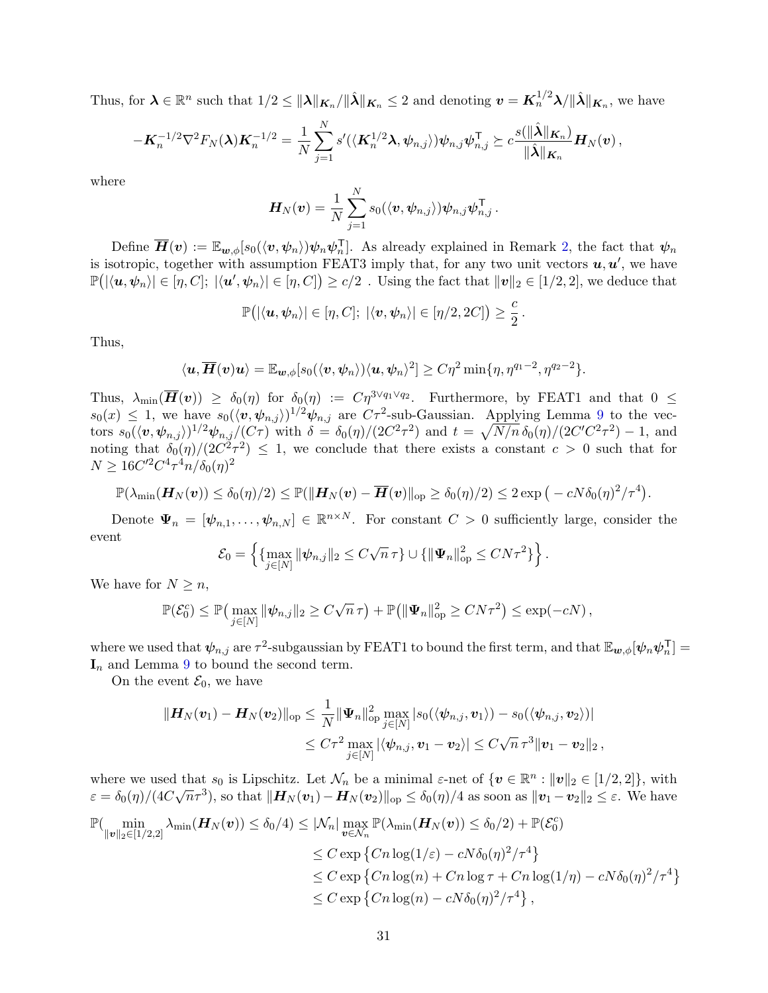Thus, for  $\boldsymbol{\lambda} \in \mathbb{R}^n$  such that  $1/2 \leq ||\boldsymbol{\lambda}||_{\boldsymbol{\mathcal{K}}_n}/||\hat{\boldsymbol{\lambda}}||_{\boldsymbol{\mathcal{K}}_n} \leq 2$  and denoting  $\boldsymbol{v} = \boldsymbol{K}_n^{1/2} \boldsymbol{\lambda} / ||\hat{\boldsymbol{\lambda}}||_{\boldsymbol{\mathcal{K}}_n}$ , we have

$$
-\boldsymbol{K}_n^{-1/2}\nabla^2 F_N(\boldsymbol{\lambda})\boldsymbol{K}_n^{-1/2}=\frac{1}{N}\sum_{j=1}^N s'(\langle \boldsymbol{K}_n^{1/2}\boldsymbol{\lambda},\psi_{n,j}\rangle)\psi_{n,j}\psi_{n,j}^\mathsf{T}\succeq c\frac{s(\|\hat{\boldsymbol{\lambda}}\|_{\boldsymbol{K}_n})}{\|\hat{\boldsymbol{\lambda}}\|_{\boldsymbol{K}_n}}\boldsymbol{H}_N(\boldsymbol{v})\,,
$$

where

$$
\boldsymbol{H}_N(\boldsymbol{v}) = \frac{1}{N} \sum_{j=1}^N s_0(\langle \boldsymbol{v}, \boldsymbol{\psi}_{n,j} \rangle) \boldsymbol{\psi}_{n,j} \boldsymbol{\psi}_{n,j}^{\mathsf{T}}.
$$

Define  $\overline{H}(v) := \mathbb{E}_{w,\phi}[s_0(\langle v, \psi_n \rangle) \psi_n \psi_n^{\mathsf{T}}]$ . As already explained in Remark [2,](#page-8-3) the fact that  $\psi_n$ is isotropic, together with assumption FEAT3 imply that, for any two unit vectors  $u, u'$ , we have  $\mathbb{P}(|\langle \boldsymbol{u},\boldsymbol{\psi}_n\rangle|\in [\eta,C];~|\langle \boldsymbol{u}',\boldsymbol{\psi}_n\rangle|\in [\eta,C])\geq c/2$  . Using the fact that  $\|\boldsymbol{v}\|_2\in [1/2,2]$ , we deduce that

$$
\mathbb{P}\big(|\langle \boldsymbol{u}, \boldsymbol{\psi}_n\rangle| \in [\eta, C];\; |\langle \boldsymbol{v}, \boldsymbol{\psi}_n\rangle| \in [\eta/2, 2C] \big) \geq \frac{c}{2}\,.
$$

Thus,

$$
\langle \bm{u}, \overline{\bm{H}}(\bm{v}) \bm{u}\rangle = \mathbb{E}_{\bm{w},\phi} [s_0(\langle \bm{v}, \bm{\psi}_n\rangle)\langle \bm{u}, \bm{\psi}_n\rangle^2] \geq C \eta^2 \min\{\eta, \eta^{q_1-2}, \eta^{q_2-2}\}.
$$

Thus,  $\lambda_{\min}(\overline{\mathbf{H}}(\boldsymbol{v})) \geq \delta_0(\eta)$  for  $\delta_0(\eta) := C\eta^{3\vee q_1\vee q_2}$ . Furthermore, by FEAT1 and that  $0 \leq$  $s_0(x) \leq 1$ , we have  $s_0(\langle v, \psi_{n,j} \rangle)^{1/2} \psi_{n,j}$  are  $C\tau^2$ -sub-Gaussian. Applying Lemma [9](#page-40-1) to the vectors  $s_0(\langle v, \psi_{n,j} \rangle)^{1/2} \psi_{n,j}/(C\tau)$  with  $\delta = \delta_0(\eta)/(2C^2\tau^2)$  and  $t = \sqrt{N/n} \, \delta_0(\eta)/(2C^{\prime}C^2\tau^2) - 1$ , and noting that  $\delta_0(\eta)/(2C^2\tau^2) \leq 1$ , we conclude that there exists a constant  $c > 0$  such that for  $N \ge 16C'^2C^4\tau^4n/\delta_0(\eta)^2$ 

$$
\mathbb{P}(\lambda_{\min}(\boldsymbol{H}_N(\boldsymbol{v})) \leq \delta_0(\eta)/2) \leq \mathbb{P}(\|\boldsymbol{H}_N(\boldsymbol{v}) - \overline{\boldsymbol{H}}(\boldsymbol{v})\|_{\text{op}} \geq \delta_0(\eta)/2) \leq 2 \exp(-cN\delta_0(\eta)^2/\tau^4).
$$

Denote  $\Psi_n = [\psi_{n,1}, \ldots, \psi_{n,N}] \in \mathbb{R}^{n \times N}$ . For constant  $C > 0$  sufficiently large, consider the event √

$$
\mathcal{E}_0 = \left\{ \{ \max_{j \in [N]} \|\psi_{n,j}\|_2 \le C\sqrt{n}\,\tau \} \cup \{\|\Psi_n\|_{\text{op}}^2 \le C N \tau^2 \} \right\}.
$$

We have for  $N \geq n$ ,

$$
\mathbb{P}(\mathcal{E}_0^c) \leq \mathbb{P}\big(\max_{j\in[N]} \|\psi_{n,j}\|_2 \geq C\sqrt{n}\,\tau\big) + \mathbb{P}\big(\|\Psi_n\|_{\text{op}}^2 \geq C N \tau^2\big) \leq \exp(-cN),
$$

where we used that  $\psi_{n,j}$  are  $\tau^2$ -subgaussian by FEAT1 to bound the first term, and that  $\mathbb{E}_{w,\phi}[\psi_n\psi_n^{\mathsf{T}}] =$  $\mathbf{I}_n$  and Lemma [9](#page-40-1) to bound the second term.

On the event  $\mathcal{E}_0$ , we have

$$
\begin{aligned} \|{\bm H}_N({\bm v}_1) - {\bm H}_N({\bm v}_2)\|_{\mathrm{op}} &\leq \frac{1}{N} \|{\bm \Psi}_n\|_{\mathrm{op}}^2 \max_{j \in [N]} |s_0(\langle \bm \psi_{n,j}, {\bm v}_1 \rangle) - s_0(\langle \bm \psi_{n,j}, {\bm v}_2 \rangle)| \\ &\leq C \tau^2 \max_{j \in [N]} |\langle \bm \psi_{n,j}, {\bm v}_1 - {\bm v}_2 \rangle| \leq C \sqrt{n} \, \tau^3 \|{\bm v}_1 - {\bm v}_2\|_2 \,, \end{aligned}
$$

where we used that  $s_0$  is Lipschitz. Let  $\mathcal{N}_n$  be a minimal  $\varepsilon$ -net of  $\{v \in \mathbb{R}^n : ||v||_2 \in [1/2, 2]\}$ , with where we used that s<sub>0</sub> is Eipsemiz. Let  $\mathcal{N}_n$  be a minimal  $\varepsilon$ -net of  $\{\mathbf{v} \in \mathbb{R}^n : ||\mathbf{v}||_2 \in [1/2, 2]$ , with  $\varepsilon = \delta_0(\eta)/(4C\sqrt{n}\tau^3)$ , so that  $||\mathbf{H}_N(\mathbf{v}_1) - \mathbf{H}_N(\mathbf{v}_2)||_{op} \leq \delta_0(\eta)/4$  as soon as  $||\math$ 

$$
\mathbb{P}(\min_{\|\mathbf{v}\|_2 \in [1/2,2]} \lambda_{\min}(\mathbf{H}_N(\mathbf{v})) \le \delta_0/4) \le |\mathcal{N}_n| \max_{\mathbf{v} \in \mathcal{N}_n} \mathbb{P}(\lambda_{\min}(\mathbf{H}_N(\mathbf{v})) \le \delta_0/2) + \mathbb{P}(\mathcal{E}_0^c)
$$
  
\n
$$
\le C \exp \left\{ Cn \log(1/\varepsilon) - cN\delta_0(\eta)^2/\tau^4 \right\}
$$
  
\n
$$
\le C \exp \left\{ Cn \log(n) + Cn \log \tau + Cn \log(1/\eta) - cN\delta_0(\eta)^2/\tau^4 \right\}
$$
  
\n
$$
\le C \exp \left\{ Cn \log(n) - cN\delta_0(\eta)^2/\tau^4 \right\},
$$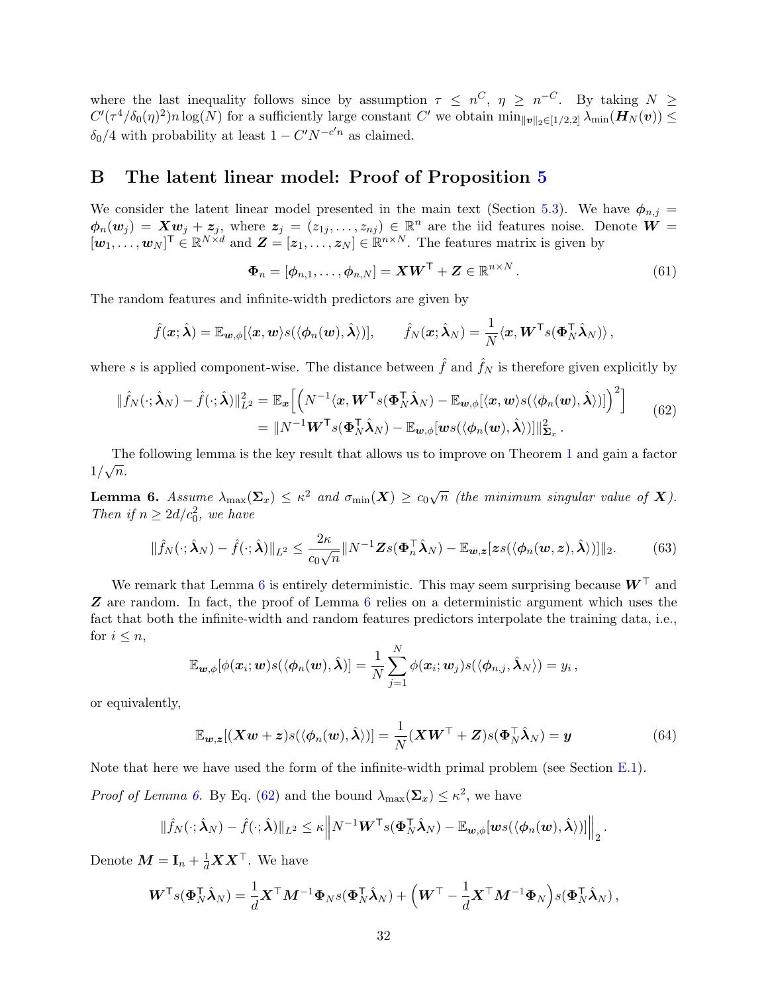where the last inequality follows since by assumption  $\tau \leq n^C$ ,  $\eta \geq n^{-C}$ . By taking  $N \geq$  $C'(\tau^4/\delta_0(\eta)^2)n\log(N)$  for a sufficiently large constant C' we obtain  $\min_{\|\boldsymbol{v}\|_2\in[1/2,2]}\lambda_{\min}(\boldsymbol{H}_N(\boldsymbol{v}))\leq$  $\delta_0/4$  with probability at least  $1 - C'N^{-c'n}$  as claimed.

### <span id="page-31-0"></span>B The latent linear model: Proof of Proposition [5](#page-16-1)

We consider the latent linear model presented in the main text (Section [5.3\)](#page-16-0). We have  $\phi_{n,j} =$  $\phi_n(\mathbf{w}_j) = \mathbf{X}\mathbf{w}_j + \mathbf{z}_j$ , where  $\mathbf{z}_j = (z_{1j}, \ldots, z_{nj}) \in \mathbb{R}^n$  are the iid features noise. Denote  $\mathbf{W} =$  $[\boldsymbol{w}_1,\ldots,\boldsymbol{w}_N]^{\mathsf{T}} \in \mathbb{R}^{N \times d}$  and  $\boldsymbol{Z} = [\boldsymbol{z}_1,\ldots,\boldsymbol{z}_N] \in \mathbb{R}^{n \times N}$ . The features matrix is given by

<span id="page-31-4"></span>
$$
\mathbf{\Phi}_n = [\phi_{n,1}, \dots, \phi_{n,N}] = \mathbf{X}\mathbf{W}^{\mathsf{T}} + \mathbf{Z} \in \mathbb{R}^{n \times N}.
$$
\n(61)

The random features and infinite-width predictors are given by

$$
\hat{f}(\boldsymbol{x};\hat{\boldsymbol{\lambda}}) = \mathbb{E}_{\boldsymbol{w},\phi}[\langle \boldsymbol{x}, \boldsymbol{w} \rangle s(\langle \phi_n(\boldsymbol{w}), \hat{\boldsymbol{\lambda}} \rangle)], \qquad \hat{f}_N(\boldsymbol{x};\hat{\boldsymbol{\lambda}}_N) = \frac{1}{N} \langle \boldsymbol{x}, \boldsymbol{W}^{\mathsf{T}} s(\boldsymbol{\Phi}_N^{\mathsf{T}} \hat{\boldsymbol{\lambda}}_N) \rangle,
$$

where s is applied component-wise. The distance between  $\hat{f}$  and  $\hat{f}_N$  is therefore given explicitly by

<span id="page-31-2"></span>
$$
\|\hat{f}_N(\cdot;\hat{\boldsymbol{\lambda}}_N) - \hat{f}(\cdot;\hat{\boldsymbol{\lambda}})\|_{L^2}^2 = \mathbb{E}_{\boldsymbol{x}}\Big[\Big(N^{-1}\langle \boldsymbol{x}, \boldsymbol{W}^\mathsf{T}s(\boldsymbol{\Phi}_N^\mathsf{T}\hat{\boldsymbol{\lambda}}_N) - \mathbb{E}_{\boldsymbol{w},\phi}[\langle \boldsymbol{x}, \boldsymbol{w}\rangle s(\langle \phi_n(\boldsymbol{w}), \hat{\boldsymbol{\lambda}} \rangle)]\Big)^2\Big] = \|N^{-1}\boldsymbol{W}^\mathsf{T}s(\boldsymbol{\Phi}_N^\mathsf{T}\hat{\boldsymbol{\lambda}}_N) - \mathbb{E}_{\boldsymbol{w},\phi}[\boldsymbol{w}s(\langle \phi_n(\boldsymbol{w}), \hat{\boldsymbol{\lambda}} \rangle)]\|_{\boldsymbol{\Sigma}_x}^2.
$$
(62)

The following lemma is the key result that allows us to improve on Theorem [1](#page-8-0) and gain a factor  $\frac{1}{\sqrt{n}}$ .

<span id="page-31-1"></span>**Lemma 6.** Assume  $\lambda_{\max}(\mathbf{\Sigma}_x) \leq \kappa^2$  and  $\sigma_{\min}(\boldsymbol{X}) \geq c_0\sqrt{n}$  (the minimum singular value of **X**). Then if  $n \geq 2d/c_0^2$ , we have

<span id="page-31-5"></span>
$$
\|\hat{f}_N(\cdot;\hat{\boldsymbol{\lambda}}_N)-\hat{f}(\cdot;\hat{\boldsymbol{\lambda}})\|_{L^2}\leq \frac{2\kappa}{c_0\sqrt{n}}\|N^{-1}\boldsymbol{Z}s(\boldsymbol{\Phi}_n^\top\hat{\boldsymbol{\lambda}}_N)-\mathbb{E}_{\boldsymbol{w},\boldsymbol{z}}[\boldsymbol{z}s(\langle\boldsymbol{\phi}_n(\boldsymbol{w},\boldsymbol{z}),\hat{\boldsymbol{\lambda}}\rangle)]\|_2.
$$
 (63)

We remark that Lemma [6](#page-31-1) is entirely deterministic. This may seem surprising because  $\boldsymbol{W}^{\top}$  and Z are random. In fact, the proof of Lemma [6](#page-31-1) relies on a deterministic argument which uses the fact that both the infinite-width and random features predictors interpolate the training data, i.e., for  $i \leq n$ ,

$$
\mathbb{E}_{\boldsymbol{w},\phi}[\phi(\boldsymbol{x}_i;\boldsymbol{w})s(\langle\phi_n(\boldsymbol{w}),\hat{\boldsymbol{\lambda}})] = \frac{1}{N}\sum_{j=1}^N\phi(\boldsymbol{x}_i;\boldsymbol{w}_j)s(\langle\phi_{n,j},\hat{\boldsymbol{\lambda}}_N\rangle) = y_i\,,
$$

or equivalently,

<span id="page-31-3"></span>
$$
\mathbb{E}_{\boldsymbol{w},\boldsymbol{z}}[(\boldsymbol{X}\boldsymbol{w}+\boldsymbol{z})s(\langle\phi_n(\boldsymbol{w}),\hat{\boldsymbol{\lambda}}\rangle)]=\frac{1}{N}(\boldsymbol{X}\boldsymbol{W}^\top+\boldsymbol{Z})s(\boldsymbol{\Phi}_N^\top\hat{\boldsymbol{\lambda}}_N)=\boldsymbol{y}
$$
(64)

Note that here we have used the form of the infinite-width primal problem (see Section [E.1\)](#page-38-1).

*Proof of Lemma [6.](#page-31-1)* By Eq. [\(62\)](#page-31-2) and the bound  $\lambda_{\max}(\Sigma_x) \leq \kappa^2$ , we have

$$
\|\hat{f}_N(\cdot;\hat{\bm{\lambda}}_N)-\hat{f}(\cdot;\hat{\bm{\lambda}})\|_{L^2}\leq \kappa\Big\|N^{-1}\bm{W}^{\mathsf{T}}s(\bm{\Phi}_N^{\mathsf{T}}\hat{\bm{\lambda}}_N)-\mathbb{E}_{\bm{w},\phi}[\bm{w}s(\langle\bm{\phi}_n(\bm{w}),\hat{\bm{\lambda}}\rangle)]\Big\|_2\,.
$$

Denote  $\boldsymbol{M} = \mathbf{I}_n + \frac{1}{d}\boldsymbol{X}\boldsymbol{X}^\top$ . We have

$$
\boldsymbol{W}^{\mathsf{T}} s(\boldsymbol{\Phi}_{N}^{\mathsf{T}} \hat{\boldsymbol{\lambda}}_{N}) = \frac{1}{d} \boldsymbol{X}^{\mathsf{T}} \boldsymbol{M}^{-1} \boldsymbol{\Phi}_{N} s(\boldsymbol{\Phi}_{N}^{\mathsf{T}} \hat{\boldsymbol{\lambda}}_{N}) + \left( \boldsymbol{W}^{\mathsf{T}} - \frac{1}{d} \boldsymbol{X}^{\mathsf{T}} \boldsymbol{M}^{-1} \boldsymbol{\Phi}_{N} \right) s(\boldsymbol{\Phi}_{N}^{\mathsf{T}} \hat{\boldsymbol{\lambda}}_{N}),
$$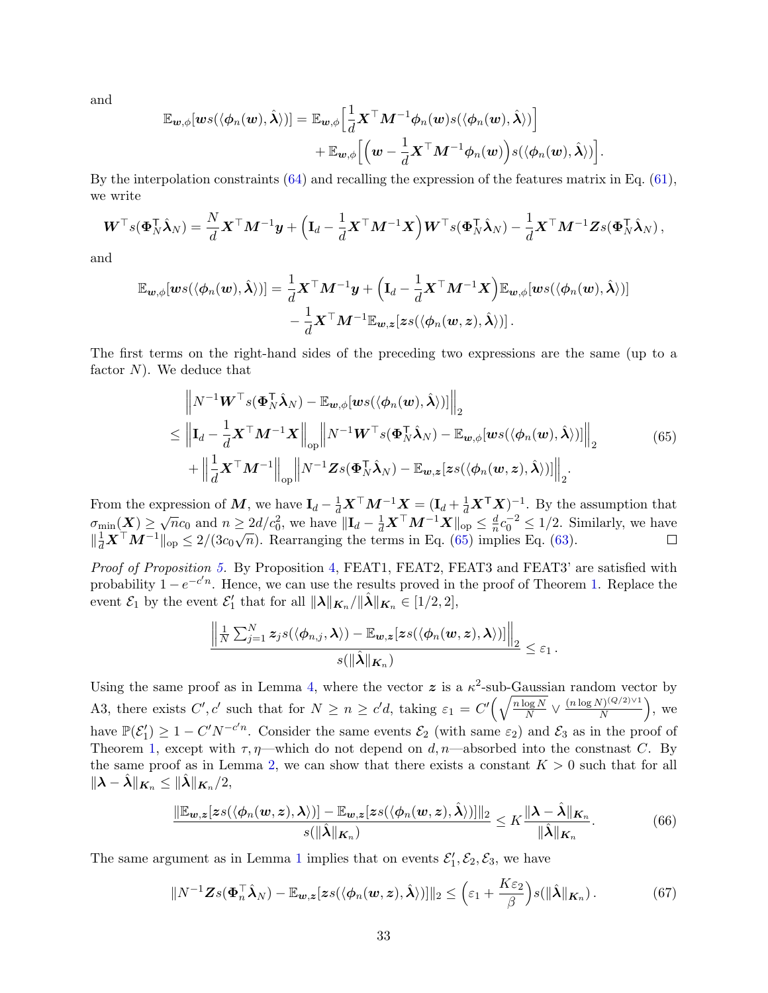and

$$
\mathbb{E}_{\boldsymbol{w},\phi}[\boldsymbol{w}s(\langle \phi_n(\boldsymbol{w}),\hat{\boldsymbol{\lambda}}\rangle)]=\mathbb{E}_{\boldsymbol{w},\phi}\Big[\frac{1}{d}\boldsymbol{X}^{\top}\boldsymbol{M}^{-1}\phi_n(\boldsymbol{w})s(\langle \phi_n(\boldsymbol{w}),\hat{\boldsymbol{\lambda}}\rangle)\Big] \n+\mathbb{E}_{\boldsymbol{w},\phi}\Big[\Big(\boldsymbol{w}-\frac{1}{d}\boldsymbol{X}^{\top}\boldsymbol{M}^{-1}\phi_n(\boldsymbol{w})\Big)s(\langle \phi_n(\boldsymbol{w}),\hat{\boldsymbol{\lambda}}\rangle)\Big].
$$

By the interpolation constraints [\(64\)](#page-31-3) and recalling the expression of the features matrix in Eq. [\(61\)](#page-31-4), we write

$$
\boldsymbol{W}^\top s(\boldsymbol{\Phi}_N^\top \hat{\boldsymbol{\lambda}}_N) = \frac{N}{d} \boldsymbol{X}^\top \boldsymbol{M}^{-1} \boldsymbol{y} + \left(\mathbf{I}_d - \frac{1}{d} \boldsymbol{X}^\top \boldsymbol{M}^{-1} \boldsymbol{X}\right) \boldsymbol{W}^\top s(\boldsymbol{\Phi}_N^\top \hat{\boldsymbol{\lambda}}_N) - \frac{1}{d} \boldsymbol{X}^\top \boldsymbol{M}^{-1} \boldsymbol{Z} s(\boldsymbol{\Phi}_N^\top \hat{\boldsymbol{\lambda}}_N) \,,
$$

and

$$
\mathbb{E}_{\boldsymbol{w},\phi}[\boldsymbol{w}s(\langle \phi_n(\boldsymbol{w}),\hat{\boldsymbol{\lambda}}\rangle)]=\frac{1}{d}\boldsymbol{X}^\top\boldsymbol{M}^{-1}\boldsymbol{y}+\Big(\mathbf{I}_d-\frac{1}{d}\boldsymbol{X}^\top\boldsymbol{M}^{-1}\boldsymbol{X}\Big)\mathbb{E}_{\boldsymbol{w},\phi}[\boldsymbol{w}s(\langle \phi_n(\boldsymbol{w}),\hat{\boldsymbol{\lambda}}\rangle)]\\-\frac{1}{d}\boldsymbol{X}^\top\boldsymbol{M}^{-1}\mathbb{E}_{\boldsymbol{w},\boldsymbol{z}}[\boldsymbol{z}s(\langle \phi_n(\boldsymbol{w},\boldsymbol{z}),\hat{\boldsymbol{\lambda}}\rangle)].
$$

The first terms on the right-hand sides of the preceding two expressions are the same (up to a factor  $N$ ). We deduce that

<span id="page-32-0"></span>
$$
\|N^{-1}\boldsymbol{W}^{\top} s(\boldsymbol{\Phi}_{N}^{\top}\hat{\boldsymbol{\lambda}}_{N}) - \mathbb{E}_{\boldsymbol{w},\phi}[\boldsymbol{w}s(\langle\phi_{n}(\boldsymbol{w}),\hat{\boldsymbol{\lambda}}\rangle)]\|_{2} \leq \left\|\mathbf{I}_{d} - \frac{1}{d}\boldsymbol{X}^{\top}\boldsymbol{M}^{-1}\boldsymbol{X}\right\|_{\text{op}}\left\|N^{-1}\boldsymbol{W}^{\top} s(\boldsymbol{\Phi}_{N}^{\top}\hat{\boldsymbol{\lambda}}_{N}) - \mathbb{E}_{\boldsymbol{w},\phi}[\boldsymbol{w}s(\langle\phi_{n}(\boldsymbol{w}),\hat{\boldsymbol{\lambda}}\rangle)]\right\|_{2} + \left\|\frac{1}{d}\boldsymbol{X}^{\top}\boldsymbol{M}^{-1}\right\|_{\text{op}}\left\|N^{-1}\boldsymbol{Z}s(\boldsymbol{\Phi}_{N}^{\top}\hat{\boldsymbol{\lambda}}_{N}) - \mathbb{E}_{\boldsymbol{w},\boldsymbol{z}}[\boldsymbol{z}s(\langle\phi_{n}(\boldsymbol{w},\boldsymbol{z}),\hat{\boldsymbol{\lambda}}\rangle)]\right\|_{2}.
$$
\n(65)

From the expression of M, we have  $\mathbf{I}_d - \frac{1}{d}\mathbf{X}^\top \mathbf{M}^{-1}\mathbf{X} = (\mathbf{I}_d + \frac{1}{d}\mathbf{X}^\top \mathbf{X})^{-1}$ . By the assumption that  $\sigma_{\min}(\mathbf{X}) \geq \sqrt{n}c_0$  and  $n \geq \frac{2d}{c_0^2}$ , we have  $\|\mathbf{I}_d - \frac{1}{d}\mathbf{X}^\top \mathbf{M}^{-1}\mathbf{X}\|_{\text{op}} \leq \frac{d}{n}$  $\frac{d}{n}c_0^{-2} \le 1/2$ . Similarly, we have  $\mathbb{E}[\mathbf{E}(\mathbf{X})] \leq \sqrt{n}c_0$  and  $n \geq 2a/c_0$ , we have  $\|\mathbf{E}(\mathbf{X})\| \leq \frac{1}{d}$   $\mathbf{X}^T \mathbf{M}$   $\mathbf{X}^T \mathbf{M}$   $\mathbf{X}^T \mathbf{M}^{-1} \|_{\text{op}} \leq 2/(3c_0\sqrt{n})$ . Rearranging the terms in Eq. [\(65\)](#page-32-0) implies Eq. [\(63\)](#page-31-5).

Proof of Proposition [5.](#page-16-1) By Proposition [4,](#page-16-2) FEAT1, FEAT2, FEAT3 and FEAT3' are satisfied with probability  $1 - e^{-c'n}$ . Hence, we can use the results proved in the proof of Theorem [1.](#page-8-0) Replace the event  $\mathcal{E}_1$  by the event  $\mathcal{E}'_1$  that for all  $\|\lambda\|_{\mathbf{K}_n}/\|\hat{\lambda}\|_{\mathbf{K}_n} \in [1/2, 2],$ 

$$
\frac{\left\|\frac{1}{N}\sum_{j=1}^N\boldsymbol{z}_j s(\langle\boldsymbol{\phi}_{n,j},\boldsymbol{\lambda}\rangle)-\mathbb{E}_{\boldsymbol{w},\boldsymbol{z}}[\boldsymbol{z} s(\langle\boldsymbol{\phi}_n(\boldsymbol{w},\boldsymbol{z}),\boldsymbol{\lambda}\rangle)]\right\|_2}{s(\|\hat{\boldsymbol{\lambda}}\|_{\boldsymbol{K}_n})}\leq\varepsilon_1\,.
$$

Using the same proof as in Lemma [4,](#page-19-1) where the vector  $\boldsymbol{z}$  is a  $\kappa^2$ -sub-Gaussian random vector by A3, there exists C', c' such that for  $N \geq n \geq c'd$ , taking  $\varepsilon_1 = C' \left(\sqrt{\frac{n \log N}{N}}\right)$  $\frac{\log N}{N} \vee \frac{(n \log N)^{(Q/2) \vee 1}}{N}$  $\frac{N^{(Q/2)\vee 1}}{N}$ , we have  $\mathbb{P}(\mathcal{E}_1') \geq 1 - C' N^{-c'n}$ . Consider the same events  $\mathcal{E}_2$  (with same  $\varepsilon_2$ ) and  $\mathcal{E}_3$  as in the proof of Theorem [1,](#page-8-0) except with  $\tau$ ,  $\eta$ —which do not depend on d,  $n$ —absorbed into the constnast C. By the same proof as in Lemma [2,](#page-18-0) we can show that there exists a constant  $K > 0$  such that for all  $\|\lambda - \lambda\|_{K_n} \leq \|\lambda\|_{K_n}/2,$ 

$$
\frac{\|\mathbb{E}_{\mathbf{w},\mathbf{z}}[\mathbf{z}_s(\langle \phi_n(\mathbf{w},\mathbf{z}),\boldsymbol{\lambda}\rangle)] - \mathbb{E}_{\mathbf{w},\mathbf{z}}[\mathbf{z}_s(\langle \phi_n(\mathbf{w},\mathbf{z}),\hat{\boldsymbol{\lambda}}\rangle)]\|_2}{s(\|\hat{\boldsymbol{\lambda}}\|_{\mathbf{K}_n})} \leq K \frac{\|\boldsymbol{\lambda} - \hat{\boldsymbol{\lambda}}\|_{\mathbf{K}_n}}{\|\hat{\boldsymbol{\lambda}}\|_{\mathbf{K}_n}}.
$$
(66)

The same argument as in Lemma [1](#page-18-1) implies that on events  $\mathcal{E}'_1, \mathcal{E}_2, \mathcal{E}_3$ , we have

$$
||N^{-1}\mathbf{Z}s(\boldsymbol{\Phi}_n^{\top}\hat{\boldsymbol{\lambda}}_N)-\mathbb{E}_{\boldsymbol{w},\boldsymbol{z}}[\boldsymbol{z}s(\langle\boldsymbol{\phi}_n(\boldsymbol{w},\boldsymbol{z}),\hat{\boldsymbol{\lambda}})\rangle]||_2\leq \left(\varepsilon_1+\frac{K\varepsilon_2}{\beta}\right)s(||\hat{\boldsymbol{\lambda}}||_{\boldsymbol{K}_n}).\tag{67}
$$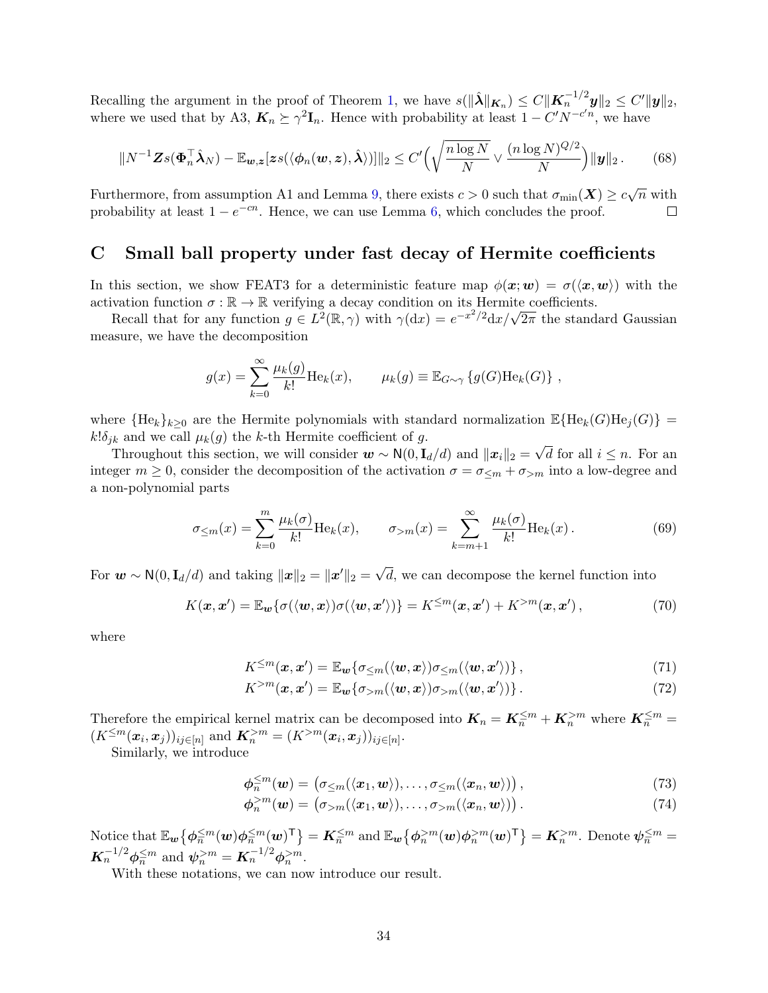Recalling the argument in the proof of Theorem [1,](#page-8-0) we have  $s(\|\hat{\lambda}\|_{\mathbf{K}_n}) \leq C \|\mathbf{K}_n^{-1/2} \mathbf{y}\|_2 \leq C' \|\mathbf{y}\|_2$ , where we used that by A3,  $K_n \succeq \gamma^2 \mathbf{I}_n$ . Hence with probability at least  $1 - C' N^{-c'n}$ , we have

$$
||N^{-1}\mathbf{Z}s(\boldsymbol{\Phi}_n^{\top}\hat{\boldsymbol{\lambda}}_N)-\mathbb{E}_{\boldsymbol{w},\boldsymbol{z}}[\boldsymbol{z}s(\langle\boldsymbol{\phi}_n(\boldsymbol{w},\boldsymbol{z}),\hat{\boldsymbol{\lambda}})\rangle]||_2 \leq C' \Big(\sqrt{\frac{n\log N}{N}} \vee \frac{(n\log N)^{Q/2}}{N}\Big) ||\boldsymbol{y}||_2. \tag{68}
$$

Furthermore, from assumption A1 and Lemma [9,](#page-40-1) there exists  $c > 0$  such that  $\sigma_{\min}(\bm{X}) \geq c\sqrt{n}$  with probability at least  $1 - e^{-cn}$ . Hence, we can use Lemma [6,](#page-31-1) which concludes the proof.  $\Box$ 

### <span id="page-33-0"></span>C Small ball property under fast decay of Hermite coefficients

In this section, we show FEAT3 for a deterministic feature map  $\phi(x; w) = \sigma(\langle x, w \rangle)$  with the activation function  $\sigma : \mathbb{R} \to \mathbb{R}$  verifying a decay condition on its Hermite coefficients.

vation function  $\sigma : \mathbb{R} \to \mathbb{R}$  verifying a decay condition on its Hermite coefficients.<br>Recall that for any function  $g \in L^2(\mathbb{R}, \gamma)$  with  $\gamma(dx) = e^{-x^2/2} dx/\sqrt{2\pi}$  the standard Gaussian measure, we have the decomposition

$$
g(x) = \sum_{k=0}^{\infty} \frac{\mu_k(g)}{k!} \text{He}_k(x), \qquad \mu_k(g) \equiv \mathbb{E}_{G \sim \gamma} \left\{ g(G) \text{He}_k(G) \right\},
$$

where  ${He_k}_{k>0}$  are the Hermite polynomials with standard normalization  $\mathbb{E}{He_k(G)He_j(G)}$  =  $k!\delta_{jk}$  and we call  $\mu_k(g)$  the k-th Hermite coefficient of g. √

Throughout this section, we will consider  $\mathbf{w} \sim \mathsf{N}(0, \mathbf{I}_d/d)$  and  $\|\mathbf{x}_i\|_2 =$ d for all  $i \leq n$ . For an integer  $m \geq 0$ , consider the decomposition of the activation  $\sigma = \sigma \leq m + \sigma > m$  into a low-degree and a non-polynomial parts

$$
\sigma_{\leq m}(x) = \sum_{k=0}^{m} \frac{\mu_k(\sigma)}{k!} \text{He}_k(x), \qquad \sigma_{>m}(x) = \sum_{k=m+1}^{\infty} \frac{\mu_k(\sigma)}{k!} \text{He}_k(x).
$$
 (69)

For  $\boldsymbol{w} \sim \mathsf{N}(0, \mathbf{I}_d/d)$  and taking  $\|\boldsymbol{x}\|_2 = \|\boldsymbol{x}'\|_2 = \sqrt{\lambda^2 + 4\lambda^2}$ d, we can decompose the kernel function into

$$
K(\boldsymbol{x}, \boldsymbol{x}') = \mathbb{E}_{\boldsymbol{w}}\{\sigma(\langle \boldsymbol{w}, \boldsymbol{x} \rangle) \sigma(\langle \boldsymbol{w}, \boldsymbol{x}' \rangle) \} = K^{\leq m}(\boldsymbol{x}, \boldsymbol{x}') + K^{> m}(\boldsymbol{x}, \boldsymbol{x}') , \qquad (70)
$$

where

$$
K^{\leq m}(\boldsymbol{x}, \boldsymbol{x}') = \mathbb{E}_{\boldsymbol{w}}\{\sigma_{\leq m}(\langle \boldsymbol{w}, \boldsymbol{x} \rangle) \sigma_{\leq m}(\langle \boldsymbol{w}, \boldsymbol{x}' \rangle)\},\tag{71}
$$

$$
K^{>m}(\boldsymbol{x}, \boldsymbol{x}') = \mathbb{E}_{\boldsymbol{w}}\{\sigma_{>m}(\langle \boldsymbol{w}, \boldsymbol{x} \rangle) \sigma_{>m}(\langle \boldsymbol{w}, \boldsymbol{x}' \rangle)\}.
$$
 (72)

Therefore the empirical kernel matrix can be decomposed into  $K_n = K_n^{\leq m} + K_n^{>m}$  where  $K_n^{\leq m} =$  $(K^{\leq m}(\boldsymbol{x}_i, \boldsymbol{x}_j))_{ij \in [n]}$  and  $\boldsymbol{K}_n^{> m} = (K^{> m}(\boldsymbol{x}_i, \boldsymbol{x}_j))_{ij \in [n]}$ .

Similarly, we introduce

$$
\phi_n^{\leq m}(\boldsymbol{w}) = (\sigma_{\leq m}(\langle \boldsymbol{x}_1, \boldsymbol{w} \rangle), \ldots, \sigma_{\leq m}(\langle \boldsymbol{x}_n, \boldsymbol{w} \rangle)), \qquad (73)
$$

$$
\phi_n^{>m}(\boldsymbol{w}) = (\sigma_{>m}(\langle \boldsymbol{x}_1, \boldsymbol{w} \rangle), \ldots, \sigma_{>m}(\langle \boldsymbol{x}_n, \boldsymbol{w} \rangle)). \tag{74}
$$

Notice that  $\mathbb{E}_{\mathbf{w}}\big\{\boldsymbol{\phi}_{\overline{n}}^{\leq m}(\mathbf{w})\boldsymbol{\phi}_{\overline{n}}^{\leq m}(\mathbf{w})^{\mathsf{T}}\big\} = \mathbf{K}_{\overline{n}}^{\leq m}$  and  $\mathbb{E}_{\mathbf{w}}\big\{\boldsymbol{\phi}_{\overline{n}}^{>m}(\mathbf{w})\boldsymbol{\phi}_{\overline{n}}^{>m}(\mathbf{w})^{\mathsf{T}}\big\} = \mathbf{K}_{\overline{n}}^{>m}$ . Denote  $\boldsymbol{\psi}_{\overline{n}}^{\leq m} =$  $\mathbf{K}_n^{-1/2} \phi_n^{\leq m}$  and  $\psi_n^{>m} = \mathbf{K}_n^{-1/2} \phi_n^{>m}$ .

With these notations, we can now introduce our result.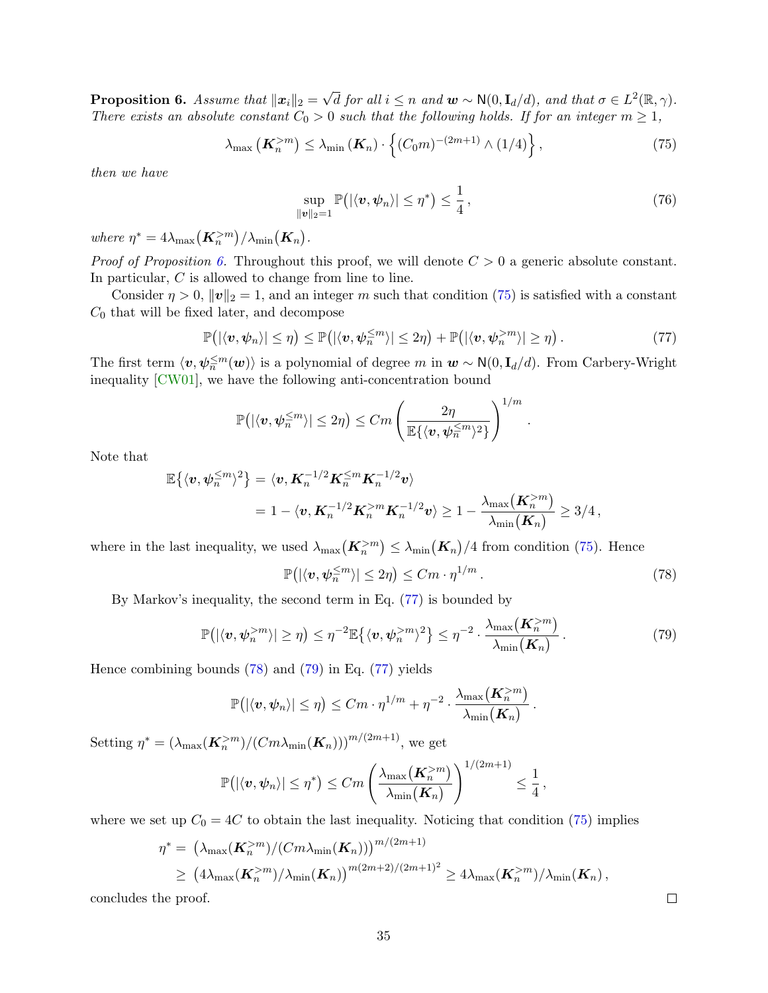<span id="page-34-0"></span>Proposition 6. Assume that  $\|\boldsymbol{x}_i\|_2 =$ √  $\overline{d}$  for all  $i \leq n$  and  $\boldsymbol{w} \sim \mathsf{N}(0, \mathbf{I}_d/d)$ , and that  $\sigma \in L^2(\mathbb{R}, \gamma)$ . There exists an absolute constant  $C_0 > 0$  such that the following holds. If for an integer  $m \geq 1$ ,

$$
\lambda_{\max}\left(\mathbf{K}_n^{>m}\right) \leq \lambda_{\min}\left(\mathbf{K}_n\right) \cdot \left\{ (C_0 m)^{-(2m+1)} \wedge (1/4) \right\},\tag{75}
$$

then we have

$$
\sup_{\|\boldsymbol{v}\|_2=1} \mathbb{P}\big( |\langle \boldsymbol{v}, \boldsymbol{\psi}_n \rangle| \leq \eta^* \big) \leq \frac{1}{4}, \tag{76}
$$

where  $\eta^* = 4\lambda_{\max}(\mathbf{K}_n^{>m})/\lambda_{\min}(\mathbf{K}_n)$ .

*Proof of Proposition [6.](#page-34-0)* Throughout this proof, we will denote  $C > 0$  a generic absolute constant. In particular, C is allowed to change from line to line.

Consider  $\eta > 0$ ,  $\|\mathbf{v}\|_2 = 1$ , and an integer m such that condition [\(75\)](#page-34-1) is satisfied with a constant  $C_0$  that will be fixed later, and decompose

<span id="page-34-2"></span>
$$
\mathbb{P}\big(|\langle v,\psi_n\rangle|\leq \eta\big)\leq \mathbb{P}\big(|\langle v,\psi_n^{\leq m}\rangle|\leq 2\eta\big)+\mathbb{P}\big(|\langle v,\psi_n^{>m}\rangle|\geq \eta\big)\,.
$$
 (77)

The first term  $\langle v, \psi_n^{\leq m}(\boldsymbol{w})\rangle$  is a polynomial of degree m in  $\boldsymbol{w} \sim \mathsf{N}(0, \mathbf{I}_d/d)$ . From Carbery-Wright inequality [\[CW01\]](#page-21-14), we have the following anti-concentration bound

$$
\mathbb{P}\big( | \langle \boldsymbol{v}, \boldsymbol{\psi}_n^{\leq m} \rangle | \leq 2 \eta \big) \leq C m \left( \frac{2 \eta}{\mathbb{E}\{ \langle \boldsymbol{v}, \boldsymbol{\psi}_n^{\leq m} \rangle^2 \}} \right)^{1/m}
$$

Note that

$$
\mathbb{E}\{\langle \boldsymbol{v}, \boldsymbol{\psi}_n^{\leq m} \rangle^2\} = \langle \boldsymbol{v}, \boldsymbol{K}_n^{-1/2} \boldsymbol{K}_n^{\leq m} \boldsymbol{K}_n^{-1/2} \boldsymbol{v} \rangle
$$
  
= 1 - \langle \boldsymbol{v}, \boldsymbol{K}\_n^{-1/2} \boldsymbol{K}\_n^{>m} \boldsymbol{K}\_n^{-1/2} \boldsymbol{v} \rangle \geq 1 - \frac{\lambda\_{\max}(\boldsymbol{K}\_n^{>m})}{\lambda\_{\min}(\boldsymbol{K}\_n)} \geq 3/4,

where in the last inequality, we used  $\lambda_{\max}(\mathbf{K}_n^{>m}) \leq \lambda_{\min}(\mathbf{K}_n)/4$  from condition [\(75\)](#page-34-1). Hence

<span id="page-34-3"></span>
$$
\mathbb{P}\big(\left|\langle v,\psi_n^{\leq m}\rangle\right|\leq 2\eta\big)\leq Cm\cdot\eta^{1/m}\,. \tag{78}
$$

<span id="page-34-1"></span>.

By Markov's inequality, the second term in Eq. [\(77\)](#page-34-2) is bounded by

<span id="page-34-4"></span>
$$
\mathbb{P}\big(\left|\langle v, \psi_n^{>m}\rangle\right| \geq \eta\big) \leq \eta^{-2} \mathbb{E}\big\{\langle v, \psi_n^{>m}\rangle^2\big\} \leq \eta^{-2} \cdot \frac{\lambda_{\max}\big(\mathbf{K}_n^{>m}\big)}{\lambda_{\min}\big(\mathbf{K}_n\big)}\,. \tag{79}
$$

Hence combining bounds [\(78\)](#page-34-3) and [\(79\)](#page-34-4) in Eq. [\(77\)](#page-34-2) yields

$$
\mathbb{P}\big(|\langle \boldsymbol{v}, \boldsymbol{\psi}_n\rangle| \leq \eta\big) \leq Cm \cdot \eta^{1/m} + \eta^{-2} \cdot \frac{\lambda_{\max}\big(\boldsymbol{K}_n^{>m}\big)}{\lambda_{\min}\big(\boldsymbol{K}_n\big)}.
$$

Setting  $\eta^* = (\lambda_{\max}(\mathbf{K}_n^{>m})/(Cm\lambda_{\min}(\mathbf{K}_n)))^{m/(2m+1)}$ , we get

$$
\mathbb{P}\big(|\langle \boldsymbol{v}, \boldsymbol{\psi}_n\rangle| \leq \eta^*\big) \leq Cm \left(\frac{\lambda_{\max}(\boldsymbol{K}_n^{>m})}{\lambda_{\min}(\boldsymbol{K}_n)}\right)^{1/(2m+1)} \leq \frac{1}{4},
$$

where we set up  $C_0 = 4C$  to obtain the last inequality. Noticing that condition [\(75\)](#page-34-1) implies

$$
\eta^* = \left(\lambda_{\max}(\mathbf{K}_n^{>m})/(Cm\lambda_{\min}(\mathbf{K}_n))\right)^{m/(2m+1)}
$$
  
 
$$
\geq \left(4\lambda_{\max}(\mathbf{K}_n^{>m})/\lambda_{\min}(\mathbf{K}_n)\right)^{m(2m+2)/(2m+1)^2} \geq 4\lambda_{\max}(\mathbf{K}_n^{>m})/\lambda_{\min}(\mathbf{K}_n),
$$

concludes the proof.

 $\Box$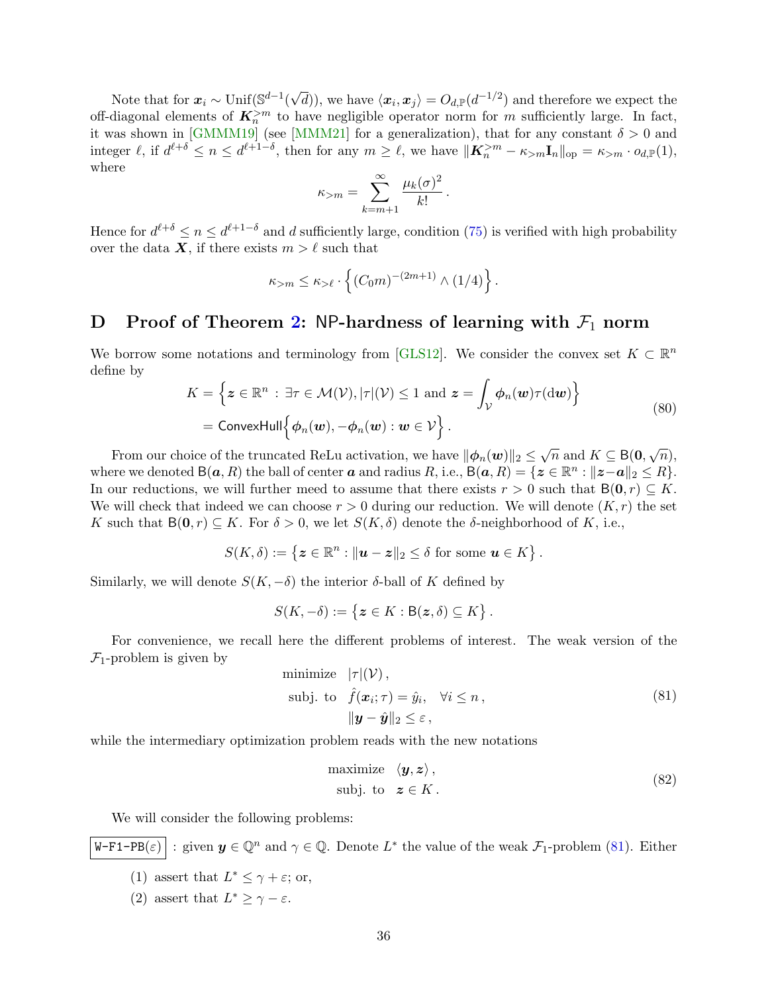Note that for  $x_i \sim \text{Unif}(\mathbb{S}^{d-1})$ √  $\overline{d}$ ), we have  $\langle x_i, x_j \rangle = O_{d,\mathbb{P}}(d^{-1/2})$  and therefore we expect the off-diagonal elements of  $K_n^{>m}$  to have negligible operator norm for m sufficiently large. In fact, it was shown in [\[GMMM19\]](#page-21-0) (see [\[MMM21\]](#page-22-3) for a generalization), that for any constant  $\delta > 0$  and integer  $\ell$ , if  $d^{\ell+\delta} \leq n \leq d^{\ell+1-\delta}$ , then for any  $m \geq \ell$ , we have  $\|\mathbf{K}_n^{>m} - \kappa_{>m}\mathbf{I}_n\|_{\text{op}} = \kappa_{>m} \cdot o_{d,\mathbb{P}}(1)$ , where

$$
\kappa_{>m} = \sum_{k=m+1}^{\infty} \frac{\mu_k(\sigma)^2}{k!}.
$$

Hence for  $d^{\ell+\delta} \leq n \leq d^{\ell+1-\delta}$  and d sufficiently large, condition [\(75\)](#page-34-1) is verified with high probability over the data X, if there exists  $m > \ell$  such that

$$
\kappa_{>m} \leq \kappa_{> \ell} \cdot \left\{ (C_0 m)^{-(2m+1)} \wedge (1/4) \right\}.
$$

## <span id="page-35-0"></span>D Proof of Theorem [2:](#page-11-0) NP-hardness of learning with  $\mathcal{F}_1$  norm

We borrow some notations and terminology from [\[GLS12\]](#page-21-11). We consider the convex set  $K \subset \mathbb{R}^n$ define by

$$
K = \left\{ \boldsymbol{z} \in \mathbb{R}^n : \exists \tau \in \mathcal{M}(\mathcal{V}), |\tau|(\mathcal{V}) \le 1 \text{ and } \boldsymbol{z} = \int_{\mathcal{V}} \boldsymbol{\phi}_n(\boldsymbol{w}) \tau(\mathrm{d}\boldsymbol{w}) \right\}
$$
  
= ConvexHull $\left\{ \boldsymbol{\phi}_n(\boldsymbol{w}), -\boldsymbol{\phi}_n(\boldsymbol{w}) : \boldsymbol{w} \in \mathcal{V} \right\}.$  (80)

From our choice of the truncated ReLu activation, we have  $\|\phi_n(\boldsymbol{w})\|_2 \leq \sqrt{n}$  and  $K \subseteq B(\boldsymbol{0}, \sqrt{n}),$ where we denoted  $B(a, R)$  the ball of center  $a$  and radius  $R$ , i.e.,  $B(a, R) = \{z \in \mathbb{R}^n : ||z - a||_2 \leq R\}$ . In our reductions, we will further meed to assume that there exists  $r > 0$  such that  $B(0, r) \subseteq K$ . We will check that indeed we can choose  $r > 0$  during our reduction. We will denote  $(K, r)$  the set K such that  $B(0, r) \subseteq K$ . For  $\delta > 0$ , we let  $S(K, \delta)$  denote the  $\delta$ -neighborhood of K, i.e.,

$$
S(K,\delta) := \left\{ \boldsymbol{z} \in \mathbb{R}^n : ||\boldsymbol{u} - \boldsymbol{z}||_2 \leq \delta \text{ for some } \boldsymbol{u} \in K \right\}.
$$

Similarly, we will denote  $S(K, -\delta)$  the interior  $\delta$ -ball of K defined by

$$
S(K,-\delta) := \{ \boldsymbol{z} \in K : B(\boldsymbol{z},\delta) \subseteq K \}.
$$

For convenience, we recall here the different problems of interest. The weak version of the  $\mathcal{F}_1$ -problem is given by

<span id="page-35-1"></span>minimize 
$$
|\tau|(\mathcal{V}),
$$
  
\nsubj. to  $\hat{f}(\mathbf{x}_i; \tau) = \hat{y}_i, \quad \forall i \leq n,$   
\n
$$
\|\mathbf{y} - \hat{\mathbf{y}}\|_2 \leq \varepsilon,
$$
\n(81)

while the intermediary optimization problem reads with the new notations

<span id="page-35-2"></span>maximize 
$$
\langle y, z \rangle
$$
,  
subj. to  $z \in K$ . (82)

We will consider the following problems:

$$
\boxed{\mathtt{W}\text{-F1-PB}(\varepsilon)}:\text{given } \mathbf{y}\in\mathbb{Q}^n \text{ and } \gamma\in\mathbb{Q}. \text{ Denote } L^* \text{ the value of the weak } \mathcal{F}_1\text{-problem (81). Either}
$$

- (1) assert that  $L^* \leq \gamma + \varepsilon$ ; or,
- (2) assert that  $L^* \geq \gamma \varepsilon$ .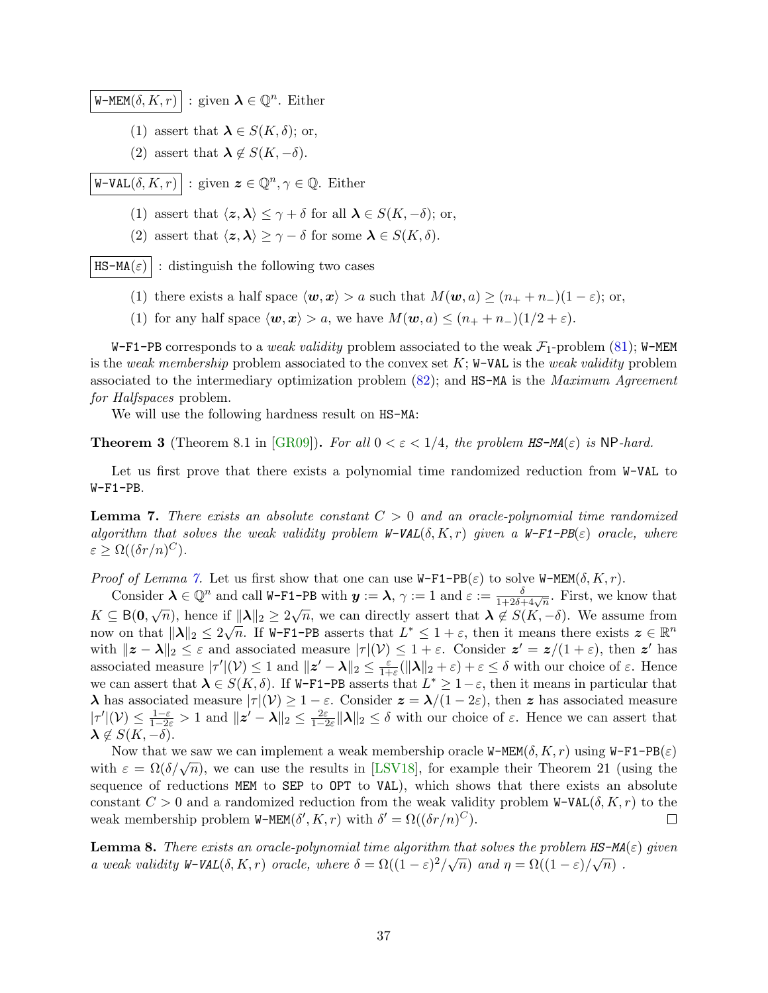W-MEM $(\delta, K, r)$ : given  $\boldsymbol{\lambda} \in \mathbb{Q}^n$ . Either

- (1) assert that  $\lambda \in S(K,\delta)$ ; or,
- (2) assert that  $\lambda \notin S(K, -\delta)$ .

W-VAL $(\delta, K, r)$ : given  $\boldsymbol{z} \in \mathbb{Q}^n, \gamma \in \mathbb{Q}$ . Either

- (1) assert that  $\langle z, \lambda \rangle \leq \gamma + \delta$  for all  $\lambda \in S(K, -\delta)$ ; or,
- (2) assert that  $\langle z, \lambda \rangle \geq \gamma \delta$  for some  $\lambda \in S(K, \delta)$ .

 $\texttt{HS-MA}(\varepsilon)$ : distinguish the following two cases

- (1) there exists a half space  $\langle \boldsymbol{w}, \boldsymbol{x} \rangle > a$  such that  $M(\boldsymbol{w}, a) \ge (n_+ + n_-)(1 \varepsilon)$ ; or,
- (1) for any half space  $\langle \mathbf{w}, \mathbf{x} \rangle > a$ , we have  $M(\mathbf{w}, a) \leq (n_+ + n_-)(1/2 + \varepsilon)$ .

W-F1-PB corresponds to a *weak validity* problem associated to the weak  $\mathcal{F}_1$ -problem [\(81\)](#page-35-1); W-MEM is the weak membership problem associated to the convex set  $K$ ; W-VAL is the weak validity problem associated to the intermediary optimization problem [\(82\)](#page-35-2); and HS-MA is the Maximum Agreement for Halfspaces problem.

We will use the following hardness result on HS-MA:

<span id="page-36-2"></span>**Theorem 3** (Theorem 8.1 in  $[\text{GR09}]$ ). For all  $0 < \varepsilon < 1/4$ , the problem HS-MA( $\varepsilon$ ) is NP-hard.

Let us first prove that there exists a polynomial time randomized reduction from W-VAL to W-F1-PB.

<span id="page-36-0"></span>**Lemma 7.** There exists an absolute constant  $C > 0$  and an oracle-polynomial time randomized algorithm that solves the weak validity problem  $W-\text{VAL}(\delta, K, r)$  given a  $W-\text{F1}-PB(\varepsilon)$  oracle, where  $\varepsilon \geq \Omega((\delta r/n)^C).$ 

*Proof of Lemma [7.](#page-36-0)* Let us first show that one can use  $W-F1-PB(\varepsilon)$  to solve  $W-MEM(\delta,K,r)$ .

Consider  $\lambda \in \mathbb{Q}^n$  and call W-F1-PB with  $y := \lambda$ ,  $\gamma := 1$  and  $\varepsilon := \frac{\delta}{1+2\delta+4\sqrt{n}}$ . First, we know that  $K \subseteq B(0,\sqrt{n})$ , hence if  $||\lambda||_2 \geq 2\sqrt{n}$ , we can directly assert that  $\lambda \notin S(K,-\delta)$ . We assume from now on that  $\|\lambda\|_2 \leq 2\sqrt{n}$ . If W-F1-PB asserts that  $L^* \leq 1 + \varepsilon$ , then it means there exists  $\boldsymbol{z} \in \mathbb{R}^n$ with  $||z - \lambda||_2 \leq \varepsilon$  and associated measure  $|\tau|(\mathcal{V}) \leq 1 + \varepsilon$ . Consider  $z' = z/(1 + \varepsilon)$ , then  $z'$  has associated measure  $|\tau'|(\mathcal{V}) \leq 1$  and  $||z' - \lambda||_2 \leq \frac{\varepsilon}{1+\varepsilon}$  $\frac{\varepsilon}{1+\varepsilon}(\|\lambda\|_2 + \varepsilon) + \varepsilon \leq \delta$  with our choice of  $\varepsilon$ . Hence we can assert that  $\lambda \in S(K, \delta)$ . If W-F1-PB asserts that  $L^* \geq 1-\varepsilon$ , then it means in particular that λ has associated measure  $|\tau|$ (V) ≥ 1 − ε. Consider  $z = \lambda/(1-2ε)$ , then z has associated measure  $|\tau'|(\mathcal{V}) \leq \frac{1-\varepsilon}{1-2\varepsilon} > 1$  and  $||z' - \lambda||_2 \leq \frac{2\varepsilon}{1-2\varepsilon}||\lambda||_2 \leq \delta$  with our choice of  $\varepsilon$ . Hence we can assert that  $\lambda \notin S(K, -\delta).$ 

Now that we saw we can implement a weak membership oracle W-MEM( $\delta, K, r$ ) using W-F1-PB( $\varepsilon$ ) Now that we saw we can implement a weak membership oracle w-right( $\sigma$ ,  $K$ ,  $\tau$ ) using w-ri-rights with  $\varepsilon = \Omega(\delta/\sqrt{n})$ , we can use the results in [\[LSV18\]](#page-22-13), for example their Theorem 21 (using the sequence of reductions MEM to SEP to OPT to VAL), which shows that there exists an absolute constant  $C > 0$  and a randomized reduction from the weak validity problem W-VAL( $\delta, K, r$ ) to the weak membership problem W-MEM $(\delta', K, r)$  with  $\delta' = \Omega((\delta r/n)^C)$ .  $\Box$ 

<span id="page-36-1"></span>**Lemma 8.** There exists an oracle-polynomial time algorithm that solves the problem  $\texttt{HS-MA}(\varepsilon)$  given a weak validity W-VAL( $\delta, K, r$ ) oracle, where  $\delta = \Omega((1 - \varepsilon)^2/\sqrt{n})$  and  $\eta = \Omega((1 - \varepsilon)/\sqrt{n})$ .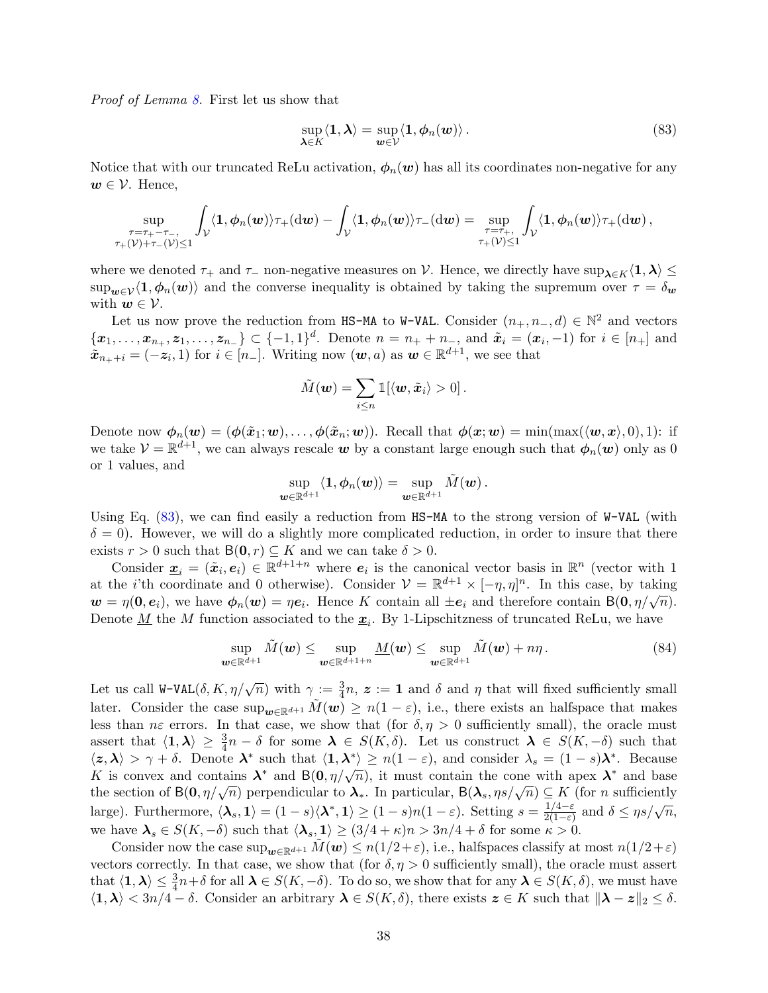Proof of Lemma [8.](#page-36-1) First let us show that

<span id="page-37-0"></span>
$$
\sup_{\boldsymbol{\lambda}\in K}\langle\mathbf{1},\boldsymbol{\lambda}\rangle=\sup_{\boldsymbol{w}\in\mathcal{V}}\langle\mathbf{1},\boldsymbol{\phi}_n(\boldsymbol{w})\rangle.
$$
\n(83)

Notice that with our truncated ReLu activation,  $\phi_n(w)$  has all its coordinates non-negative for any  $w \in \mathcal{V}$ . Hence,

$$
\sup_{\substack{\tau=\tau_+-\tau_-, \\ \tau_+(\mathcal{V})+\tau_-(\mathcal{V})\leq 1}} \int_{\mathcal{V}} \langle \mathbf{1}, \bm{\phi}_n(\bm{w}) \rangle \tau_+(\mathrm{d}\bm{w}) - \int_{\mathcal{V}} \langle \mathbf{1}, \bm{\phi}_n(\bm{w}) \rangle \tau_-(\mathrm{d}\bm{w}) = \sup_{\substack{\tau=\tau_+ , \\ \tau_+(\mathcal{V})\leq 1}} \int_{\mathcal{V}} \langle \mathbf{1}, \bm{\phi}_n(\bm{w}) \rangle \tau_+(\mathrm{d}\bm{w}) \, ,
$$

where we denoted  $\tau_+$  and  $\tau_-$  non-negative measures on V. Hence, we directly have sup $\chi \in K(1,\lambda) \leq$  $\sup_{w\in\mathcal{V}}\langle 1,\phi_n(w)\rangle$  and the converse inequality is obtained by taking the supremum over  $\tau=\delta_w$ with  $w \in \mathcal{V}$ .

Let us now prove the reduction from HS-MA to W-VAL. Consider  $(n_+, n_-, d) \in \mathbb{N}^2$  and vectors  $\{\boldsymbol{x}_1,\ldots,\boldsymbol{x}_{n_+},\boldsymbol{z}_1,\ldots,\boldsymbol{z}_{n_-}\}\subset\{-1,1\}^d$ . Denote  $n=n_++n_-$ , and  $\tilde{\boldsymbol{x}}_i=(\boldsymbol{x}_i,-1)$  for  $i\in[n_+]$  and  $\tilde{\boldsymbol{x}}_{n_++i} = (-\boldsymbol{z}_i, 1)$  for  $i \in [n_-]$ . Writing now  $(\boldsymbol{w}, a)$  as  $\boldsymbol{w} \in \mathbb{R}^{d+1}$ , we see that

$$
\tilde{M}(\boldsymbol{w}) = \sum_{i \leq n} \mathbb{1}[\langle \boldsymbol{w}, \tilde{\boldsymbol{x}}_i \rangle > 0].
$$

Denote now  $\phi_n(\boldsymbol{w}) = (\phi(\tilde{\boldsymbol{x}}_1; \boldsymbol{w}), \dots, \phi(\tilde{\boldsymbol{x}}_n; \boldsymbol{w}))$ . Recall that  $\phi(\boldsymbol{x}; \boldsymbol{w}) = \min(\max(\langle \boldsymbol{w}, \boldsymbol{x} \rangle, 0), 1)$ : if we take  $V = \mathbb{R}^{d+1}$ , we can always rescale  $w$  by a constant large enough such that  $\phi_n(w)$  only as 0 or 1 values, and

$$
\sup_{\boldsymbol w\in \mathbb{R}^{d+1}}\langle 1,\boldsymbol \phi_n(\boldsymbol w)\rangle=\sup_{\boldsymbol w\in \mathbb{R}^{d+1}}\tilde M(\boldsymbol w)\,.
$$

Using Eq. [\(83\)](#page-37-0), we can find easily a reduction from HS-MA to the strong version of W-VAL (with  $\delta = 0$ ). However, we will do a slightly more complicated reduction, in order to insure that there exists  $r > 0$  such that  $B(0, r) \subseteq K$  and we can take  $\delta > 0$ .

Consider  $\underline{x}_i = (\tilde{x}_i, e_i) \in \mathbb{R}^{d+1+n}$  where  $e_i$  is the canonical vector basis in  $\mathbb{R}^n$  (vector with 1 at the *i*'th coordinate and 0 otherwise). Consider  $V = \mathbb{R}^{d+1} \times [-\eta, \eta]^n$ . In this case, by taking at the *t* in coordinate and 0 otherwise). Consider  $\nu = \mathbb{R}$   $\times$   $[-\eta, \eta]$ . In this case, by taking  $\mathbf{w} = \eta(\mathbf{0}, \mathbf{e}_i)$ , we have  $\phi_n(\mathbf{w}) = \eta \mathbf{e}_i$ . Hence K contain all  $\pm \mathbf{e}_i$  and therefore contain  $B(\mathbf$ Denote  $\underline{M}$  the M function associated to the  $\underline{x}_i$ . By 1-Lipschitzness of truncated ReLu, we have

<span id="page-37-1"></span>
$$
\sup_{\mathbf{w}\in\mathbb{R}^{d+1}}\tilde{M}(\mathbf{w})\leq \sup_{\mathbf{w}\in\mathbb{R}^{d+1+n}}\underline{M}(\mathbf{w})\leq \sup_{\mathbf{w}\in\mathbb{R}^{d+1}}\tilde{M}(\mathbf{w})+n\eta.
$$
\n(84)

Let us call  $W-VAL(\delta, K, \eta/\sqrt{n})$  with  $\gamma := \frac{3}{4}n$ ,  $z := 1$  and  $\delta$  and  $\eta$  that will fixed sufficiently small later. Consider the case  $\sup_{w \in \mathbb{R}^{d+1}} M(w) \geq n(1-\varepsilon)$ , i.e., there exists an halfspace that makes less than  $n\epsilon$  errors. In that case, we show that (for  $\delta, \eta > 0$  sufficiently small), the oracle must assert that  $\langle 1, \lambda \rangle \geq \frac{3}{4}n - \delta$  for some  $\lambda \in S(K, \delta)$ . Let us construct  $\lambda \in S(K, -\delta)$  such that  $\langle z, \lambda \rangle > \gamma + \delta$ . Denote  $\lambda^*$  such that  $\langle 1, \lambda^* \rangle \geq n(1 - \varepsilon)$ , and consider  $\lambda_s = (1 - s)\lambda^*$ . Because  $K$  is convex and contains  $\lambda^*$  and  $B(0, \eta/\sqrt{n})$ , it must contain the cone with apex  $\lambda^*$  and base the section of  $B(0, \eta/\sqrt{n})$  perpendicular to  $\lambda_*$ . In particular,  $B(\lambda_s, \eta_s/\sqrt{n}) \subseteq K$  (for *n* sufficiently large). Furthermore,  $\langle \mathbf{\lambda}_s, \mathbf{1} \rangle = (1-s)\langle \mathbf{\lambda}^*, \mathbf{1} \rangle \ge (1-s)n(1-\varepsilon)$ . Setting  $s = \frac{1/4-\varepsilon}{2(1-\varepsilon)}$  $\frac{1/4-\varepsilon}{2(1-\varepsilon)}$  and  $\delta \leq \eta s/\sqrt{n}$ , we have  $\lambda_s \in S(K, -\delta)$  such that  $\langle \lambda_s, 1 \rangle \geq (3/4 + \kappa)n > 3n/4 + \delta$  for some  $\kappa > 0$ .

Consider now the case  $\sup_{w \in \mathbb{R}^{d+1}} M(w) \leq n(1/2+\varepsilon)$ , i.e., halfspaces classify at most  $n(1/2+\varepsilon)$ vectors correctly. In that case, we show that (for  $\delta, \eta > 0$  sufficiently small), the oracle must assert that  $\langle \mathbf{1}, \boldsymbol{\lambda} \rangle \leq \frac{3}{4}n + \delta$  for all  $\boldsymbol{\lambda} \in S(K, -\delta)$ . To do so, we show that for any  $\boldsymbol{\lambda} \in S(K, \delta)$ , we must have  $\langle 1, \lambda \rangle < 3n/4 - \delta$ . Consider an arbitrary  $\lambda \in S(K, \delta)$ , there exists  $z \in K$  such that  $\|\lambda - z\|_2 \leq \delta$ .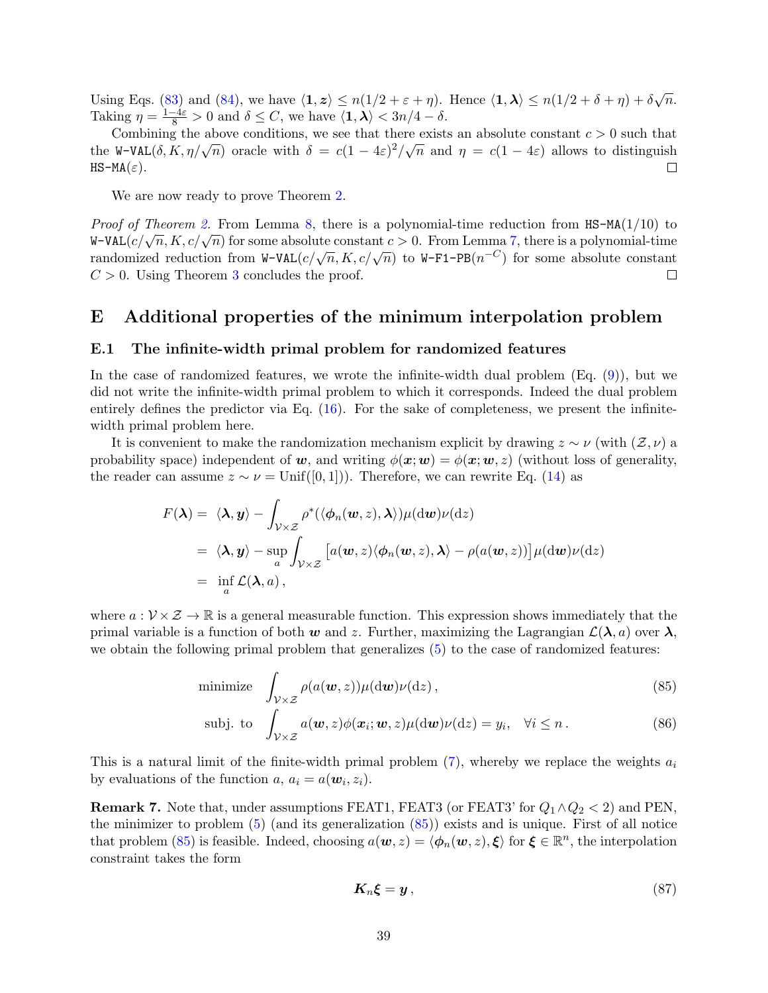Using Eqs. [\(83\)](#page-37-0) and [\(84\)](#page-37-1), we have  $\langle \mathbf{1}, \mathbf{z} \rangle \leq n(1/2 + \varepsilon + \eta)$ . Hence  $\langle \mathbf{1}, \boldsymbol{\lambda} \rangle \leq n(1/2 + \delta + \eta) + \delta \sqrt{n}$ . Taking  $\eta = \frac{1-4\varepsilon}{8} > 0$  and  $\delta \le C$ , we have  $\langle 1, \lambda \rangle < 3n/4 - \delta$ .

Combining the above conditions, we see that there exists an absolute constant  $c > 0$  such that Combining the above conditions, we see that there exists an absolute constant  $\ell > 0$  such that<br>the W-VAL( $\delta$ ,  $K$ ,  $\eta/\sqrt{n}$ ) oracle with  $\delta = c(1-4\varepsilon)^2/\sqrt{n}$  and  $\eta = c(1-4\varepsilon)$  allows to distinguish  $HS-MA(\varepsilon).$  $\Box$ 

We are now ready to prove Theorem [2.](#page-11-0)

*Proof of Theorem [2.](#page-11-0)* From Lemma [8,](#page-36-1) there is a polynomial-time reduction from  $HS-MA(1/10)$  to  $W-VAL(c/\sqrt{n}, K, c/\sqrt{n})$  for some absolute constant  $c > 0$ . From Lemma [7,](#page-36-0) there is a polynomial-time  $\mathbf{r} \sim \mathbf{r}$  and  $\mathbf{r} \sim \mathbf{r}$ ,  $\mathbf{r} \sim \mathbf{r}$ ,  $\mathbf{r} \sim \mathbf{r}$  and  $\mathbf{r} \sim \mathbf{r}$  and  $\mathbf{r} \sim \mathbf{r}$  and  $\mathbf{r} \sim \mathbf{r}$  and  $\mathbf{r} \sim \mathbf{r}$  and  $\mathbf{r} \sim \mathbf{r}$  and  $\mathbf{r} \sim \mathbf{r}$  and  $\mathbf{r} \sim \mathbf{r}$   $C > 0$ . Using Theorem [3](#page-36-2) concludes the proof.  $\Box$ 

### <span id="page-38-0"></span>E Additional properties of the minimum interpolation problem

#### <span id="page-38-1"></span>E.1 The infinite-width primal problem for randomized features

In the case of randomized features, we wrote the infinite-width dual problem (Eq. [\(9\)](#page-4-2)), but we did not write the infinite-width primal problem to which it corresponds. Indeed the dual problem entirely defines the predictor via Eq. [\(16\)](#page-6-3). For the sake of completeness, we present the infinitewidth primal problem here.

It is convenient to make the randomization mechanism explicit by drawing  $z \sim \nu$  (with  $(\mathcal{Z}, \nu)$  a probability space) independent of w, and writing  $\phi(x; w) = \phi(x; w, z)$  (without loss of generality, the reader can assume  $z \sim \nu = \text{Unif}([0, 1])$ . Therefore, we can rewrite Eq. [\(14\)](#page-6-2) as

$$
F(\lambda) = \langle \lambda, y \rangle - \int_{\mathcal{V} \times \mathcal{Z}} \rho^* (\langle \phi_n(w, z), \lambda \rangle) \mu(\mathrm{d}w) \nu(\mathrm{d}z)
$$
  
=  $\langle \lambda, y \rangle - \sup_a \int_{\mathcal{V} \times \mathcal{Z}} \left[ a(w, z) \langle \phi_n(w, z), \lambda \rangle - \rho(a(w, z)) \right] \mu(\mathrm{d}w) \nu(\mathrm{d}z)$   
=  $\inf_a \mathcal{L}(\lambda, a),$ 

where  $a: \mathcal{V} \times \mathcal{Z} \to \mathbb{R}$  is a general measurable function. This expression shows immediately that the primal variable is a function of both w and z. Further, maximizing the Lagrangian  $\mathcal{L}(\lambda, a)$  over  $\lambda$ , we obtain the following primal problem that generalizes [\(5\)](#page-2-1) to the case of randomized features:

minimize 
$$
\int_{\mathcal{V}\times\mathcal{Z}} \rho(a(\boldsymbol{w},z))\mu(\mathrm{d}\boldsymbol{w})\nu(\mathrm{d}z)
$$
, (85)

$$
\text{subj. to} \quad \int_{\mathcal{V}\times\mathcal{Z}} a(\boldsymbol{w},z) \phi(\boldsymbol{x}_i;\boldsymbol{w},z) \mu(\mathrm{d}\boldsymbol{w}) \nu(\mathrm{d}z) = y_i, \quad \forall i \leq n. \tag{86}
$$

This is a natural limit of the finite-width primal problem  $(7)$ , whereby we replace the weights  $a_i$ by evaluations of the function  $a, a_i = a(\boldsymbol{w}_i, z_i)$ .

**Remark 7.** Note that, under assumptions FEAT1, FEAT3 (or FEAT3' for  $Q_1 \wedge Q_2 < 2$ ) and PEN, the minimizer to problem [\(5\)](#page-2-1) (and its generalization [\(85\)](#page-38-2)) exists and is unique. First of all notice that problem [\(85\)](#page-38-2) is feasible. Indeed, choosing  $a(\boldsymbol{w}, z) = \langle \boldsymbol{\phi}_n(\boldsymbol{w}, z), \boldsymbol{\xi} \rangle$  for  $\boldsymbol{\xi} \in \mathbb{R}^n$ , the interpolation constraint takes the form

<span id="page-38-2"></span>
$$
K_n \xi = y \,, \tag{87}
$$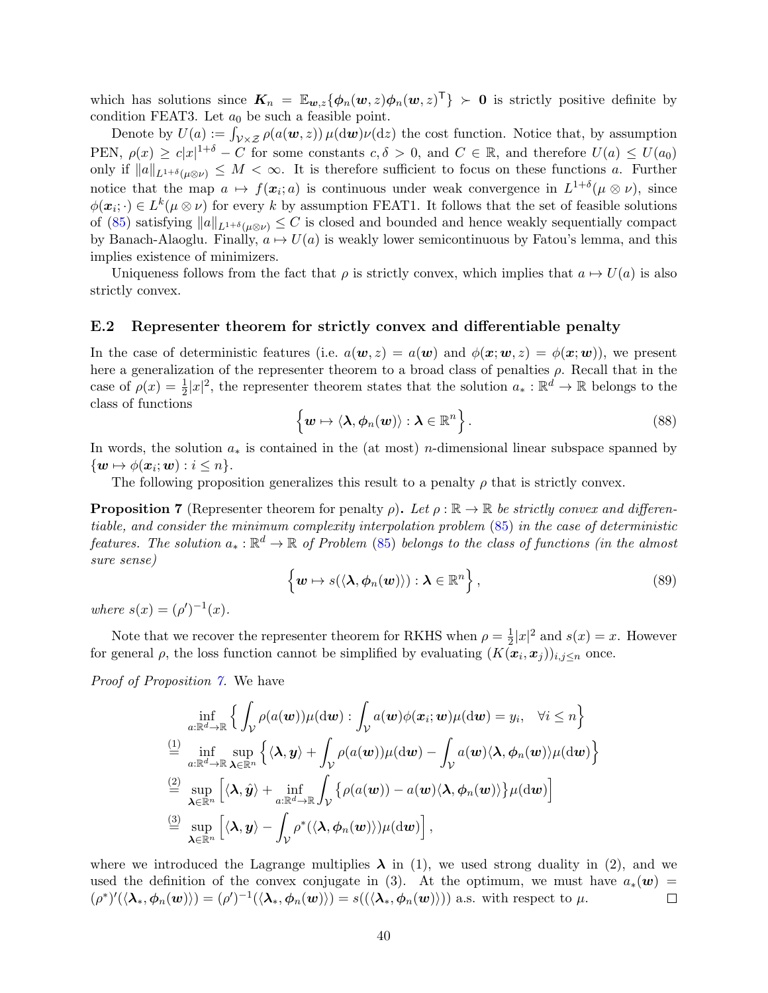which has solutions since  $K_n = \mathbb{E}_{w,z} {\{\phi_n(w,z) \phi_n(w,z)^\mathsf{T}\}} > 0$  is strictly positive definite by condition FEAT3. Let  $a_0$  be such a feasible point.

Denote by  $U(a) := \int_{\mathcal{V} \times \mathcal{Z}} \rho(a(\boldsymbol{w}, z)) \mu(\mathrm{d}\boldsymbol{w}) \nu(\mathrm{d}z)$  the cost function. Notice that, by assumption PEN,  $\rho(x) \geq c|x|^{1+\delta} - C$  for some constants  $c, \delta > 0$ , and  $C \in \mathbb{R}$ , and therefore  $U(a) \leq U(a_0)$ only if  $||a||_{L^{1+\delta}(\mu\otimes\nu)} \leq M < \infty$ . It is therefore sufficient to focus on these functions a. Further notice that the map  $a \mapsto f(x_i; a)$  is continuous under weak convergence in  $L^{1+\delta}(\mu \otimes \nu)$ , since  $\phi(\boldsymbol{x}_i;\cdot) \in L^k(\mu \otimes \nu)$  for every k by assumption FEAT1. It follows that the set of feasible solutions of [\(85\)](#page-38-2) satisfying  $||a||_{L^{1+\delta}(\mu\otimes\nu)} \leq C$  is closed and bounded and hence weakly sequentially compact by Banach-Alaoglu. Finally,  $a \mapsto U(a)$  is weakly lower semicontinuous by Fatou's lemma, and this implies existence of minimizers.

Uniqueness follows from the fact that  $\rho$  is strictly convex, which implies that  $a \mapsto U(a)$  is also strictly convex.

#### <span id="page-39-0"></span>E.2 Representer theorem for strictly convex and differentiable penalty

In the case of deterministic features (i.e.  $a(\mathbf{w}, z) = a(\mathbf{w})$  and  $\phi(\mathbf{x}; \mathbf{w}, z) = \phi(\mathbf{x}; \mathbf{w})$ ), we present here a generalization of the representer theorem to a broad class of penalties  $\rho$ . Recall that in the case of  $\rho(x) = \frac{1}{2}|x|^2$ , the representer theorem states that the solution  $a_* : \mathbb{R}^d \to \mathbb{R}$  belongs to the class of functions

$$
\left\{ \boldsymbol{w} \mapsto \langle \boldsymbol{\lambda}, \boldsymbol{\phi}_n(\boldsymbol{w}) \rangle : \boldsymbol{\lambda} \in \mathbb{R}^n \right\}.
$$
\n(88)

In words, the solution  $a_*$  is contained in the (at most) *n*-dimensional linear subspace spanned by  $\{ \boldsymbol{w} \mapsto \phi(\boldsymbol{x}_i; \boldsymbol{w}) : i \leq n \}.$ 

The following proposition generalizes this result to a penalty  $\rho$  that is strictly convex.

<span id="page-39-1"></span>**Proposition 7** (Representer theorem for penalty  $\rho$ ). Let  $\rho : \mathbb{R} \to \mathbb{R}$  be strictly convex and differentiable, and consider the minimum complexity interpolation problem [\(85\)](#page-38-2) in the case of deterministic features. The solution  $a_* : \mathbb{R}^d \to \mathbb{R}$  of Problem [\(85\)](#page-38-2) belongs to the class of functions (in the almost sure sense)

$$
\left\{ \boldsymbol{w} \mapsto s(\langle \boldsymbol{\lambda}, \boldsymbol{\phi}_n(\boldsymbol{w}) \rangle) : \boldsymbol{\lambda} \in \mathbb{R}^n \right\},\tag{89}
$$

where  $s(x) = (\rho')^{-1}(x)$ .

Note that we recover the representer theorem for RKHS when  $\rho = \frac{1}{2}$  $\frac{1}{2}|x|^2$  and  $s(x) = x$ . However for general  $\rho$ , the loss function cannot be simplified by evaluating  $(K(\mathbf{x}_i, \mathbf{x}_j))_{i,j \leq n}$  once.

Proof of Proposition [7.](#page-39-1) We have

$$
\inf_{a:\mathbb{R}^d\to\mathbb{R}}\left\{\int_{\mathcal{V}}\rho(a(\boldsymbol{w}))\mu(\mathrm{d}\boldsymbol{w}) : \int_{\mathcal{V}}a(\boldsymbol{w})\phi(\boldsymbol{x}_i;\boldsymbol{w})\mu(\mathrm{d}\boldsymbol{w}) = y_i, \quad \forall i \leq n\right\}
$$
\n
$$
\stackrel{(1)}{=} \inf_{a:\mathbb{R}^d\to\mathbb{R}}\sup_{\boldsymbol{\lambda}\in\mathbb{R}^n}\left\{\langle \boldsymbol{\lambda},\boldsymbol{y}\rangle + \int_{\mathcal{V}}\rho(a(\boldsymbol{w}))\mu(\mathrm{d}\boldsymbol{w}) - \int_{\mathcal{V}}a(\boldsymbol{w})\langle \boldsymbol{\lambda},\phi_n(\boldsymbol{w})\rangle\mu(\mathrm{d}\boldsymbol{w})\right\}
$$
\n
$$
\stackrel{(2)}{=} \sup_{\boldsymbol{\lambda}\in\mathbb{R}^n}\left[\langle \boldsymbol{\lambda},\hat{\boldsymbol{y}}\rangle + \inf_{a:\mathbb{R}^d\to\mathbb{R}}\int_{\mathcal{V}}\left\{\rho(a(\boldsymbol{w})) - a(\boldsymbol{w})\langle \boldsymbol{\lambda},\phi_n(\boldsymbol{w})\rangle\right\}\mu(\mathrm{d}\boldsymbol{w})\right]
$$
\n
$$
\stackrel{(3)}{=} \sup_{\boldsymbol{\lambda}\in\mathbb{R}^n}\left[\langle \boldsymbol{\lambda},\boldsymbol{y}\rangle - \int_{\mathcal{V}}\rho^*(\langle \boldsymbol{\lambda},\phi_n(\boldsymbol{w})\rangle)\mu(\mathrm{d}\boldsymbol{w})\right],
$$

where we introduced the Lagrange multiplies  $\lambda$  in (1), we used strong duality in (2), and we used the definition of the convex conjugate in (3). At the optimum, we must have  $a_*(w)$  =  $(\rho^*)'(\langle \lambda_*, \phi_n(\mathbf{w}) \rangle) = (\rho')^{-1}(\langle \lambda_*, \phi_n(\mathbf{w}) \rangle) = s((\langle \lambda_*, \phi_n(\mathbf{w}) \rangle))$  a.s. with respect to  $\mu$ .  $\Box$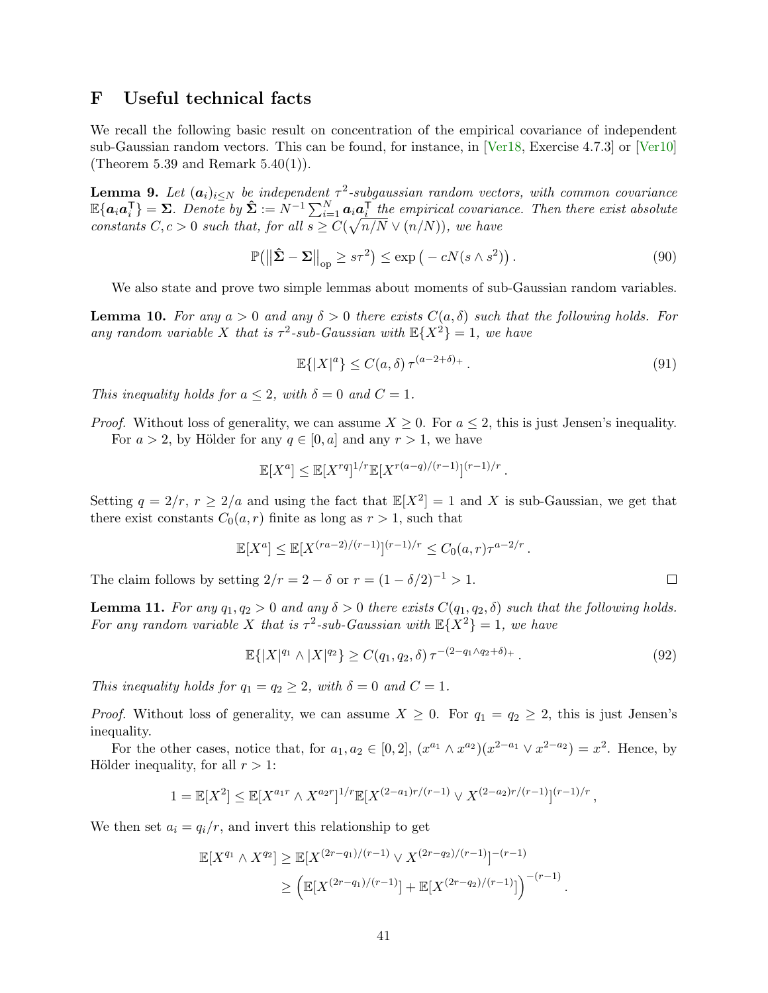## <span id="page-40-0"></span>F Useful technical facts

We recall the following basic result on concentration of the empirical covariance of independent sub-Gaussian random vectors. This can be found, for instance, in [\[Ver18,](#page-23-5) Exercise 4.7.3] or [\[Ver10\]](#page-23-6) (Theorem 5.39 and Remark  $5.40(1)$ ).

<span id="page-40-1"></span>**Lemma 9.** Let  $(a_i)_{i\leq N}$  be independent  $\tau^2$ -subgaussian random vectors, with common covariance  $\mathbb{E}\{\bm{a}_i\bm{a}_i^{\mathsf{T}}\} = \bm{\Sigma}$ . Denote by  $\hat{\bm{\Sigma}} := N^{-1}\sum_{i=1}^N \bm{a}_i\bm{a}_i^{\mathsf{T}}$  the empirical covariance. Then there exist absolute constants  $C, c > 0$  such that, for all  $s \geq C(\sqrt{n/N} \vee (n/N))$ , we have

$$
\mathbb{P}\left(\left\|\hat{\mathbf{\Sigma}} - \mathbf{\Sigma}\right\|_{\text{op}} \geq s\tau^2\right) \leq \exp\left(-cN(s \wedge s^2)\right). \tag{90}
$$

We also state and prove two simple lemmas about moments of sub-Gaussian random variables.

<span id="page-40-2"></span>**Lemma 10.** For any  $a > 0$  and any  $\delta > 0$  there exists  $C(a, \delta)$  such that the following holds. For any random variable X that is  $\tau^2$ -sub-Gaussian with  $\mathbb{E}\{X^2\} = 1$ , we have

$$
\mathbb{E}\{|X|^a\} \le C(a,\delta)\,\tau^{(a-2+\delta)_+}\,. \tag{91}
$$

This inequality holds for  $a \leq 2$ , with  $\delta = 0$  and  $C = 1$ .

*Proof.* Without loss of generality, we can assume  $X \geq 0$ . For  $a \leq 2$ , this is just Jensen's inequality. For  $a > 2$ , by Hölder for any  $q \in [0, a]$  and any  $r > 1$ , we have

$$
\mathbb{E}[X^a] \le \mathbb{E}[X^{rq}]^{1/r} \mathbb{E}[X^{r(a-q)/(r-1)}]^{(r-1)/r}.
$$

Setting  $q = 2/r$ ,  $r \ge 2/a$  and using the fact that  $\mathbb{E}[X^2] = 1$  and X is sub-Gaussian, we get that there exist constants  $C_0(a, r)$  finite as long as  $r > 1$ , such that

$$
\mathbb{E}[X^a] \le \mathbb{E}[X^{(ra-2)/(r-1)}]^{(r-1)/r} \le C_0(a,r)\tau^{a-2/r}.
$$

The claim follows by setting  $2/r = 2 - \delta$  or  $r = (1 - \delta/2)^{-1} > 1$ .

**Lemma 11.** For any  $q_1, q_2 > 0$  and any  $\delta > 0$  there exists  $C(q_1, q_2, \delta)$  such that the following holds. For any random variable X that is  $\tau^2$ -sub-Gaussian with  $\mathbb{E}\{X^2\} = 1$ , we have

$$
\mathbb{E}\{|X|^{q_1} \wedge |X|^{q_2}\} \ge C(q_1, q_2, \delta) \tau^{-(2-q_1 \wedge q_2 + \delta)_+}.
$$
\n(92)

.

 $\Box$ 

This inequality holds for  $q_1 = q_2 \geq 2$ , with  $\delta = 0$  and  $C = 1$ .

*Proof.* Without loss of generality, we can assume  $X \geq 0$ . For  $q_1 = q_2 \geq 2$ , this is just Jensen's inequality.

For the other cases, notice that, for  $a_1, a_2 \in [0,2]$ ,  $(x^{a_1} \wedge x^{a_2})(x^{2-a_1} \vee x^{2-a_2}) = x^2$ . Hence, by Hölder inequality, for all  $r > 1$ :

$$
1 = \mathbb{E}[X^2] \le \mathbb{E}[X^{a_1 r} \wedge X^{a_2 r}]^{1/r} \mathbb{E}[X^{(2-a_1)r/(r-1)} \vee X^{(2-a_2)r/(r-1)}]^{(r-1)/r},
$$

We then set  $a_i = q_i/r$ , and invert this relationship to get

$$
\mathbb{E}[X^{q_1} \wedge X^{q_2}] \ge \mathbb{E}[X^{(2r-q_1)/(r-1)} \vee X^{(2r-q_2)/(r-1)}]^{-(r-1)} \\
\ge \left(\mathbb{E}[X^{(2r-q_1)/(r-1)}] + \mathbb{E}[X^{(2r-q_2)/(r-1)}]\right)^{-(r-1)}
$$